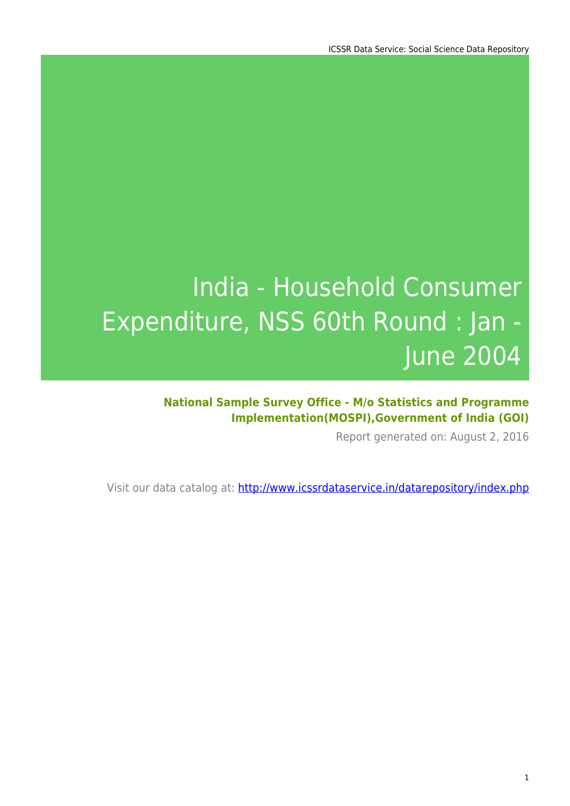# India - Household Consumer Expenditure, NSS 60th Round : Jan - June 2004

#### **National Sample Survey Office - M/o Statistics and Programme Implementation(MOSPI),Government of India (GOI)**

Report generated on: August 2, 2016

Visit our data catalog at: http://www.icssrdataservice.in/datarepository/index.php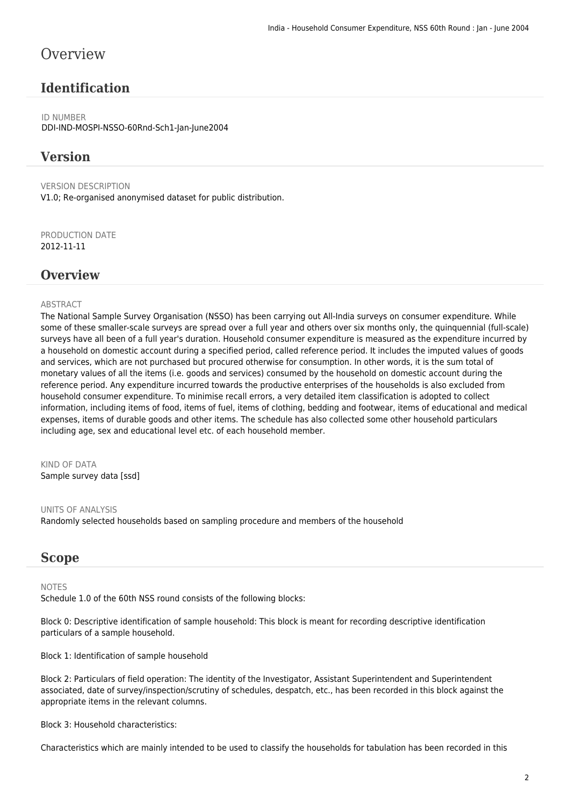#### **Overview**

#### **Identification**

ID NUMBER DDI-IND-MOSPI-NSSO-60Rnd-Sch1-Jan-June2004

#### **Version**

VERSION DESCRIPTION V1.0; Re-organised anonymised dataset for public distribution.

PRODUCTION DATE 2012-11-11

#### **Overview**

#### **ABSTRACT**

The National Sample Survey Organisation (NSSO) has been carrying out All-India surveys on consumer expenditure. While some of these smaller-scale surveys are spread over a full year and others over six months only, the quinquennial (full-scale) surveys have all been of a full year's duration. Household consumer expenditure is measured as the expenditure incurred by a household on domestic account during a specified period, called reference period. It includes the imputed values of goods and services, which are not purchased but procured otherwise for consumption. In other words, it is the sum total of monetary values of all the items (i.e. goods and services) consumed by the household on domestic account during the reference period. Any expenditure incurred towards the productive enterprises of the households is also excluded from household consumer expenditure. To minimise recall errors, a very detailed item classification is adopted to collect information, including items of food, items of fuel, items of clothing, bedding and footwear, items of educational and medical expenses, items of durable goods and other items. The schedule has also collected some other household particulars including age, sex and educational level etc. of each household member.

KIND OF DATA Sample survey data [ssd]

UNITS OF ANALYSIS Randomly selected households based on sampling procedure and members of the household

#### **Scope**

#### NOTES

Schedule 1.0 of the 60th NSS round consists of the following blocks:

Block 0: Descriptive identification of sample household: This block is meant for recording descriptive identification particulars of a sample household.

Block 1: Identification of sample household

Block 2: Particulars of field operation: The identity of the Investigator, Assistant Superintendent and Superintendent associated, date of survey/inspection/scrutiny of schedules, despatch, etc., has been recorded in this block against the appropriate items in the relevant columns.

Block 3: Household characteristics:

Characteristics which are mainly intended to be used to classify the households for tabulation has been recorded in this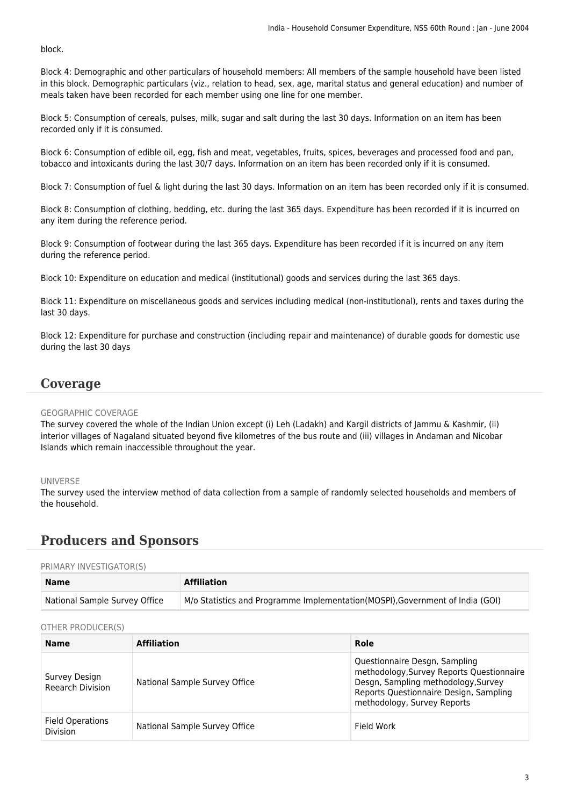block.

Block 4: Demographic and other particulars of household members: All members of the sample household have been listed in this block. Demographic particulars (viz., relation to head, sex, age, marital status and general education) and number of meals taken have been recorded for each member using one line for one member.

Block 5: Consumption of cereals, pulses, milk, sugar and salt during the last 30 days. Information on an item has been recorded only if it is consumed.

Block 6: Consumption of edible oil, egg, fish and meat, vegetables, fruits, spices, beverages and processed food and pan, tobacco and intoxicants during the last 30/7 days. Information on an item has been recorded only if it is consumed.

Block 7: Consumption of fuel & light during the last 30 days. Information on an item has been recorded only if it is consumed.

Block 8: Consumption of clothing, bedding, etc. during the last 365 days. Expenditure has been recorded if it is incurred on any item during the reference period.

Block 9: Consumption of footwear during the last 365 days. Expenditure has been recorded if it is incurred on any item during the reference period.

Block 10: Expenditure on education and medical (institutional) goods and services during the last 365 days.

Block 11: Expenditure on miscellaneous goods and services including medical (non-institutional), rents and taxes during the last 30 days.

Block 12: Expenditure for purchase and construction (including repair and maintenance) of durable goods for domestic use during the last 30 days

#### **Coverage**

#### GEOGRAPHIC COVERAGE

The survey covered the whole of the Indian Union except (i) Leh (Ladakh) and Kargil districts of Jammu & Kashmir, (ii) interior villages of Nagaland situated beyond five kilometres of the bus route and (iii) villages in Andaman and Nicobar Islands which remain inaccessible throughout the year.

#### UNIVERSE

The survey used the interview method of data collection from a sample of randomly selected households and members of the household.

#### **Producers and Sponsors**

#### PRIMARY INVESTIGATOR(S)

| <b>Name</b>                   | <b>Affiliation</b>                                                            |
|-------------------------------|-------------------------------------------------------------------------------|
| National Sample Survey Office | M/o Statistics and Programme Implementation(MOSPI), Government of India (GOI) |

#### OTHER PRODUCER(S)

| <b>Name</b>                                | <b>Affiliation</b>            | Role                                                                                                                                                                                       |  |  |
|--------------------------------------------|-------------------------------|--------------------------------------------------------------------------------------------------------------------------------------------------------------------------------------------|--|--|
| Survey Design<br><b>Reearch Division</b>   | National Sample Survey Office | Questionnaire Desgn, Sampling<br>methodology, Survey Reports Questionnaire<br>Desgn, Sampling methodology, Survey<br>Reports Questionnaire Design, Sampling<br>methodology, Survey Reports |  |  |
| <b>Field Operations</b><br><b>Division</b> | National Sample Survey Office | Field Work                                                                                                                                                                                 |  |  |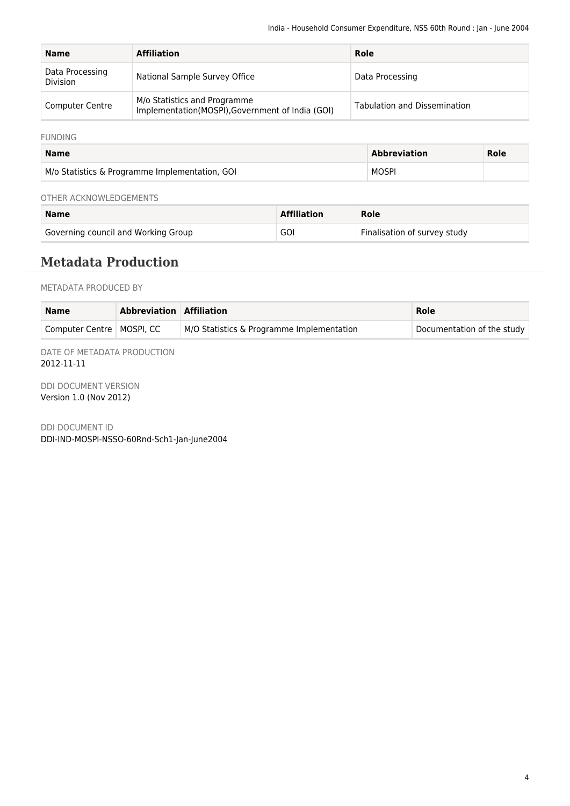| <b>Name</b>                        | <b>Affiliation</b>                                                               | Role                                |
|------------------------------------|----------------------------------------------------------------------------------|-------------------------------------|
| Data Processing<br><b>Division</b> | National Sample Survey Office                                                    | Data Processing                     |
| <b>Computer Centre</b>             | M/o Statistics and Programme<br>Implementation(MOSPI), Government of India (GOI) | <b>Tabulation and Dissemination</b> |

#### FUNDING

| <b>Name</b>                                    | <b>Abbreviation</b> | Role |
|------------------------------------------------|---------------------|------|
| M/o Statistics & Programme Implementation, GOI | <b>MOSPI</b>        |      |

#### OTHER ACKNOWLEDGEMENTS

| <b>Name</b>                         | <b>Affiliation</b> | Role                         |
|-------------------------------------|--------------------|------------------------------|
| Governing council and Working Group | <b>GOI</b>         | Finalisation of survey study |

#### **Metadata Production**

#### METADATA PRODUCED BY

| <b>Name</b>                 | Abbreviation   Affiliation |                                           | Role                       |
|-----------------------------|----------------------------|-------------------------------------------|----------------------------|
| Computer Centre   MOSPI, CC |                            | M/O Statistics & Programme Implementation | Documentation of the study |

DATE OF METADATA PRODUCTION 2012-11-11

DDI DOCUMENT VERSION Version 1.0 (Nov 2012)

DDI DOCUMENT ID DDI-IND-MOSPI-NSSO-60Rnd-Sch1-Jan-June2004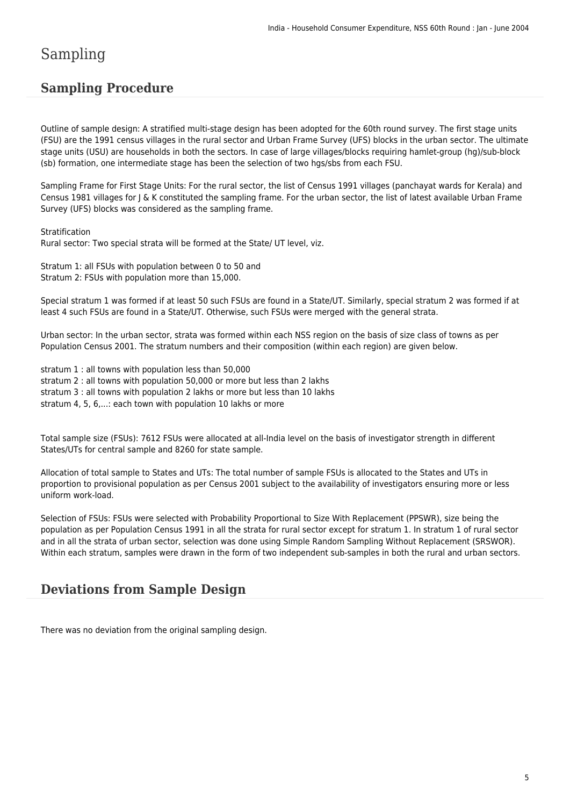# Sampling

#### **Sampling Procedure**

Outline of sample design: A stratified multi-stage design has been adopted for the 60th round survey. The first stage units (FSU) are the 1991 census villages in the rural sector and Urban Frame Survey (UFS) blocks in the urban sector. The ultimate stage units (USU) are households in both the sectors. In case of large villages/blocks requiring hamlet-group (hg)/sub-block (sb) formation, one intermediate stage has been the selection of two hgs/sbs from each FSU.

Sampling Frame for First Stage Units: For the rural sector, the list of Census 1991 villages (panchayat wards for Kerala) and Census 1981 villages for J & K constituted the sampling frame. For the urban sector, the list of latest available Urban Frame Survey (UFS) blocks was considered as the sampling frame.

Stratification

Rural sector: Two special strata will be formed at the State/ UT level, viz.

Stratum 1: all FSUs with population between 0 to 50 and Stratum 2: FSUs with population more than 15,000.

Special stratum 1 was formed if at least 50 such FSUs are found in a State/UT. Similarly, special stratum 2 was formed if at least 4 such FSUs are found in a State/UT. Otherwise, such FSUs were merged with the general strata.

Urban sector: In the urban sector, strata was formed within each NSS region on the basis of size class of towns as per Population Census 2001. The stratum numbers and their composition (within each region) are given below.

- stratum 1 : all towns with population less than 50,000 stratum 2 : all towns with population 50,000 or more but less than 2 lakhs stratum 3 : all towns with population 2 lakhs or more but less than 10 lakhs
- stratum 4, 5, 6,...: each town with population 10 lakhs or more

Total sample size (FSUs): 7612 FSUs were allocated at all-India level on the basis of investigator strength in different States/UTs for central sample and 8260 for state sample.

Allocation of total sample to States and UTs: The total number of sample FSUs is allocated to the States and UTs in proportion to provisional population as per Census 2001 subject to the availability of investigators ensuring more or less uniform work-load.

Selection of FSUs: FSUs were selected with Probability Proportional to Size With Replacement (PPSWR), size being the population as per Population Census 1991 in all the strata for rural sector except for stratum 1. In stratum 1 of rural sector and in all the strata of urban sector, selection was done using Simple Random Sampling Without Replacement (SRSWOR). Within each stratum, samples were drawn in the form of two independent sub-samples in both the rural and urban sectors.

#### **Deviations from Sample Design**

There was no deviation from the original sampling design.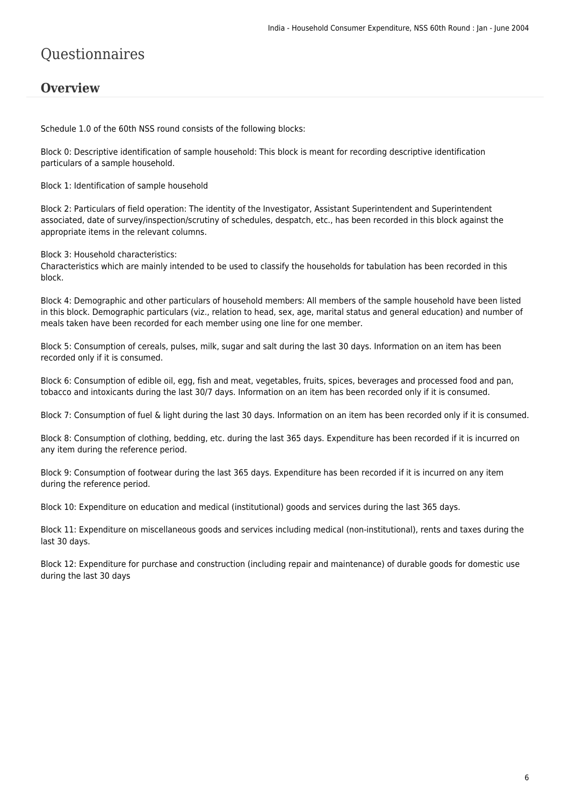# Questionnaires

#### **Overview**

Schedule 1.0 of the 60th NSS round consists of the following blocks:

Block 0: Descriptive identification of sample household: This block is meant for recording descriptive identification particulars of a sample household.

Block 1: Identification of sample household

Block 2: Particulars of field operation: The identity of the Investigator, Assistant Superintendent and Superintendent associated, date of survey/inspection/scrutiny of schedules, despatch, etc., has been recorded in this block against the appropriate items in the relevant columns.

Block 3: Household characteristics:

Characteristics which are mainly intended to be used to classify the households for tabulation has been recorded in this block.

Block 4: Demographic and other particulars of household members: All members of the sample household have been listed in this block. Demographic particulars (viz., relation to head, sex, age, marital status and general education) and number of meals taken have been recorded for each member using one line for one member.

Block 5: Consumption of cereals, pulses, milk, sugar and salt during the last 30 days. Information on an item has been recorded only if it is consumed.

Block 6: Consumption of edible oil, egg, fish and meat, vegetables, fruits, spices, beverages and processed food and pan, tobacco and intoxicants during the last 30/7 days. Information on an item has been recorded only if it is consumed.

Block 7: Consumption of fuel & light during the last 30 days. Information on an item has been recorded only if it is consumed.

Block 8: Consumption of clothing, bedding, etc. during the last 365 days. Expenditure has been recorded if it is incurred on any item during the reference period.

Block 9: Consumption of footwear during the last 365 days. Expenditure has been recorded if it is incurred on any item during the reference period.

Block 10: Expenditure on education and medical (institutional) goods and services during the last 365 days.

Block 11: Expenditure on miscellaneous goods and services including medical (non-institutional), rents and taxes during the last 30 days.

Block 12: Expenditure for purchase and construction (including repair and maintenance) of durable goods for domestic use during the last 30 days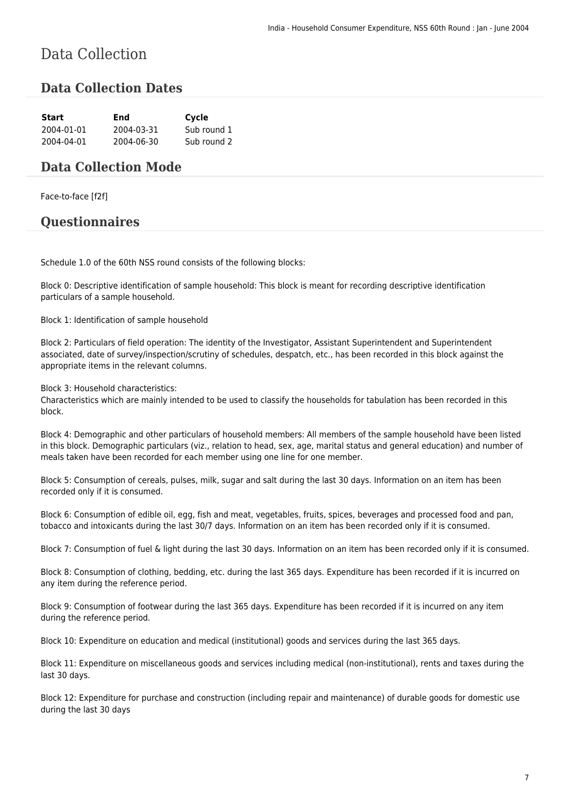# Data Collection

#### **Data Collection Dates**

| Start      | End        | Cycle       |
|------------|------------|-------------|
| 2004-01-01 | 2004-03-31 | Sub round 1 |
| 2004-04-01 | 2004-06-30 | Sub round 2 |

#### **Data Collection Mode**

Face-to-face [f2f]

#### **Questionnaires**

Schedule 1.0 of the 60th NSS round consists of the following blocks:

Block 0: Descriptive identification of sample household: This block is meant for recording descriptive identification particulars of a sample household.

Block 1: Identification of sample household

Block 2: Particulars of field operation: The identity of the Investigator, Assistant Superintendent and Superintendent associated, date of survey/inspection/scrutiny of schedules, despatch, etc., has been recorded in this block against the appropriate items in the relevant columns.

Block 3: Household characteristics:

Characteristics which are mainly intended to be used to classify the households for tabulation has been recorded in this block.

Block 4: Demographic and other particulars of household members: All members of the sample household have been listed in this block. Demographic particulars (viz., relation to head, sex, age, marital status and general education) and number of meals taken have been recorded for each member using one line for one member.

Block 5: Consumption of cereals, pulses, milk, sugar and salt during the last 30 days. Information on an item has been recorded only if it is consumed.

Block 6: Consumption of edible oil, egg, fish and meat, vegetables, fruits, spices, beverages and processed food and pan, tobacco and intoxicants during the last 30/7 days. Information on an item has been recorded only if it is consumed.

Block 7: Consumption of fuel & light during the last 30 days. Information on an item has been recorded only if it is consumed.

Block 8: Consumption of clothing, bedding, etc. during the last 365 days. Expenditure has been recorded if it is incurred on any item during the reference period.

Block 9: Consumption of footwear during the last 365 days. Expenditure has been recorded if it is incurred on any item during the reference period.

Block 10: Expenditure on education and medical (institutional) goods and services during the last 365 days.

Block 11: Expenditure on miscellaneous goods and services including medical (non-institutional), rents and taxes during the last 30 days.

Block 12: Expenditure for purchase and construction (including repair and maintenance) of durable goods for domestic use during the last 30 days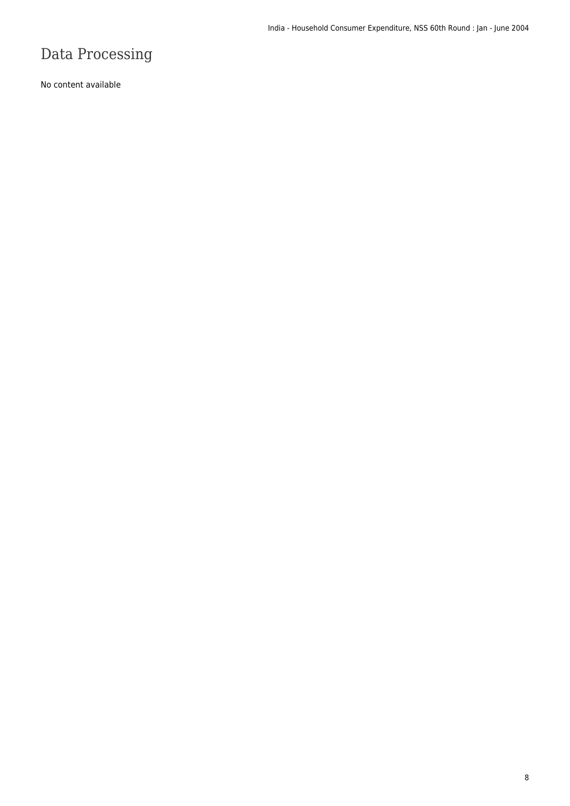# Data Processing

No content available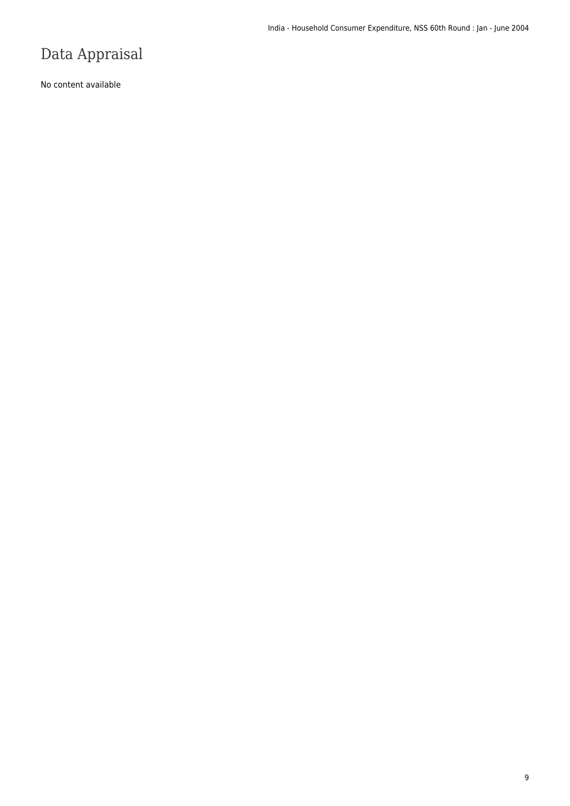# Data Appraisal

No content available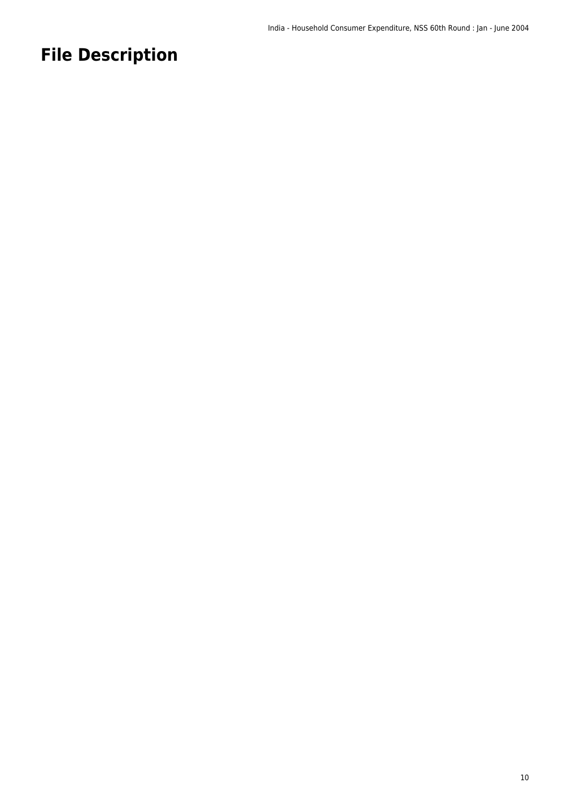# **File Description**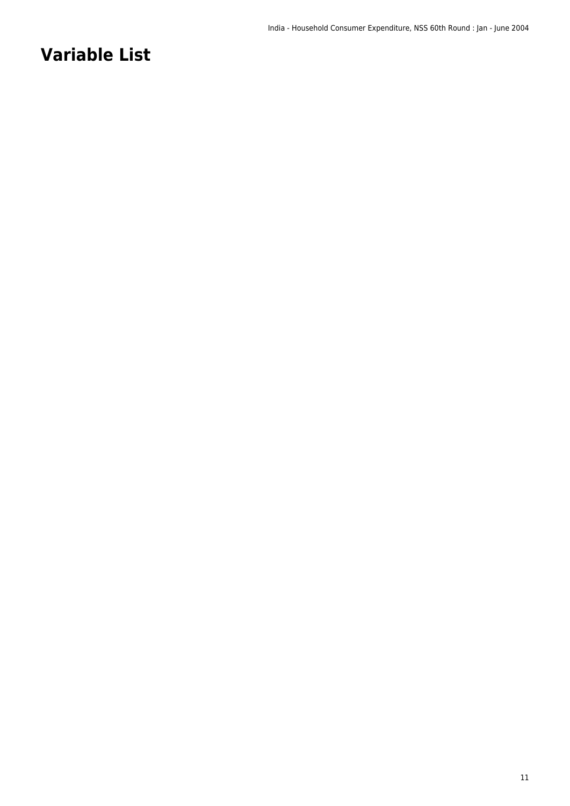# **Variable List**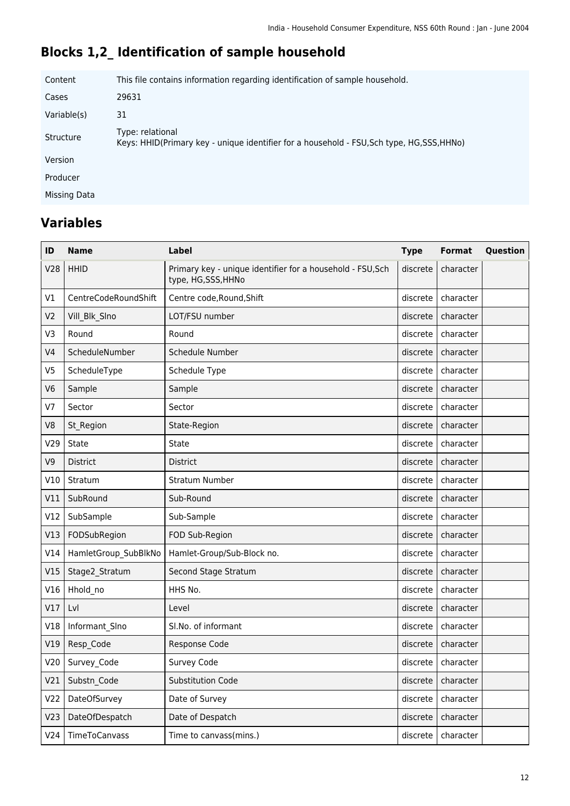# **Blocks 1,2\_ Identification of sample household**

| Content          | This file contains information regarding identification of sample household.                                   |
|------------------|----------------------------------------------------------------------------------------------------------------|
| Cases            | 29631                                                                                                          |
| Variable(s)      | 31                                                                                                             |
| <b>Structure</b> | Type: relational<br>Keys: HHID(Primary key - unique identifier for a household - FSU, Sch type, HG, SSS, HHNo) |
| Version          |                                                                                                                |
| Producer         |                                                                                                                |
| Missing Data     |                                                                                                                |

| ID              | <b>Name</b>                                                                                     | <b>Label</b>               | <b>Type</b> | <b>Format</b> | Question |
|-----------------|-------------------------------------------------------------------------------------------------|----------------------------|-------------|---------------|----------|
| V28             | <b>HHID</b><br>Primary key - unique identifier for a household - FSU, Sch<br>type, HG,SSS, HHNo |                            | discrete    | character     |          |
| V1              | CentreCodeRoundShift                                                                            | Centre code, Round, Shift  | discrete    | character     |          |
| V <sub>2</sub>  | Vill Blk Slno                                                                                   | LOT/FSU number             | discrete    | character     |          |
| V3              | Round                                                                                           | Round                      | discrete    | character     |          |
| V <sub>4</sub>  | ScheduleNumber                                                                                  | Schedule Number            | discrete    | character     |          |
| V <sub>5</sub>  | ScheduleType                                                                                    | Schedule Type              | discrete    | character     |          |
| V <sub>6</sub>  | Sample                                                                                          | Sample                     | discrete    | character     |          |
| V <sub>7</sub>  | Sector                                                                                          | Sector                     | discrete    | character     |          |
| V <sub>8</sub>  | St Region                                                                                       | State-Region               | discrete    | character     |          |
| V29             | State                                                                                           | State                      | discrete    | character     |          |
| V <sub>9</sub>  | <b>District</b>                                                                                 | <b>District</b>            | discrete    | character     |          |
| V10             | Stratum                                                                                         | Stratum Number             | discrete    | character     |          |
| V11             | SubRound                                                                                        | Sub-Round                  | discrete    | character     |          |
| V12             | SubSample                                                                                       | Sub-Sample                 | discrete    | character     |          |
| V13             | FODSubRegion                                                                                    | FOD Sub-Region             | discrete    | character     |          |
| V14             | HamletGroup_SubBlkNo                                                                            | Hamlet-Group/Sub-Block no. | discrete    | character     |          |
| V15             | Stage2 Stratum                                                                                  | Second Stage Stratum       | discrete    | character     |          |
| V16             | Hhold no                                                                                        | HHS No.                    | discrete    | character     |          |
| V17             | Lvl                                                                                             | Level                      | discrete    | character     |          |
| V18             | Informant Sino                                                                                  | Sl.No. of informant        | discrete    | character     |          |
| V19             | Resp Code                                                                                       | Response Code              | discrete    | character     |          |
| V20             | Survey_Code                                                                                     | Survey Code                | discrete    | character     |          |
| V <sub>21</sub> | Substn Code                                                                                     | <b>Substitution Code</b>   | discrete    | character     |          |
| V <sub>22</sub> | DateOfSurvey                                                                                    | Date of Survey             | discrete    | character     |          |
| V <sub>23</sub> | DateOfDespatch                                                                                  | Date of Despatch           | discrete    | character     |          |
| V <sub>24</sub> | <b>TimeToCanvass</b>                                                                            | Time to canvass(mins.)     | discrete    | character     |          |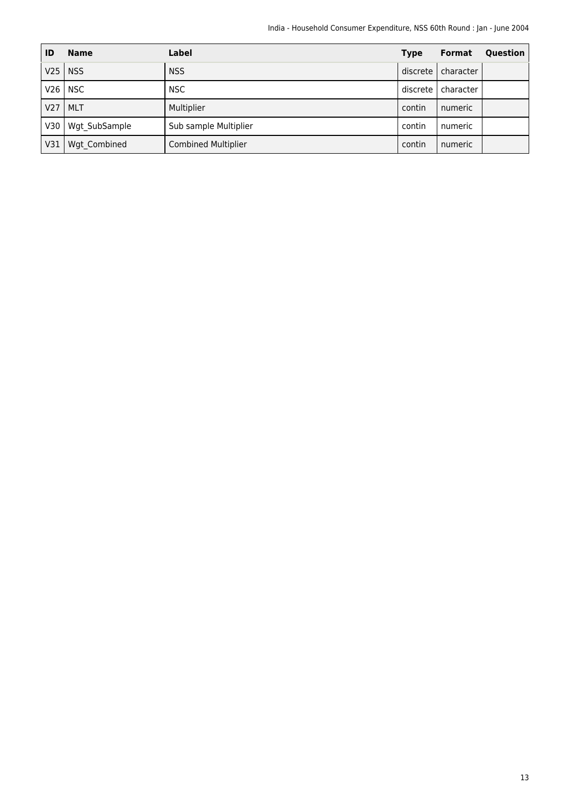India - Household Consumer Expenditure, NSS 60th Round : Jan - June 2004

| ID              | <b>Name</b>   | Label                      | <b>Type</b> | <b>Format</b>        | Question |
|-----------------|---------------|----------------------------|-------------|----------------------|----------|
| V <sub>25</sub> | <b>NSS</b>    | <b>NSS</b>                 |             | discrete   character |          |
|                 | $V26$   NSC   | <b>NSC</b>                 |             | discrete   character |          |
|                 | $V27$ MLT     | Multiplier                 | contin      | numeric              |          |
| V30             | Wgt SubSample | Sub sample Multiplier      | contin      | numeric              |          |
| V31             | Wgt Combined  | <b>Combined Multiplier</b> | contin      | numeric              |          |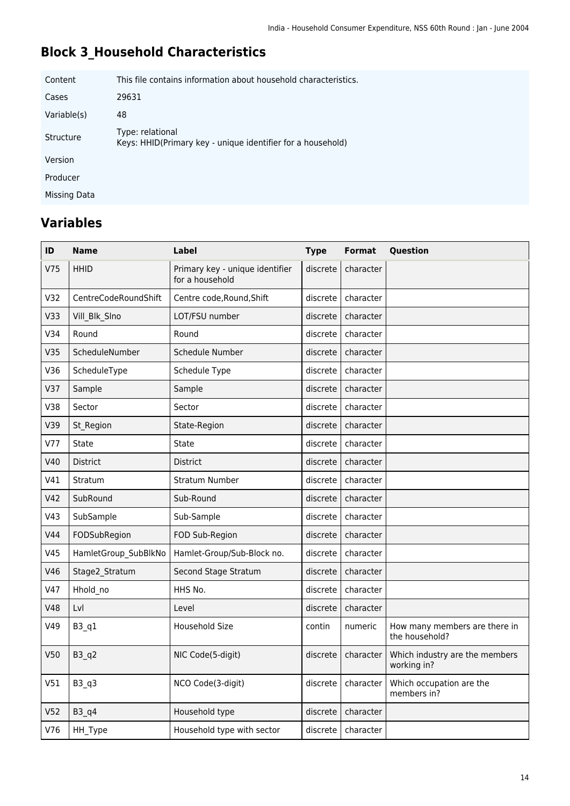# **Block 3\_Household Characteristics**

| Content      | This file contains information about household characteristics.                 |
|--------------|---------------------------------------------------------------------------------|
| Cases        | 29631                                                                           |
| Variable(s)  | 48                                                                              |
| Structure    | Type: relational<br>Keys: HHID(Primary key - unique identifier for a household) |
| Version      |                                                                                 |
| Producer     |                                                                                 |
| Missing Data |                                                                                 |

| ID              | <b>Name</b>          | <b>Label</b>                                       | <b>Type</b> | <b>Format</b> | Question                                        |
|-----------------|----------------------|----------------------------------------------------|-------------|---------------|-------------------------------------------------|
| V75             | <b>HHID</b>          | Primary key - unique identifier<br>for a household | discrete    | character     |                                                 |
| V32             | CentreCodeRoundShift | Centre code, Round, Shift                          | discrete    | character     |                                                 |
| V <sub>33</sub> | Vill Blk Slno        | LOT/FSU number                                     | discrete    | character     |                                                 |
| V34             | Round                | Round                                              | discrete    | character     |                                                 |
| V35             | ScheduleNumber       | Schedule Number                                    | discrete    | character     |                                                 |
| V36             | ScheduleType         | Schedule Type                                      | discrete    | character     |                                                 |
| V37             | Sample               | Sample                                             | discrete    | character     |                                                 |
| V38             | Sector               | Sector                                             | discrete    | character     |                                                 |
| V39             | St Region            | State-Region                                       | discrete    | character     |                                                 |
| V77             | State                | State                                              | discrete    | character     |                                                 |
| V40             | District             | District                                           | discrete    | character     |                                                 |
| V41             | Stratum              | Stratum Number                                     | discrete    | character     |                                                 |
| V42             | SubRound             | Sub-Round                                          | discrete    | character     |                                                 |
| V43             | SubSample            | Sub-Sample                                         | discrete    | character     |                                                 |
| V44             | FODSubRegion         | FOD Sub-Region                                     | discrete    | character     |                                                 |
| V45             | HamletGroup SubBlkNo | Hamlet-Group/Sub-Block no.                         | discrete    | character     |                                                 |
| V46             | Stage2 Stratum       | Second Stage Stratum                               | discrete    | character     |                                                 |
| V47             | Hhold no             | HHS No.                                            | discrete    | character     |                                                 |
| V48             | Lvl                  | Level                                              | discrete    | character     |                                                 |
| V49             | $B3_q1$              | Household Size                                     | contin      | numeric       | How many members are there in<br>the household? |
| V <sub>50</sub> | $B3_q2$              | NIC Code(5-digit)                                  | discrete    | character     | Which industry are the members<br>working in?   |
| V51             | $B3_q3$              | NCO Code(3-digit)                                  | discrete    | character     | Which occupation are the<br>members in?         |
| V <sub>52</sub> | $B3_q4$              | Household type                                     | discrete    | character     |                                                 |
| V76             | HH Type              | Household type with sector                         | discrete    | character     |                                                 |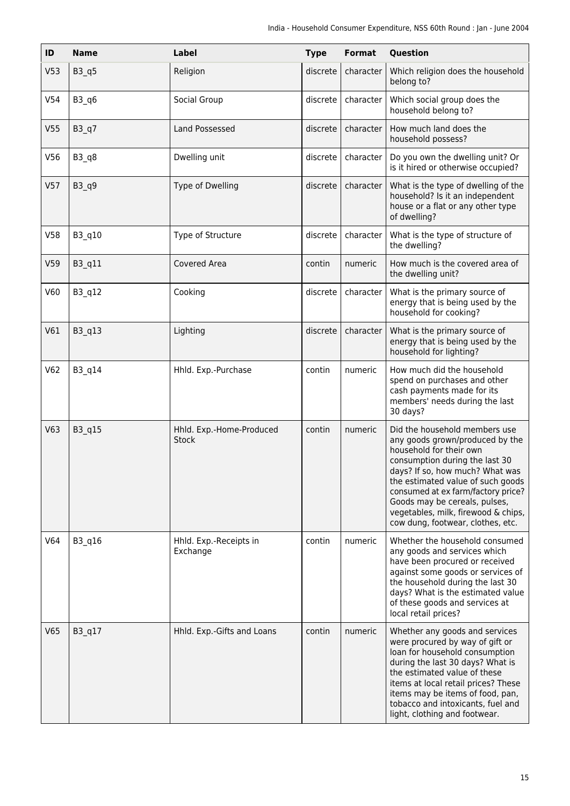| ID              | <b>Name</b> | Label                                    | <b>Type</b> | <b>Format</b> | Question                                                                                                                                                                                                                                                                                                                                                 |
|-----------------|-------------|------------------------------------------|-------------|---------------|----------------------------------------------------------------------------------------------------------------------------------------------------------------------------------------------------------------------------------------------------------------------------------------------------------------------------------------------------------|
| V <sub>53</sub> | $B3_q5$     | Religion                                 | discrete    | character     | Which religion does the household<br>belong to?                                                                                                                                                                                                                                                                                                          |
| V <sub>54</sub> | B3 q6       | Social Group                             | discrete    | character     | Which social group does the<br>household belong to?                                                                                                                                                                                                                                                                                                      |
| V <sub>55</sub> | B3 q7       | Land Possessed                           | discrete    | character     | How much land does the<br>household possess?                                                                                                                                                                                                                                                                                                             |
| V56             | B3 q8       | Dwelling unit                            | discrete    | character     | Do you own the dwelling unit? Or<br>is it hired or otherwise occupied?                                                                                                                                                                                                                                                                                   |
| V57             | B3 q9       | Type of Dwelling                         | discrete    | character     | What is the type of dwelling of the<br>household? Is it an independent<br>house or a flat or any other type<br>of dwelling?                                                                                                                                                                                                                              |
| V58             | B3 q10      | Type of Structure                        | discrete    | character     | What is the type of structure of<br>the dwelling?                                                                                                                                                                                                                                                                                                        |
| V59             | B3 q11      | Covered Area                             | contin      | numeric       | How much is the covered area of<br>the dwelling unit?                                                                                                                                                                                                                                                                                                    |
| V60             | B3 q12      | Cooking                                  | discrete    | character     | What is the primary source of<br>energy that is being used by the<br>household for cooking?                                                                                                                                                                                                                                                              |
| V61             | B3 q13      | Lighting                                 | discrete    | character     | What is the primary source of<br>energy that is being used by the<br>household for lighting?                                                                                                                                                                                                                                                             |
| V62             | B3_q14      | Hhld. Exp.-Purchase                      | contin      | numeric       | How much did the household<br>spend on purchases and other<br>cash payments made for its<br>members' needs during the last<br>30 days?                                                                                                                                                                                                                   |
| V63             | B3_q15      | Hhld. Exp.-Home-Produced<br><b>Stock</b> | contin      | numeric       | Did the household members use<br>any goods grown/produced by the<br>household for their own<br>consumption during the last 30<br>days? If so, how much? What was<br>the estimated value of such goods<br>consumed at ex farm/factory price?<br>Goods may be cereals, pulses,<br>vegetables, milk, firewood & chips,<br>cow dung, footwear, clothes, etc. |
| V64             | B3 q16      | Hhld. Exp.-Receipts in<br>Exchange       | contin      | numeric       | Whether the household consumed<br>any goods and services which<br>have been procured or received<br>against some goods or services of<br>the household during the last 30<br>days? What is the estimated value<br>of these goods and services at<br>local retail prices?                                                                                 |
| V65             | B3_q17      | Hhld. Exp.-Gifts and Loans               | contin      | numeric       | Whether any goods and services<br>were procured by way of gift or<br>loan for household consumption<br>during the last 30 days? What is<br>the estimated value of these<br>items at local retail prices? These<br>items may be items of food, pan,<br>tobacco and intoxicants, fuel and<br>light, clothing and footwear.                                 |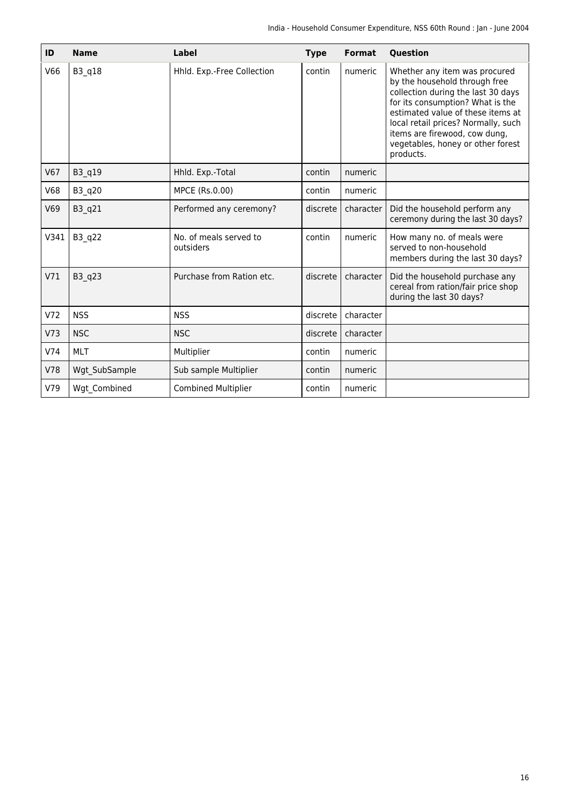| ID              | <b>Name</b>   | <b>Label</b>                        | <b>Type</b> | <b>Format</b> | Question                                                                                                                                                                                                                                                                                                |
|-----------------|---------------|-------------------------------------|-------------|---------------|---------------------------------------------------------------------------------------------------------------------------------------------------------------------------------------------------------------------------------------------------------------------------------------------------------|
| V66             | B3_q18        | Hhld. Exp.-Free Collection          | contin      | numeric       | Whether any item was procured<br>by the household through free<br>collection during the last 30 days<br>for its consumption? What is the<br>estimated value of these items at<br>local retail prices? Normally, such<br>items are firewood, cow dung,<br>vegetables, honey or other forest<br>products. |
| V67             | B3 q19        | Hhld. Exp.-Total                    | contin      | numeric       |                                                                                                                                                                                                                                                                                                         |
| <b>V68</b>      | B3_q20        | MPCE (Rs.0.00)                      | contin      | numeric       |                                                                                                                                                                                                                                                                                                         |
| V69             | B3_q21        | Performed any ceremony?             | discrete    | character     | Did the household perform any<br>ceremony during the last 30 days?                                                                                                                                                                                                                                      |
| V341            | B3 q22        | No. of meals served to<br>outsiders | contin      | numeric       | How many no. of meals were<br>served to non-household<br>members during the last 30 days?                                                                                                                                                                                                               |
| V71             | B3 q23        | Purchase from Ration etc.           | discrete    | character     | Did the household purchase any<br>cereal from ration/fair price shop<br>during the last 30 days?                                                                                                                                                                                                        |
| V72             | <b>NSS</b>    | <b>NSS</b>                          | discrete    | character     |                                                                                                                                                                                                                                                                                                         |
| V <sub>73</sub> | <b>NSC</b>    | <b>NSC</b>                          | discrete    | character     |                                                                                                                                                                                                                                                                                                         |
| V74             | <b>MLT</b>    | Multiplier                          | contin      | numeric       |                                                                                                                                                                                                                                                                                                         |
| V78             | Wgt SubSample | Sub sample Multiplier               | contin      | numeric       |                                                                                                                                                                                                                                                                                                         |
| V79             | Wgt Combined  | <b>Combined Multiplier</b>          | contin      | numeric       |                                                                                                                                                                                                                                                                                                         |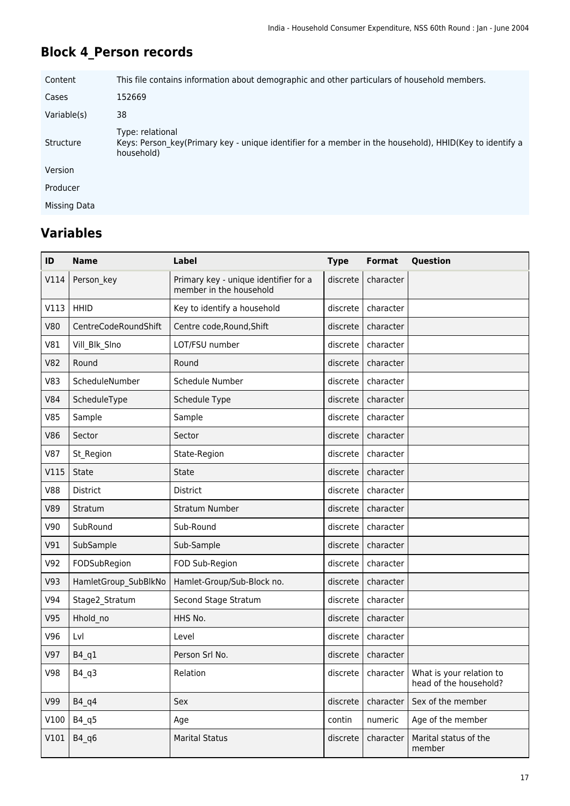# **Block 4\_Person records**

| Content      | This file contains information about demographic and other particulars of household members.                                              |
|--------------|-------------------------------------------------------------------------------------------------------------------------------------------|
| Cases        | 152669                                                                                                                                    |
| Variable(s)  | 38                                                                                                                                        |
| Structure    | Type: relational<br>Keys: Person key(Primary key - unique identifier for a member in the household), HHID(Key to identify a<br>household) |
| Version      |                                                                                                                                           |
| Producer     |                                                                                                                                           |
| Missing Data |                                                                                                                                           |

| ID         | <b>Name</b>          | Label                                                            | <b>Type</b> | <b>Format</b> | Question                                           |
|------------|----------------------|------------------------------------------------------------------|-------------|---------------|----------------------------------------------------|
| V114       | Person key           | Primary key - unique identifier for a<br>member in the household | discrete    | character     |                                                    |
| V113       | <b>HHID</b>          | Key to identify a household                                      | discrete    | character     |                                                    |
| <b>V80</b> | CentreCodeRoundShift | Centre code, Round, Shift                                        | discrete    | character     |                                                    |
| V81        | Vill_Blk_Slno        | LOT/FSU number                                                   | discrete    | character     |                                                    |
| <b>V82</b> | Round                | Round                                                            | discrete    | character     |                                                    |
| V83        | ScheduleNumber       | Schedule Number                                                  | discrete    | character     |                                                    |
| <b>V84</b> | ScheduleType         | Schedule Type                                                    | discrete    | character     |                                                    |
| <b>V85</b> | Sample               | Sample                                                           | discrete    | character     |                                                    |
| <b>V86</b> | Sector               | Sector                                                           | discrete    | character     |                                                    |
| <b>V87</b> | St_Region            | State-Region                                                     | discrete    | character     |                                                    |
| V115       | State                | State                                                            | discrete    | character     |                                                    |
| <b>V88</b> | District             | <b>District</b>                                                  | discrete    | character     |                                                    |
| V89        | Stratum              | <b>Stratum Number</b>                                            | discrete    | character     |                                                    |
| V90        | SubRound             | Sub-Round                                                        | discrete    | character     |                                                    |
| V91        | SubSample            | Sub-Sample                                                       | discrete    | character     |                                                    |
| V92        | FODSubRegion         | FOD Sub-Region                                                   | discrete    | character     |                                                    |
| V93        | HamletGroup SubBlkNo | Hamlet-Group/Sub-Block no.                                       | discrete    | character     |                                                    |
| V94        | Stage2 Stratum       | Second Stage Stratum                                             | discrete    | character     |                                                    |
| V95        | Hhold no             | HHS No.                                                          | discrete    | character     |                                                    |
| V96        | Lvl                  | Level                                                            | discrete    | character     |                                                    |
| V97        | $B4_q1$              | Person Srl No.                                                   | discrete    | character     |                                                    |
| V98        | $B4_q3$              | Relation                                                         | discrete    | character     | What is your relation to<br>head of the household? |
| V99        | B4_q4                | Sex                                                              | discrete    | character     | Sex of the member                                  |
| V100       | B4 q5                | Age                                                              | contin      | numeric       | Age of the member                                  |
| V101       | B4 q6                | <b>Marital Status</b>                                            | discrete    | character     | Marital status of the<br>member                    |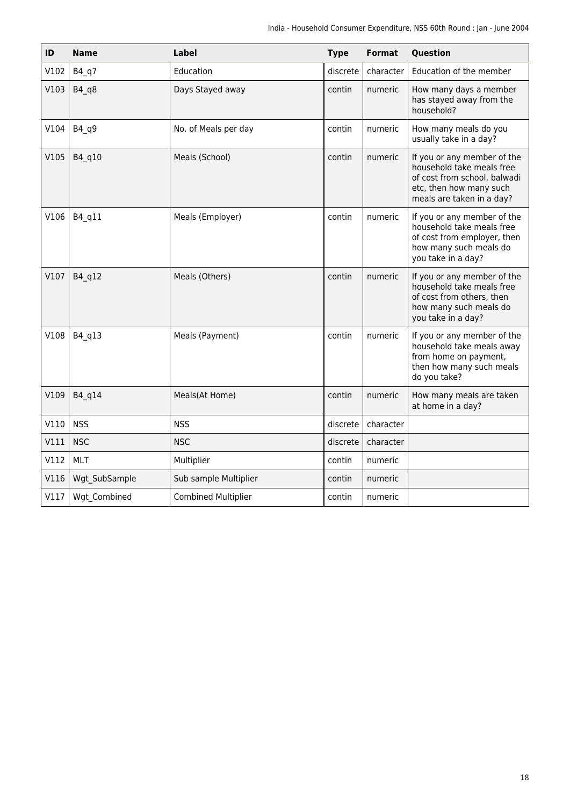| ID   | <b>Name</b>   | Label                      | <b>Type</b> | <b>Format</b> | Question                                                                                                                                         |
|------|---------------|----------------------------|-------------|---------------|--------------------------------------------------------------------------------------------------------------------------------------------------|
| V102 | B4 q7         | Education                  | discrete    | character     | Education of the member                                                                                                                          |
| V103 | $B4_q8$       | Days Stayed away           | contin      | numeric       | How many days a member<br>has stayed away from the<br>household?                                                                                 |
| V104 | B4 q9         | No. of Meals per day       | contin      | numeric       | How many meals do you<br>usually take in a day?                                                                                                  |
| V105 | B4 q10        | Meals (School)             | contin      | numeric       | If you or any member of the<br>household take meals free<br>of cost from school, balwadi<br>etc, then how many such<br>meals are taken in a day? |
| V106 | B4 q11        | Meals (Employer)           | contin      | numeric       | If you or any member of the<br>household take meals free<br>of cost from employer, then<br>how many such meals do<br>you take in a day?          |
| V107 | B4 q12        | Meals (Others)             | contin      | numeric       | If you or any member of the<br>household take meals free<br>of cost from others, then<br>how many such meals do<br>you take in a day?            |
| V108 | B4 q13        | Meals (Payment)            | contin      | numeric       | If you or any member of the<br>household take meals away<br>from home on payment,<br>then how many such meals<br>do you take?                    |
| V109 | B4 q14        | Meals(At Home)             | contin      | numeric       | How many meals are taken<br>at home in a day?                                                                                                    |
| V110 | <b>NSS</b>    | <b>NSS</b>                 | discrete    | character     |                                                                                                                                                  |
| V111 | <b>NSC</b>    | <b>NSC</b>                 | discrete    | character     |                                                                                                                                                  |
| V112 | <b>MLT</b>    | Multiplier                 | contin      | numeric       |                                                                                                                                                  |
| V116 | Wgt SubSample | Sub sample Multiplier      | contin      | numeric       |                                                                                                                                                  |
| V117 | Wgt_Combined  | <b>Combined Multiplier</b> | contin      | numeric       |                                                                                                                                                  |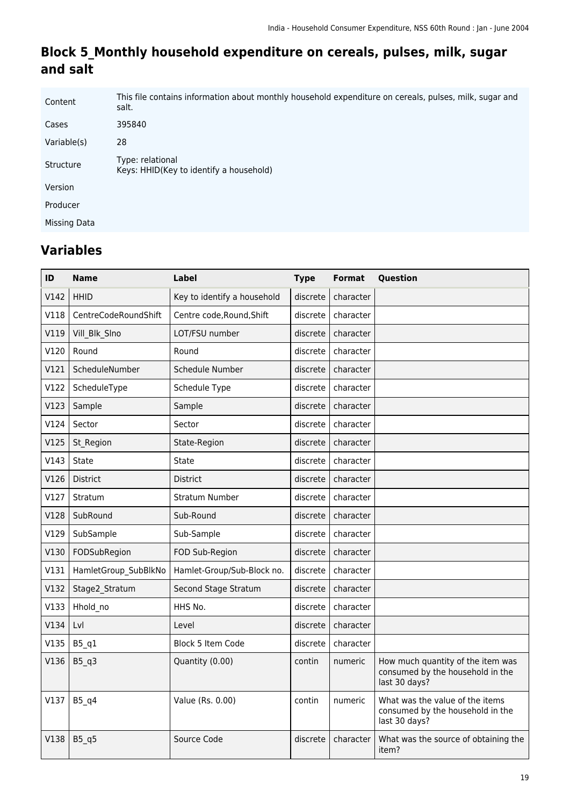### **Block 5\_Monthly household expenditure on cereals, pulses, milk, sugar and salt**

| Content      | This file contains information about monthly household expenditure on cereals, pulses, milk, sugar and<br>salt. |
|--------------|-----------------------------------------------------------------------------------------------------------------|
| Cases        | 395840                                                                                                          |
| Variable(s)  | 28                                                                                                              |
| Structure    | Type: relational<br>Keys: HHID(Key to identify a household)                                                     |
| Version      |                                                                                                                 |
| Producer     |                                                                                                                 |
| Missing Data |                                                                                                                 |

| ID   | <b>Name</b>          | Label                       | <b>Type</b> | <b>Format</b> | Question                                                                               |
|------|----------------------|-----------------------------|-------------|---------------|----------------------------------------------------------------------------------------|
| V142 | <b>HHID</b>          | Key to identify a household | discrete    | character     |                                                                                        |
| V118 | CentreCodeRoundShift | Centre code, Round, Shift   | discrete    | character     |                                                                                        |
| V119 | Vill Blk Slno        | LOT/FSU number              | discrete    | character     |                                                                                        |
| V120 | Round                | Round                       | discrete    | character     |                                                                                        |
| V121 | ScheduleNumber       | Schedule Number             | discrete    | character     |                                                                                        |
| V122 | ScheduleType         | Schedule Type               | discrete    | character     |                                                                                        |
| V123 | Sample               | Sample                      | discrete    | character     |                                                                                        |
| V124 | Sector               | Sector                      | discrete    | character     |                                                                                        |
| V125 | St Region            | State-Region                | discrete    | character     |                                                                                        |
| V143 | State                | <b>State</b>                | discrete    | character     |                                                                                        |
| V126 | <b>District</b>      | <b>District</b>             | discrete    | character     |                                                                                        |
| V127 | Stratum              | <b>Stratum Number</b>       | discrete    | character     |                                                                                        |
| V128 | SubRound             | Sub-Round                   | discrete    | character     |                                                                                        |
| V129 | SubSample            | Sub-Sample                  | discrete    | character     |                                                                                        |
| V130 | FODSubRegion         | FOD Sub-Region              | discrete    | character     |                                                                                        |
| V131 | HamletGroup_SubBlkNo | Hamlet-Group/Sub-Block no.  | discrete    | character     |                                                                                        |
| V132 | Stage2 Stratum       | Second Stage Stratum        | discrete    | character     |                                                                                        |
| V133 | Hhold_no             | HHS No.                     | discrete    | character     |                                                                                        |
| V134 | Lvl                  | Level                       | discrete    | character     |                                                                                        |
| V135 | $B5_q1$              | Block 5 Item Code           | discrete    | character     |                                                                                        |
| V136 | $B5_q3$              | Quantity (0.00)             | contin      | numeric       | How much quantity of the item was<br>consumed by the household in the<br>last 30 days? |
| V137 | $B5_q4$              | Value (Rs. 0.00)            | contin      | numeric       | What was the value of the items<br>consumed by the household in the<br>last 30 days?   |
| V138 | $B5_q5$              | Source Code                 | discrete    | character     | What was the source of obtaining the<br>item?                                          |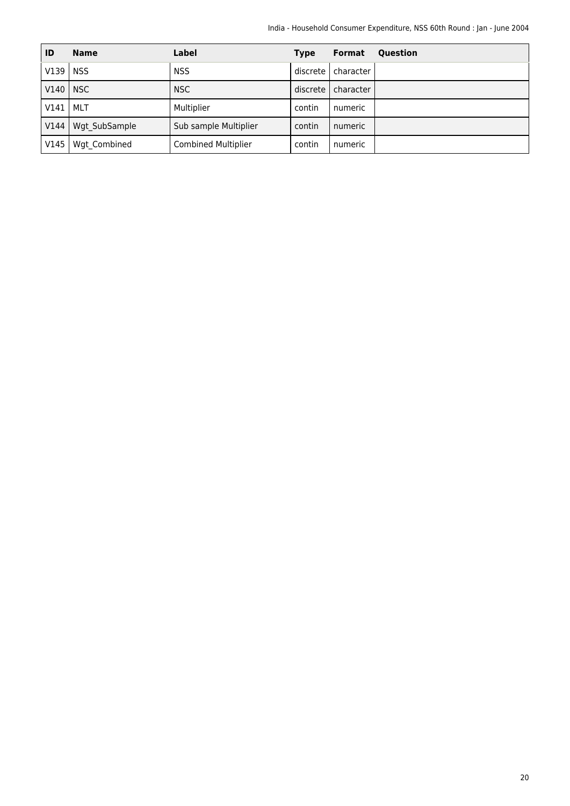India - Household Consumer Expenditure, NSS 60th Round : Jan - June 2004

| ID   | <b>Name</b>   | Label                      | <b>Type</b> | <b>Format</b> | <b>Question</b> |
|------|---------------|----------------------------|-------------|---------------|-----------------|
| V139 | <b>NSS</b>    | <b>NSS</b>                 | discrete    | character     |                 |
| V140 | <b>NSC</b>    | <b>NSC</b>                 | discrete    | character     |                 |
| V141 | <b>MLT</b>    | Multiplier                 | contin      | numeric       |                 |
| V144 | Wgt SubSample | Sub sample Multiplier      | contin      | numeric       |                 |
| V145 | Wgt Combined  | <b>Combined Multiplier</b> | contin      | numeric       |                 |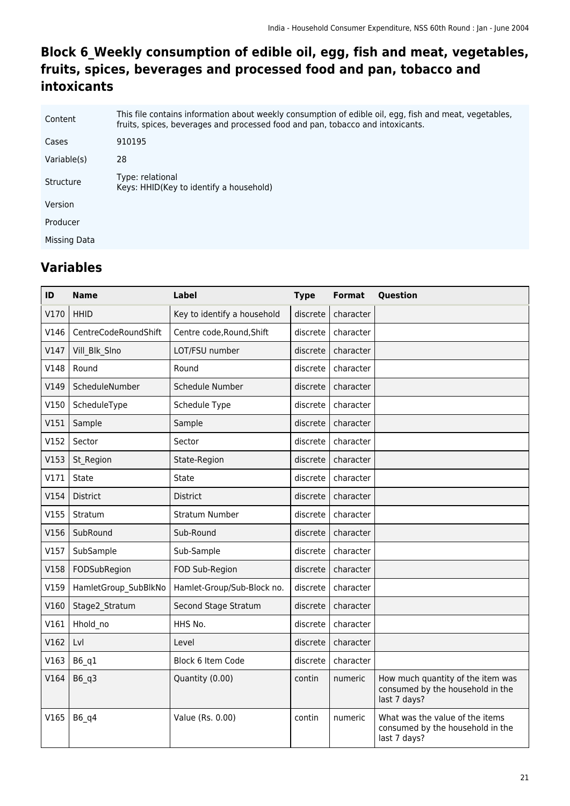### **Block 6\_Weekly consumption of edible oil, egg, fish and meat, vegetables, fruits, spices, beverages and processed food and pan, tobacco and intoxicants**

| Content      | This file contains information about weekly consumption of edible oil, egg, fish and meat, vegetables,<br>fruits, spices, beverages and processed food and pan, tobacco and intoxicants. |
|--------------|------------------------------------------------------------------------------------------------------------------------------------------------------------------------------------------|
| Cases        | 910195                                                                                                                                                                                   |
| Variable(s)  | 28                                                                                                                                                                                       |
| Structure    | Type: relational<br>Keys: HHID(Key to identify a household)                                                                                                                              |
| Version      |                                                                                                                                                                                          |
| Producer     |                                                                                                                                                                                          |
| Missing Data |                                                                                                                                                                                          |

| ID   | <b>Name</b>          | Label                       | <b>Type</b> | <b>Format</b> | Question                                                                              |
|------|----------------------|-----------------------------|-------------|---------------|---------------------------------------------------------------------------------------|
| V170 | HHID                 | Key to identify a household | discrete    | character     |                                                                                       |
| V146 | CentreCodeRoundShift | Centre code, Round, Shift   | discrete    | character     |                                                                                       |
| V147 | Vill_Blk_SIno        | LOT/FSU number              | discrete    | character     |                                                                                       |
| V148 | Round                | Round                       | discrete    | character     |                                                                                       |
| V149 | ScheduleNumber       | Schedule Number             | discrete    | character     |                                                                                       |
| V150 | ScheduleType         | Schedule Type               | discrete    | character     |                                                                                       |
| V151 | Sample               | Sample                      | discrete    | character     |                                                                                       |
| V152 | Sector               | Sector                      | discrete    | character     |                                                                                       |
| V153 | St Region            | State-Region                | discrete    | character     |                                                                                       |
| V171 | State                | State                       | discrete    | character     |                                                                                       |
| V154 | <b>District</b>      | <b>District</b>             | discrete    | character     |                                                                                       |
| V155 | Stratum              | <b>Stratum Number</b>       | discrete    | character     |                                                                                       |
| V156 | SubRound             | Sub-Round                   | discrete    | character     |                                                                                       |
| V157 | SubSample            | Sub-Sample                  | discrete    | character     |                                                                                       |
| V158 | FODSubRegion         | FOD Sub-Region              | discrete    | character     |                                                                                       |
| V159 | HamletGroup SubBlkNo | Hamlet-Group/Sub-Block no.  | discrete    | character     |                                                                                       |
| V160 | Stage2_Stratum       | Second Stage Stratum        | discrete    | character     |                                                                                       |
| V161 | Hhold no             | HHS No.                     | discrete    | character     |                                                                                       |
| V162 | Lvl                  | Level                       | discrete    | character     |                                                                                       |
| V163 | $B6_q1$              | <b>Block 6 Item Code</b>    | discrete    | character     |                                                                                       |
| V164 | $B6_q3$              | Quantity (0.00)             | contin      | numeric       | How much quantity of the item was<br>consumed by the household in the<br>last 7 days? |
| V165 | B6 q4                | Value (Rs. 0.00)            | contin      | numeric       | What was the value of the items<br>consumed by the household in the<br>last 7 days?   |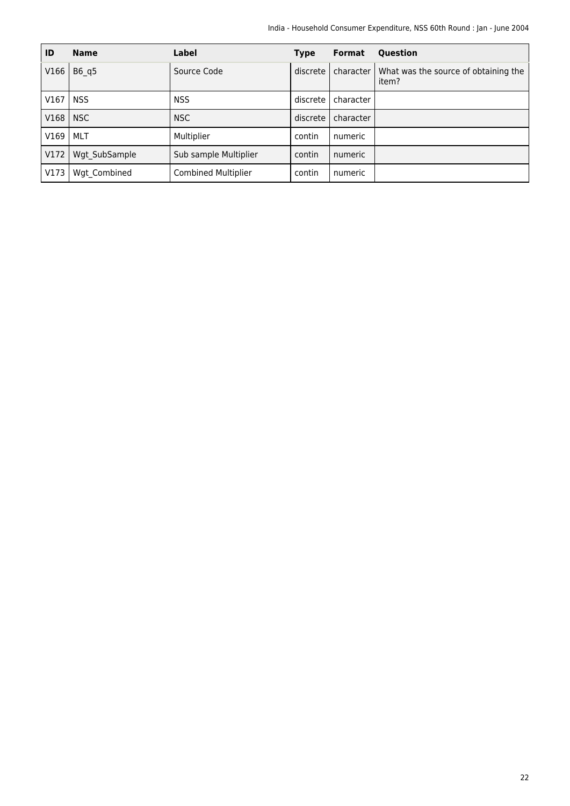| ID   | <b>Name</b>   | Label                      | <b>Type</b> | <b>Format</b> | Question                                      |
|------|---------------|----------------------------|-------------|---------------|-----------------------------------------------|
| V166 | B6 q5         | Source Code                | discrete    | character     | What was the source of obtaining the<br>item? |
| V167 | <b>NSS</b>    | <b>NSS</b>                 | discrete    | character     |                                               |
| V168 | <b>NSC</b>    | <b>NSC</b>                 | discrete    | character     |                                               |
| V169 | <b>MLT</b>    | Multiplier                 | contin      | numeric       |                                               |
| V172 | Wgt SubSample | Sub sample Multiplier      | contin      | numeric       |                                               |
| V173 | Wgt Combined  | <b>Combined Multiplier</b> | contin      | numeric       |                                               |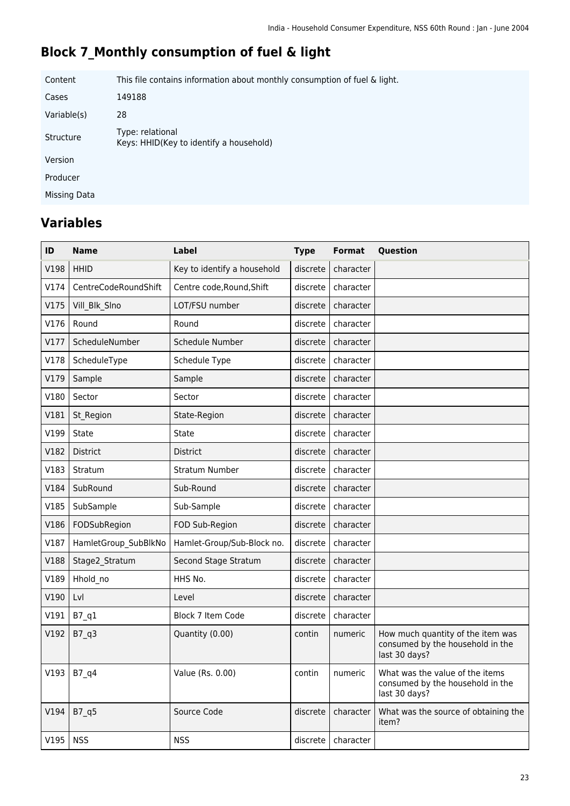### **Block 7\_Monthly consumption of fuel & light**

Content This file contains information about monthly consumption of fuel & light. Cases 149188 Variable(s) 28 Structure Type: relational Keys: HHID(Key to identify a household) Version Producer Missing Data

| ID   | <b>Name</b>          | Label                       | <b>Type</b> | Format    | Question                                                                               |
|------|----------------------|-----------------------------|-------------|-----------|----------------------------------------------------------------------------------------|
| V198 | <b>HHID</b>          | Key to identify a household | discrete    | character |                                                                                        |
| V174 | CentreCodeRoundShift | Centre code, Round, Shift   | discrete    | character |                                                                                        |
| V175 | Vill_Blk_SIno        | LOT/FSU number              | discrete    | character |                                                                                        |
| V176 | Round                | Round                       | discrete    | character |                                                                                        |
| V177 | ScheduleNumber       | Schedule Number             | discrete    | character |                                                                                        |
| V178 | ScheduleType         | Schedule Type               | discrete    | character |                                                                                        |
| V179 | Sample               | Sample                      | discrete    | character |                                                                                        |
| V180 | Sector               | Sector                      | discrete    | character |                                                                                        |
| V181 | St_Region            | State-Region                | discrete    | character |                                                                                        |
| V199 | State                | State                       | discrete    | character |                                                                                        |
| V182 | District             | <b>District</b>             | discrete    | character |                                                                                        |
| V183 | Stratum              | <b>Stratum Number</b>       | discrete    | character |                                                                                        |
| V184 | SubRound             | Sub-Round                   | discrete    | character |                                                                                        |
| V185 | SubSample            | Sub-Sample                  | discrete    | character |                                                                                        |
| V186 | FODSubRegion         | FOD Sub-Region              | discrete    | character |                                                                                        |
| V187 | HamletGroup SubBlkNo | Hamlet-Group/Sub-Block no.  | discrete    | character |                                                                                        |
| V188 | Stage2_Stratum       | Second Stage Stratum        | discrete    | character |                                                                                        |
| V189 | Hhold_no             | HHS No.                     | discrete    | character |                                                                                        |
| V190 | Lvl                  | Level                       | discrete    | character |                                                                                        |
| V191 | $B7_q1$              | Block 7 Item Code           | discrete    | character |                                                                                        |
| V192 | $B7_q3$              | Quantity (0.00)             | contin      | numeric   | How much quantity of the item was<br>consumed by the household in the<br>last 30 days? |
|      | $V193   B7_q4$       | Value (Rs. 0.00)            | contin      | numeric   | What was the value of the items<br>consumed by the household in the<br>last 30 days?   |
| V194 | B7 q5                | Source Code                 | discrete    | character | What was the source of obtaining the<br>item?                                          |
| V195 | <b>NSS</b>           | <b>NSS</b>                  | discrete    | character |                                                                                        |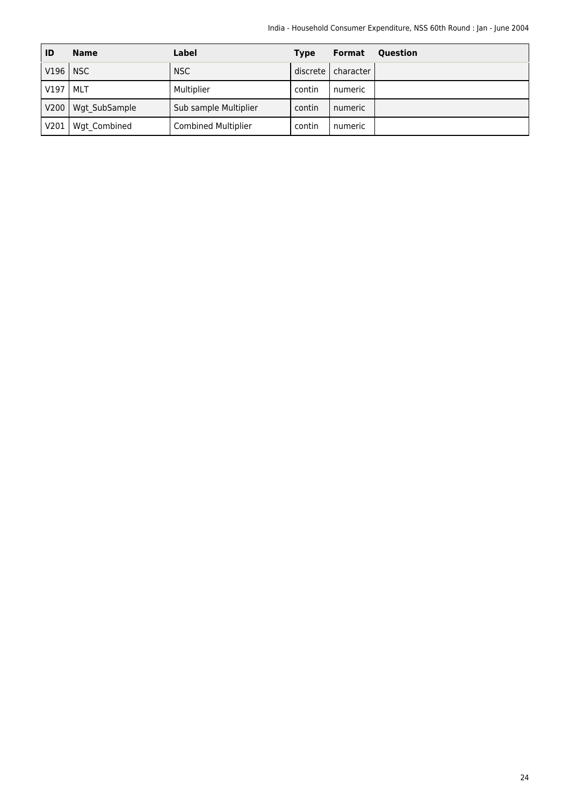| ID                                 | <b>Name</b>   | Label                      | <b>Type</b> | <b>Format</b>        | <b>Ouestion</b> |
|------------------------------------|---------------|----------------------------|-------------|----------------------|-----------------|
| V <sub>196</sub>   N <sub>SC</sub> |               | <b>NSC</b>                 |             | discrete   character |                 |
| V197                               | MLT           | Multiplier                 | contin      | numeric              |                 |
| V <sub>200</sub>                   | Wgt SubSample | Sub sample Multiplier      | contin      | numeric              |                 |
| V201                               | Wgt Combined  | <b>Combined Multiplier</b> | contin      | numeric              |                 |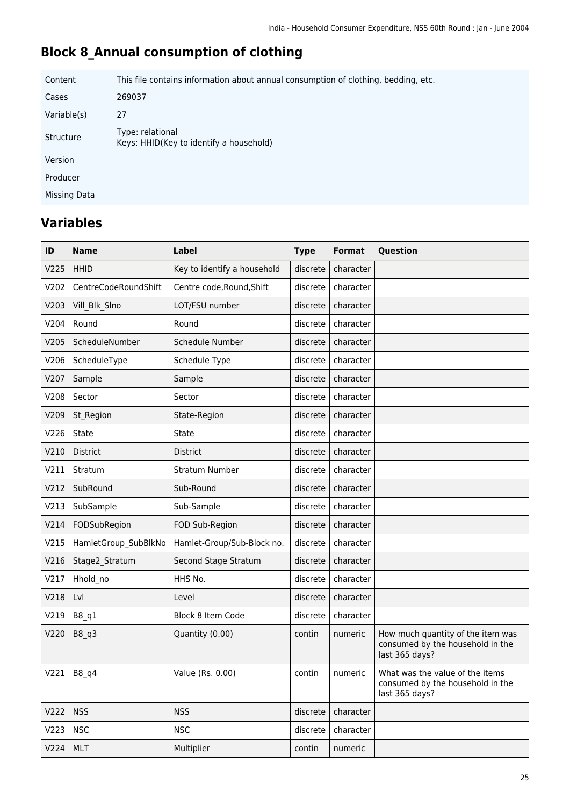### **Block 8\_Annual consumption of clothing**

Content This file contains information about annual consumption of clothing, bedding, etc. Cases 269037 Variable(s) 27 Structure Type: relational Keys: HHID(Key to identify a household) Version Producer Missing Data

| ID   | <b>Name</b>          | <b>Label</b>                | <b>Type</b> | <b>Format</b> | Question                                                                                |
|------|----------------------|-----------------------------|-------------|---------------|-----------------------------------------------------------------------------------------|
| V225 | HHID                 | Key to identify a household | discrete    | character     |                                                                                         |
| V202 | CentreCodeRoundShift | Centre code, Round, Shift   | discrete    | character     |                                                                                         |
| V203 | Vill_Blk_SIno        | LOT/FSU number              | discrete    | character     |                                                                                         |
| V204 | Round                | Round                       | discrete    | character     |                                                                                         |
| V205 | ScheduleNumber       | Schedule Number             | discrete    | character     |                                                                                         |
| V206 | ScheduleType         | Schedule Type               | discrete    | character     |                                                                                         |
| V207 | Sample               | Sample                      | discrete    | character     |                                                                                         |
| V208 | Sector               | Sector                      | discrete    | character     |                                                                                         |
| V209 | St Region            | State-Region                | discrete    | character     |                                                                                         |
| V226 | State                | State                       | discrete    | character     |                                                                                         |
| V210 | District             | <b>District</b>             | discrete    | character     |                                                                                         |
| V211 | Stratum              | <b>Stratum Number</b>       | discrete    | character     |                                                                                         |
| V212 | SubRound             | Sub-Round                   | discrete    | character     |                                                                                         |
| V213 | SubSample            | Sub-Sample                  | discrete    | character     |                                                                                         |
| V214 | FODSubRegion         | FOD Sub-Region              | discrete    | character     |                                                                                         |
| V215 | HamletGroup SubBlkNo | Hamlet-Group/Sub-Block no.  | discrete    | character     |                                                                                         |
| V216 | Stage2_Stratum       | Second Stage Stratum        | discrete    | character     |                                                                                         |
| V217 | Hhold_no             | HHS No.                     | discrete    | character     |                                                                                         |
| V218 | Lvl                  | Level                       | discrete    | character     |                                                                                         |
| V219 | $B8_q1$              | Block 8 Item Code           | discrete    | character     |                                                                                         |
| V220 | $B8_q3$              | Quantity (0.00)             | contin      | numeric       | How much quantity of the item was<br>consumed by the household in the<br>last 365 days? |
| V221 | $B8_qq4$             | Value (Rs. 0.00)            | contin      | numeric       | What was the value of the items<br>consumed by the household in the<br>last 365 days?   |
| V222 | <b>NSS</b>           | <b>NSS</b>                  | discrete    | character     |                                                                                         |
| V223 | <b>NSC</b>           | <b>NSC</b>                  | discrete    | character     |                                                                                         |
| V224 | <b>MLT</b>           | Multiplier                  | contin      | numeric       |                                                                                         |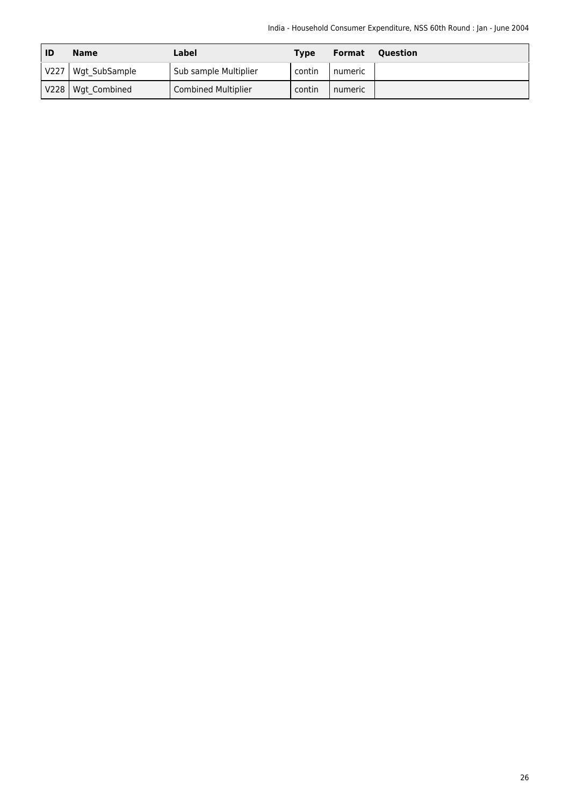| ID | <b>Name</b>          | Label                      | Type   | <b>Format</b> | <b>Ouestion</b> |
|----|----------------------|----------------------------|--------|---------------|-----------------|
|    | V227   Wgt SubSample | Sub sample Multiplier      | contin | numeric       |                 |
|    | V228   Wgt Combined  | <b>Combined Multiplier</b> | contin | numeric       |                 |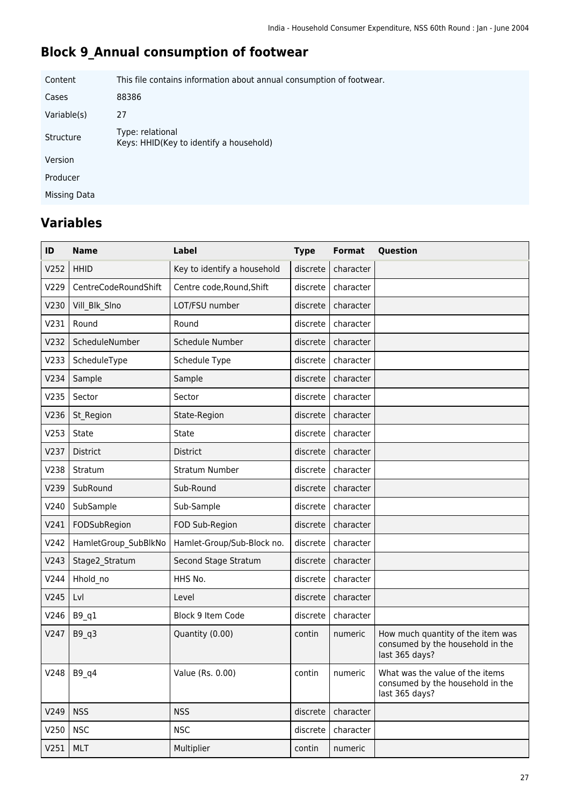### **Block 9\_Annual consumption of footwear**

Content This file contains information about annual consumption of footwear. Cases 88386 Variable(s) 27 Structure Type: relational Keys: HHID(Key to identify a household) Version Producer Missing Data

| ID   | <b>Name</b>          | Label                       | <b>Type</b> | <b>Format</b> | Question                                                                                |
|------|----------------------|-----------------------------|-------------|---------------|-----------------------------------------------------------------------------------------|
| V252 | HHID                 | Key to identify a household | discrete    | character     |                                                                                         |
| V229 | CentreCodeRoundShift | Centre code, Round, Shift   | discrete    | character     |                                                                                         |
| V230 | Vill Blk Slno        | LOT/FSU number              | discrete    | character     |                                                                                         |
| V231 | Round                | Round                       | discrete    | character     |                                                                                         |
| V232 | ScheduleNumber       | Schedule Number             | discrete    | character     |                                                                                         |
| V233 | ScheduleType         | Schedule Type               | discrete    | character     |                                                                                         |
| V234 | Sample               | Sample                      | discrete    | character     |                                                                                         |
| V235 | Sector               | Sector                      | discrete    | character     |                                                                                         |
| V236 | St Region            | State-Region                | discrete    | character     |                                                                                         |
| V253 | State                | State                       | discrete    | character     |                                                                                         |
| V237 | District             | <b>District</b>             | discrete    | character     |                                                                                         |
| V238 | Stratum              | <b>Stratum Number</b>       | discrete    | character     |                                                                                         |
| V239 | SubRound             | Sub-Round                   | discrete    | character     |                                                                                         |
| V240 | SubSample            | Sub-Sample                  | discrete    | character     |                                                                                         |
| V241 | FODSubRegion         | FOD Sub-Region              | discrete    | character     |                                                                                         |
| V242 | HamletGroup_SubBlkNo | Hamlet-Group/Sub-Block no.  | discrete    | character     |                                                                                         |
| V243 | Stage2_Stratum       | Second Stage Stratum        | discrete    | character     |                                                                                         |
| V244 | Hhold_no             | HHS No.                     | discrete    | character     |                                                                                         |
| V245 | Lvl                  | Level                       | discrete    | character     |                                                                                         |
| V246 | $B9_q1$              | Block 9 Item Code           | discrete    | character     |                                                                                         |
| V247 | $B9_q3$              | Quantity (0.00)             | contin      | numeric       | How much quantity of the item was<br>consumed by the household in the<br>last 365 days? |
|      | $V248$ B9_q4         | Value (Rs. 0.00)            | contin      | numeric       | What was the value of the items<br>consumed by the household in the<br>last 365 days?   |
| V249 | <b>NSS</b>           | <b>NSS</b>                  | discrete    | character     |                                                                                         |
| V250 | <b>NSC</b>           | <b>NSC</b>                  | discrete    | character     |                                                                                         |
| V251 | <b>MLT</b>           | Multiplier                  | contin      | numeric       |                                                                                         |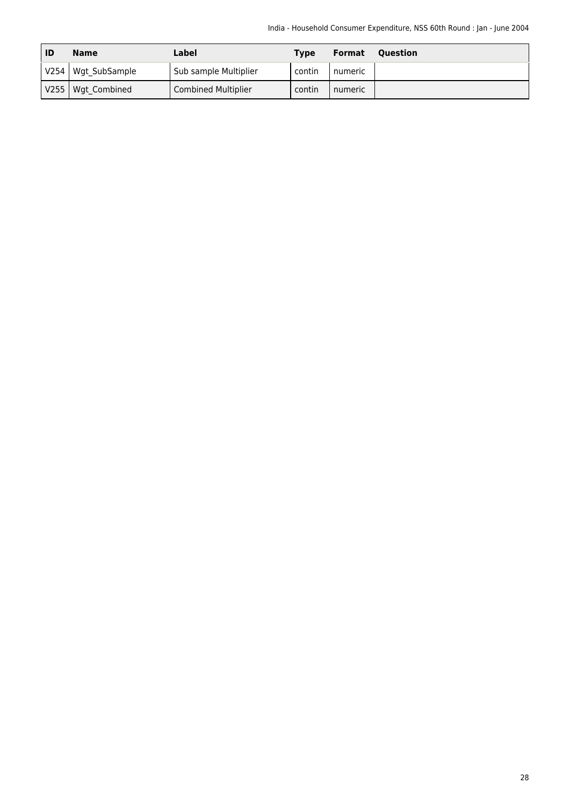| ID | <b>Name</b>          | Label                      | Type   | <b>Format</b> | <b>Ouestion</b> |
|----|----------------------|----------------------------|--------|---------------|-----------------|
|    | V254   Wgt SubSample | Sub sample Multiplier      | contin | numeric       |                 |
|    | V255   Wgt Combined  | <b>Combined Multiplier</b> | contin | numeric       |                 |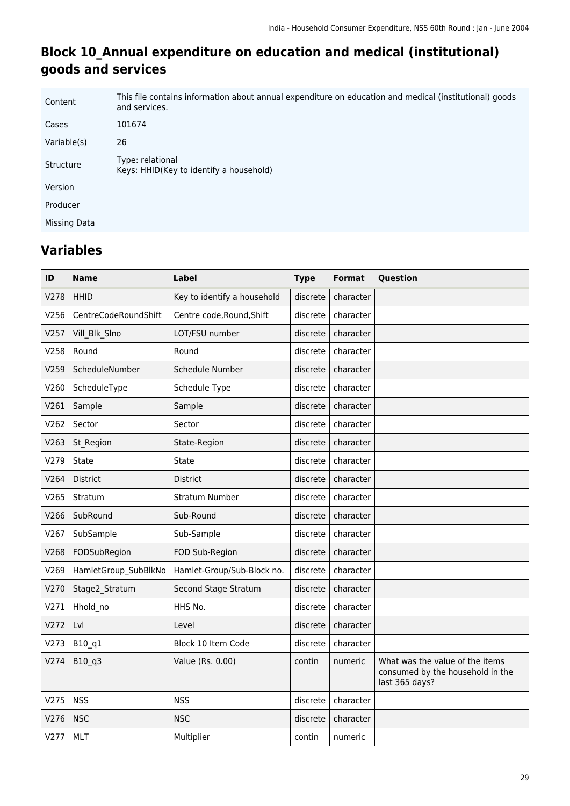### **Block 10\_Annual expenditure on education and medical (institutional) goods and services**

| Content      | This file contains information about annual expenditure on education and medical (institutional) goods<br>and services. |
|--------------|-------------------------------------------------------------------------------------------------------------------------|
| Cases        | 101674                                                                                                                  |
| Variable(s)  | 26                                                                                                                      |
| Structure    | Type: relational<br>Keys: HHID(Key to identify a household)                                                             |
| Version      |                                                                                                                         |
| Producer     |                                                                                                                         |
| Missing Data |                                                                                                                         |

| ID   | <b>Name</b>          | Label                       | <b>Type</b> | <b>Format</b> | Question                                                                              |
|------|----------------------|-----------------------------|-------------|---------------|---------------------------------------------------------------------------------------|
| V278 | <b>HHID</b>          | Key to identify a household | discrete    | character     |                                                                                       |
| V256 | CentreCodeRoundShift | Centre code, Round, Shift   | discrete    | character     |                                                                                       |
| V257 | Vill_Blk_Slno        | LOT/FSU number              | discrete    | character     |                                                                                       |
| V258 | Round                | Round                       | discrete    | character     |                                                                                       |
| V259 | ScheduleNumber       | Schedule Number             | discrete    | character     |                                                                                       |
| V260 | ScheduleType         | Schedule Type               | discrete    | character     |                                                                                       |
| V261 | Sample               | Sample                      | discrete    | character     |                                                                                       |
| V262 | Sector               | Sector                      | discrete    | character     |                                                                                       |
| V263 | St Region            | State-Region                | discrete    | character     |                                                                                       |
| V279 | State                | State                       | discrete    | character     |                                                                                       |
| V264 | District             | <b>District</b>             | discrete    | character     |                                                                                       |
| V265 | Stratum              | <b>Stratum Number</b>       | discrete    | character     |                                                                                       |
| V266 | SubRound             | Sub-Round                   | discrete    | character     |                                                                                       |
| V267 | SubSample            | Sub-Sample                  | discrete    | character     |                                                                                       |
| V268 | FODSubRegion         | FOD Sub-Region              | discrete    | character     |                                                                                       |
| V269 | HamletGroup SubBlkNo | Hamlet-Group/Sub-Block no.  | discrete    | character     |                                                                                       |
| V270 | Stage2 Stratum       | Second Stage Stratum        | discrete    | character     |                                                                                       |
| V271 | Hhold no             | HHS No.                     | discrete    | character     |                                                                                       |
| V272 | Lvl                  | Level                       | discrete    | character     |                                                                                       |
| V273 | B10_q1               | Block 10 Item Code          | discrete    | character     |                                                                                       |
| V274 | B10 q3               | Value (Rs. 0.00)            | contin      | numeric       | What was the value of the items<br>consumed by the household in the<br>last 365 days? |
| V275 | <b>NSS</b>           | <b>NSS</b>                  | discrete    | character     |                                                                                       |
| V276 | <b>NSC</b>           | <b>NSC</b>                  | discrete    | character     |                                                                                       |
| V277 | <b>MLT</b>           | Multiplier                  | contin      | numeric       |                                                                                       |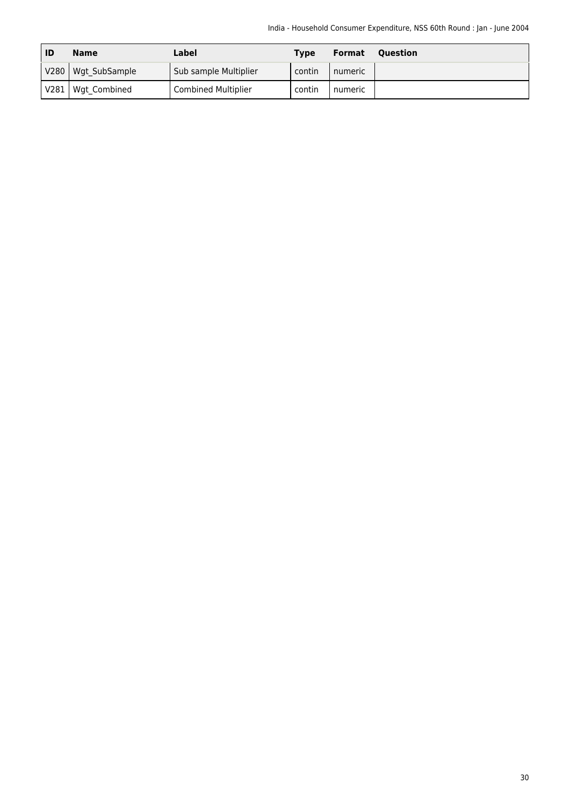| ID   | <b>Name</b>          | Label                      | Tvpe   | <b>Format</b> | <b>Ouestion</b> |
|------|----------------------|----------------------------|--------|---------------|-----------------|
|      | V280   Wgt SubSample | Sub sample Multiplier      | contin | numeric       |                 |
| V281 | Wgt Combined         | <b>Combined Multiplier</b> | contin | numeric       |                 |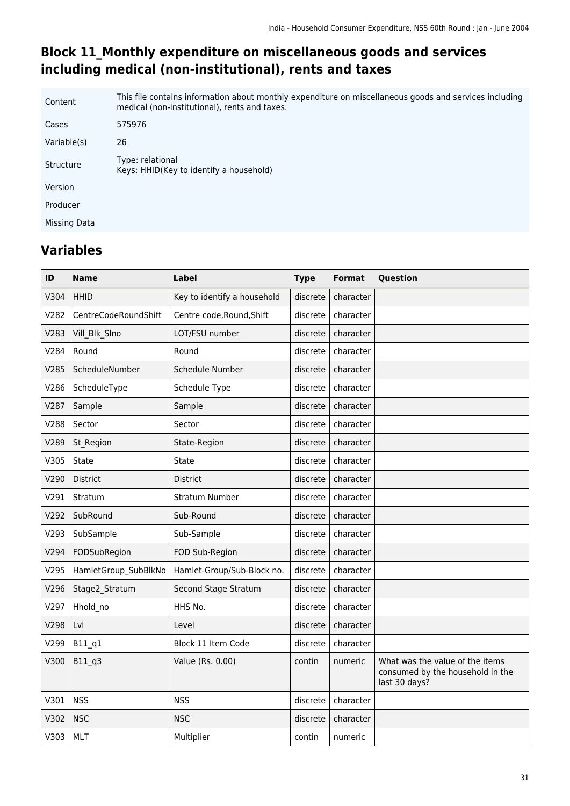### **Block 11\_Monthly expenditure on miscellaneous goods and services including medical (non-institutional), rents and taxes**

| Content      | This file contains information about monthly expenditure on miscellaneous goods and services including<br>medical (non-institutional), rents and taxes. |
|--------------|---------------------------------------------------------------------------------------------------------------------------------------------------------|
| Cases        | 575976                                                                                                                                                  |
| Variable(s)  | 26                                                                                                                                                      |
| Structure    | Type: relational<br>Keys: HHID(Key to identify a household)                                                                                             |
| Version      |                                                                                                                                                         |
| Producer     |                                                                                                                                                         |
| Missing Data |                                                                                                                                                         |

| ID   | <b>Name</b>          | Label                       | <b>Type</b> | <b>Format</b> | Question                                                                             |
|------|----------------------|-----------------------------|-------------|---------------|--------------------------------------------------------------------------------------|
| V304 | <b>HHID</b>          | Key to identify a household | discrete    | character     |                                                                                      |
| V282 | CentreCodeRoundShift | Centre code, Round, Shift   | discrete    | character     |                                                                                      |
| V283 | Vill_Blk_Slno        | LOT/FSU number              | discrete    | character     |                                                                                      |
| V284 | Round                | Round                       | discrete    | character     |                                                                                      |
| V285 | ScheduleNumber       | <b>Schedule Number</b>      | discrete    | character     |                                                                                      |
| V286 | ScheduleType         | Schedule Type               | discrete    | character     |                                                                                      |
| V287 | Sample               | Sample                      | discrete    | character     |                                                                                      |
| V288 | Sector               | Sector                      | discrete    | character     |                                                                                      |
| V289 | St Region            | State-Region                | discrete    | character     |                                                                                      |
| V305 | State                | State                       | discrete    | character     |                                                                                      |
| V290 | <b>District</b>      | <b>District</b>             | discrete    | character     |                                                                                      |
| V291 | Stratum              | <b>Stratum Number</b>       | discrete    | character     |                                                                                      |
| V292 | SubRound             | Sub-Round                   | discrete    | character     |                                                                                      |
| V293 | SubSample            | Sub-Sample                  | discrete    | character     |                                                                                      |
| V294 | FODSubRegion         | FOD Sub-Region              | discrete    | character     |                                                                                      |
| V295 | HamletGroup SubBlkNo | Hamlet-Group/Sub-Block no.  | discrete    | character     |                                                                                      |
| V296 | Stage2 Stratum       | Second Stage Stratum        | discrete    | character     |                                                                                      |
| V297 | Hhold_no             | HHS No.                     | discrete    | character     |                                                                                      |
| V298 | Lvl                  | Level                       | discrete    | character     |                                                                                      |
| V299 | $B11_q1$             | Block 11 Item Code          | discrete    | character     |                                                                                      |
| V300 | B11 q3               | Value (Rs. 0.00)            | contin      | numeric       | What was the value of the items<br>consumed by the household in the<br>last 30 days? |
| V301 | <b>NSS</b>           | <b>NSS</b>                  | discrete    | character     |                                                                                      |
| V302 | <b>NSC</b>           | <b>NSC</b>                  | discrete    | character     |                                                                                      |
| V303 | <b>MLT</b>           | Multiplier                  | contin      | numeric       |                                                                                      |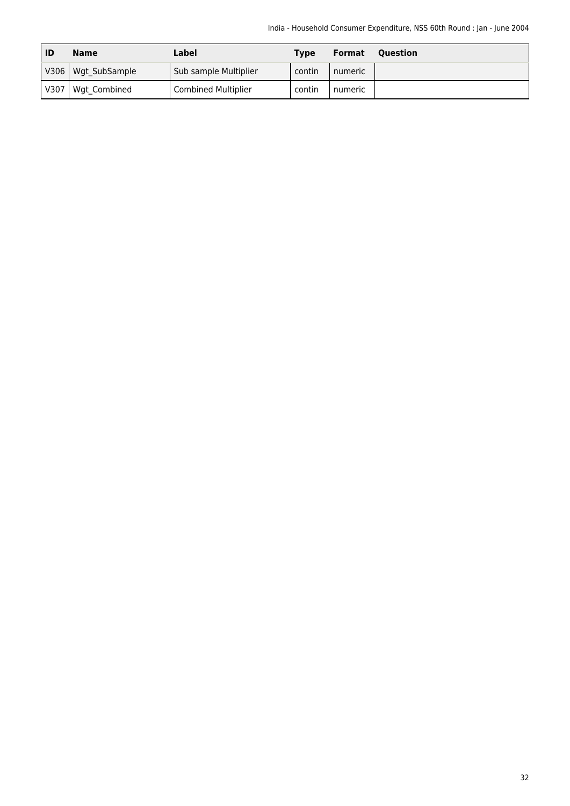| ID   | <b>Name</b>          | Label                      | Type   | <b>Format</b> | Ouestion |
|------|----------------------|----------------------------|--------|---------------|----------|
|      | V306   Wgt SubSample | Sub sample Multiplier      | contin | numeric       |          |
| V307 | Wgt Combined         | <b>Combined Multiplier</b> | contin | numeric       |          |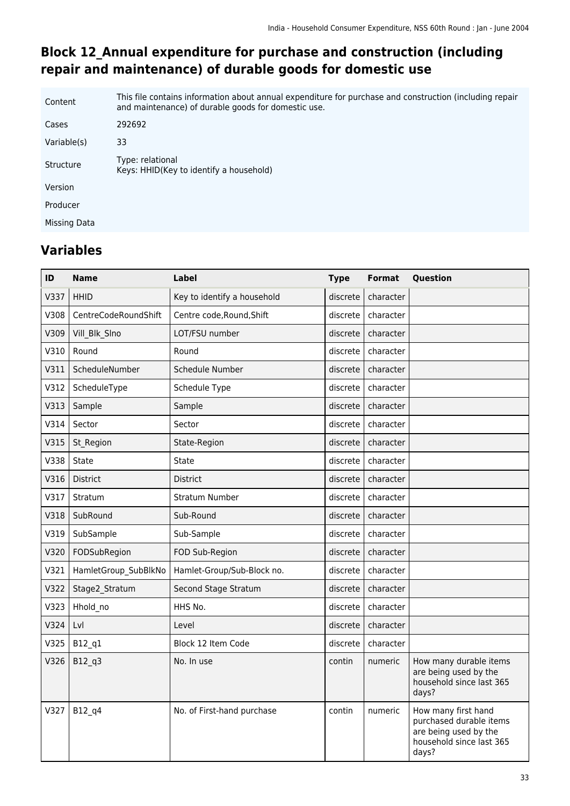### **Block 12\_Annual expenditure for purchase and construction (including repair and maintenance) of durable goods for domestic use**

| Content      | This file contains information about annual expenditure for purchase and construction (including repair<br>and maintenance) of durable goods for domestic use. |
|--------------|----------------------------------------------------------------------------------------------------------------------------------------------------------------|
| Cases        | 292692                                                                                                                                                         |
| Variable(s)  | 33                                                                                                                                                             |
| Structure    | Type: relational<br>Keys: HHID(Key to identify a household)                                                                                                    |
| Version      |                                                                                                                                                                |
| Producer     |                                                                                                                                                                |
| Missing Data |                                                                                                                                                                |

| ID   | <b>Name</b>          | Label                       | <b>Type</b> | <b>Format</b> | Question                                                                                                     |
|------|----------------------|-----------------------------|-------------|---------------|--------------------------------------------------------------------------------------------------------------|
| V337 | <b>HHID</b>          | Key to identify a household | discrete    | character     |                                                                                                              |
| V308 | CentreCodeRoundShift | Centre code, Round, Shift   | discrete    | character     |                                                                                                              |
| V309 | Vill_Blk_Slno        | LOT/FSU number              | discrete    | character     |                                                                                                              |
| V310 | Round                | Round                       | discrete    | character     |                                                                                                              |
| V311 | ScheduleNumber       | <b>Schedule Number</b>      | discrete    | character     |                                                                                                              |
| V312 | ScheduleType         | Schedule Type               | discrete    | character     |                                                                                                              |
| V313 | Sample               | Sample                      | discrete    | character     |                                                                                                              |
| V314 | Sector               | Sector                      | discrete    | character     |                                                                                                              |
| V315 | St Region            | State-Region                | discrete    | character     |                                                                                                              |
| V338 | State                | State                       | discrete    | character     |                                                                                                              |
| V316 | District             | District                    | discrete    | character     |                                                                                                              |
| V317 | Stratum              | <b>Stratum Number</b>       | discrete    | character     |                                                                                                              |
| V318 | SubRound             | Sub-Round                   | discrete    | character     |                                                                                                              |
| V319 | SubSample            | Sub-Sample                  | discrete    | character     |                                                                                                              |
| V320 | FODSubRegion         | FOD Sub-Region              | discrete    | character     |                                                                                                              |
| V321 | HamletGroup_SubBlkNo | Hamlet-Group/Sub-Block no.  | discrete    | character     |                                                                                                              |
| V322 | Stage2 Stratum       | Second Stage Stratum        | discrete    | character     |                                                                                                              |
| V323 | Hhold_no             | HHS No.                     | discrete    | character     |                                                                                                              |
| V324 | Lvl                  | Level                       | discrete    | character     |                                                                                                              |
| V325 | B12 q1               | Block 12 Item Code          | discrete    | character     |                                                                                                              |
| V326 | B12 q3               | No. In use                  | contin      | numeric       | How many durable items<br>are being used by the<br>household since last 365<br>days?                         |
| V327 | B12_q4               | No. of First-hand purchase  | contin      | numeric       | How many first hand<br>purchased durable items<br>are being used by the<br>household since last 365<br>days? |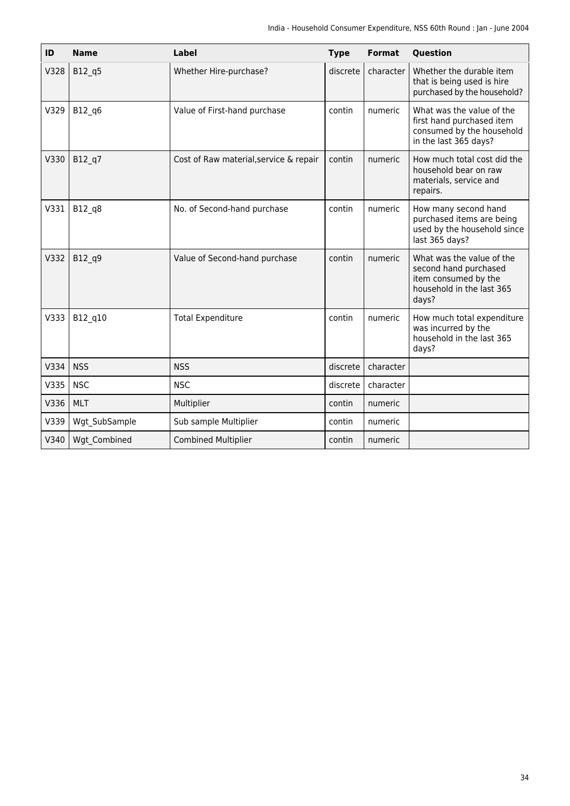| ID   | <b>Name</b>   | <b>Label</b>                           | <b>Type</b> | <b>Format</b> | Question                                                                                                         |
|------|---------------|----------------------------------------|-------------|---------------|------------------------------------------------------------------------------------------------------------------|
| V328 | B12_q5        | Whether Hire-purchase?                 | discrete    | character     | Whether the durable item<br>that is being used is hire<br>purchased by the household?                            |
| V329 | B12 q6        | Value of First-hand purchase           | contin      | numeric       | What was the value of the<br>first hand purchased item<br>consumed by the household<br>in the last 365 days?     |
| V330 | B12 q7        | Cost of Raw material, service & repair | contin      | numeric       | How much total cost did the<br>household bear on raw<br>materials, service and<br>repairs.                       |
| V331 | B12 q8        | No. of Second-hand purchase            | contin      | numeric       | How many second hand<br>purchased items are being<br>used by the household since<br>last 365 days?               |
| V332 | B12 q9        | Value of Second-hand purchase          | contin      | numeric       | What was the value of the<br>second hand purchased<br>item consumed by the<br>household in the last 365<br>days? |
| V333 | B12 q10       | <b>Total Expenditure</b>               | contin      | numeric       | How much total expenditure<br>was incurred by the<br>household in the last 365<br>days?                          |
| V334 | <b>NSS</b>    | <b>NSS</b>                             | discrete    | character     |                                                                                                                  |
| V335 | <b>NSC</b>    | <b>NSC</b>                             | discrete    | character     |                                                                                                                  |
| V336 | <b>MLT</b>    | Multiplier                             | contin      | numeric       |                                                                                                                  |
| V339 | Wgt SubSample | Sub sample Multiplier                  | contin      | numeric       |                                                                                                                  |
| V340 | Wgt Combined  | <b>Combined Multiplier</b>             | contin      | numeric       |                                                                                                                  |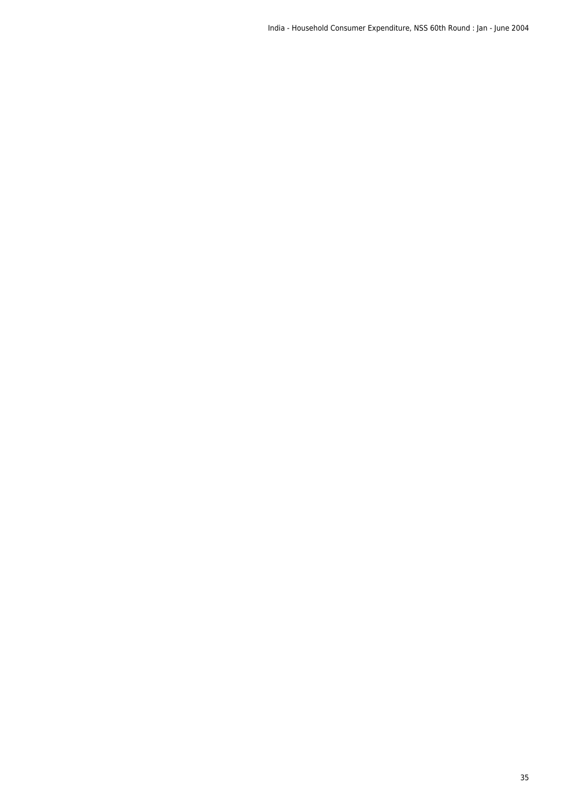India - Household Consumer Expenditure, NSS 60th Round : Jan - June 2004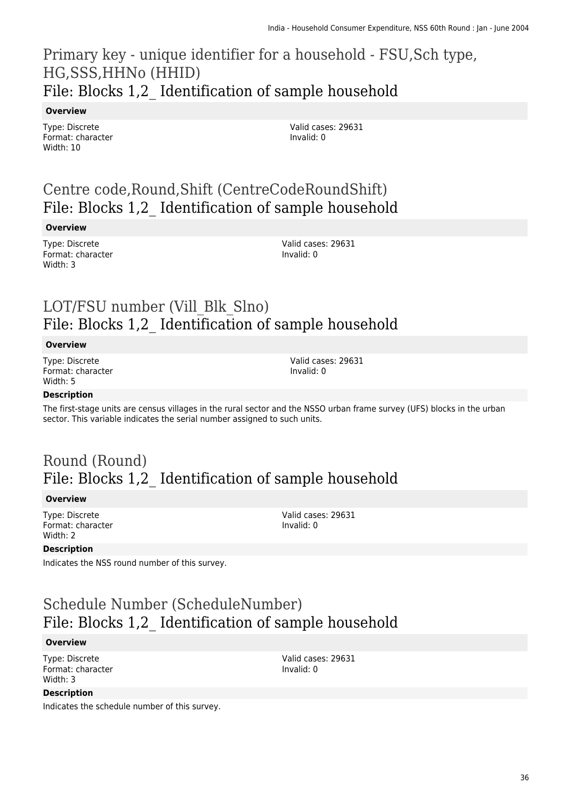#### Primary key - unique identifier for a household - FSU,Sch type, HG,SSS,HHNo (HHID) File: Blocks 1,2 Identification of sample household

#### **Overview**

Type: Discrete Format: character Width: 10

Valid cases: 29631 Invalid: 0

## Centre code,Round,Shift (CentreCodeRoundShift) File: Blocks 1,2 Identification of sample household

**Overview**

Type: Discrete Format: character Width: 3

Valid cases: 29631 Invalid: 0

### LOT/FSU number (Vill\_Blk\_Slno) File: Blocks 1,2 Identification of sample household

#### **Overview**

Type: Discrete Format: character Width: 5

Valid cases: 29631 Invalid: 0

#### **Description**

The first-stage units are census villages in the rural sector and the NSSO urban frame survey (UFS) blocks in the urban sector. This variable indicates the serial number assigned to such units.

# Round (Round) File: Blocks 1,2 Identification of sample household

#### **Overview**

Type: Discrete Format: character Width: 2

Valid cases: 29631 Invalid: 0

#### **Description**

Indicates the NSS round number of this survey.

### Schedule Number (ScheduleNumber) File: Blocks 1,2 Identification of sample household

#### **Overview**

Type: Discrete Format: character Width: 3

Valid cases: 29631 Invalid: 0

#### **Description**

Indicates the schedule number of this survey.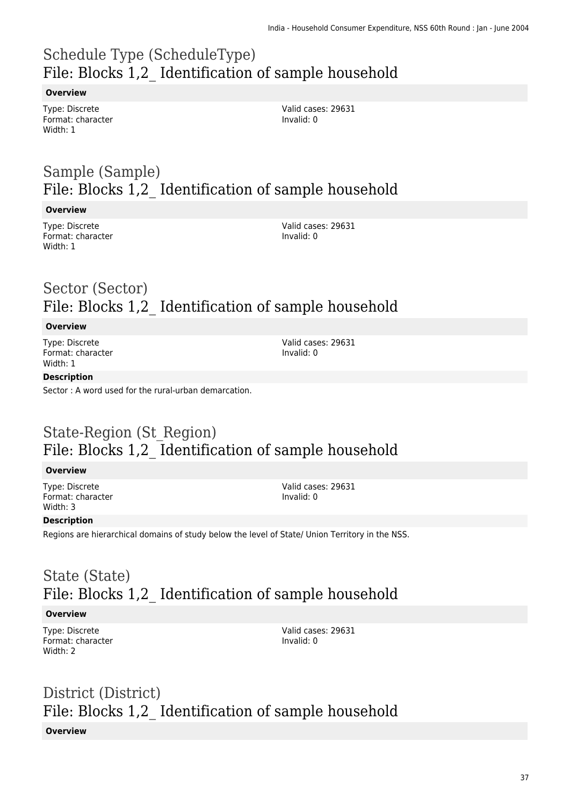# Schedule Type (ScheduleType) File: Blocks 1,2\_ Identification of sample household

### **Overview**

Type: Discrete Format: character Width: 1

Valid cases: 29631 Invalid: 0

# Sample (Sample) File: Blocks 1,2 Identification of sample household

### **Overview**

Type: Discrete Format: character Width: 1

Valid cases: 29631 Invalid: 0

# Sector (Sector) File: Blocks 1,2 Identification of sample household

### **Overview**

Type: Discrete Format: character Width: 1

Valid cases: 29631 Invalid: 0

### **Description**

Sector : A word used for the rural-urban demarcation.

# State-Region (St\_Region) File: Blocks 1,2 Identification of sample household

### **Overview**

Type: Discrete Format: character Width: 3

Valid cases: 29631 Invalid: 0

### **Description**

Regions are hierarchical domains of study below the level of State/ Union Territory in the NSS.

# State (State) File: Blocks 1,2 Identification of sample household

### **Overview**

Type: Discrete Format: character Width: 2

Valid cases: 29631 Invalid: 0

# District (District) File: Blocks 1,2 Identification of sample household **Overview**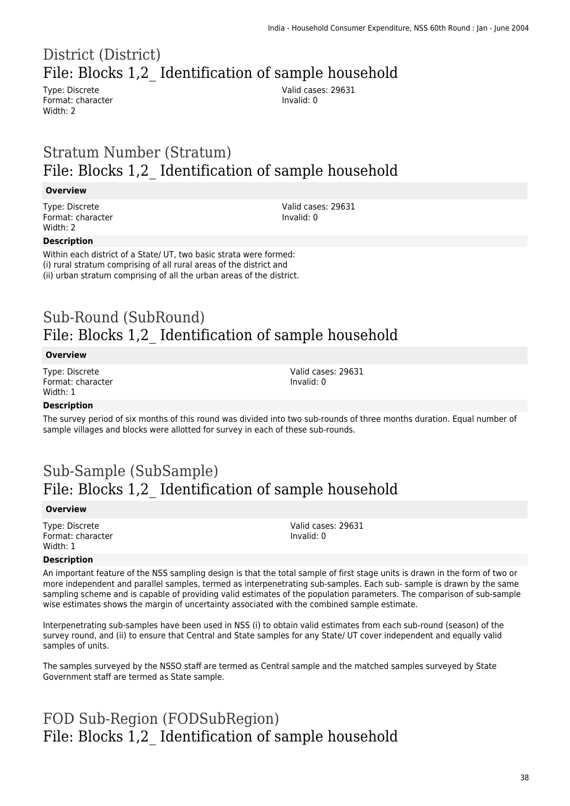# District (District) File: Blocks 1,2 Identification of sample household

Type: Discrete Format: character Width: 2

Valid cases: 29631 Invalid: 0

# Stratum Number (Stratum) File: Blocks 1,2 Identification of sample household

### **Overview**

Type: Discrete Format: character Width: 2

Valid cases: 29631 Invalid: 0

### **Description**

Within each district of a State/ UT, two basic strata were formed: (i) rural stratum comprising of all rural areas of the district and (ii) urban stratum comprising of all the urban areas of the district.

# Sub-Round (SubRound) File: Blocks 1,2 Identification of sample household

### **Overview**

Type: Discrete Format: character Width: 1

Valid cases: 29631 Invalid: 0

### **Description**

The survey period of six months of this round was divided into two sub-rounds of three months duration. Equal number of sample villages and blocks were allotted for survey in each of these sub-rounds.

# Sub-Sample (SubSample) File: Blocks 1,2 Identification of sample household

### **Overview**

Type: Discrete Format: character Width: 1

Valid cases: 29631 Invalid: 0

### **Description**

An important feature of the NSS sampling design is that the total sample of first stage units is drawn in the form of two or more independent and parallel samples, termed as interpenetrating sub-samples. Each sub- sample is drawn by the same sampling scheme and is capable of providing valid estimates of the population parameters. The comparison of sub-sample wise estimates shows the margin of uncertainty associated with the combined sample estimate.

Interpenetrating sub-samples have been used in NSS (i) to obtain valid estimates from each sub-round (season) of the survey round, and (ii) to ensure that Central and State samples for any State/ UT cover independent and equally valid samples of units.

The samples surveyed by the NSSO staff are termed as Central sample and the matched samples surveyed by State Government staff are termed as State sample.

# FOD Sub-Region (FODSubRegion) File: Blocks 1,2 Identification of sample household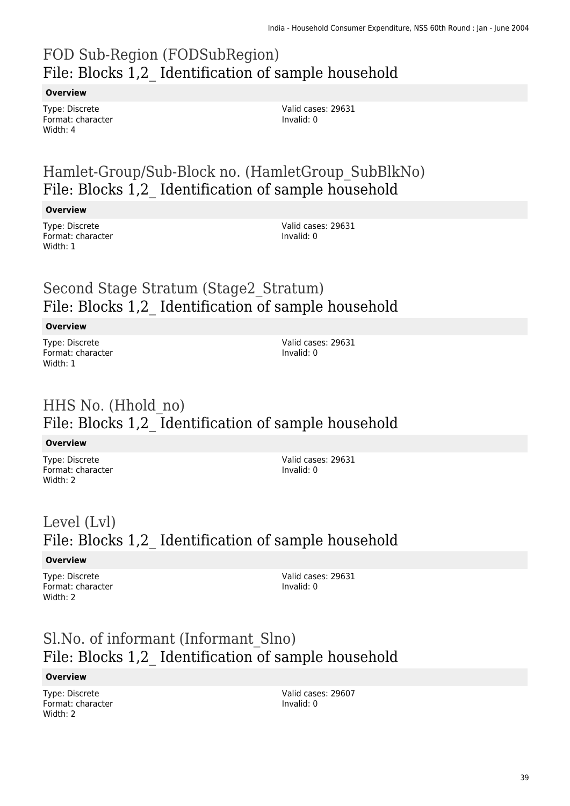# FOD Sub-Region (FODSubRegion) File: Blocks 1,2\_ Identification of sample household

### **Overview**

Type: Discrete Format: character Width: 4

Valid cases: 29631 Invalid: 0

# Hamlet-Group/Sub-Block no. (HamletGroup\_SubBlkNo) File: Blocks 1,2\_ Identification of sample household

### **Overview**

Type: Discrete Format: character Width: 1

Valid cases: 29631 Invalid: 0

# Second Stage Stratum (Stage2\_Stratum) File: Blocks 1,2 Identification of sample household

### **Overview**

Type: Discrete Format: character Width: 1

Valid cases: 29631 Invalid: 0

# HHS No. (Hhold\_no) File: Blocks 1,2 Identification of sample household

### **Overview**

Type: Discrete Format: character Width: 2

Valid cases: 29631 Invalid: 0

# Level (Lvl) File: Blocks 1,2 Identification of sample household

### **Overview**

Type: Discrete Format: character Width: 2

Valid cases: 29631 Invalid: 0

### Sl.No. of informant (Informant\_Slno) File: Blocks 1,2 Identification of sample household

### **Overview**

Type: Discrete Format: character Width: 2

Valid cases: 29607 Invalid: 0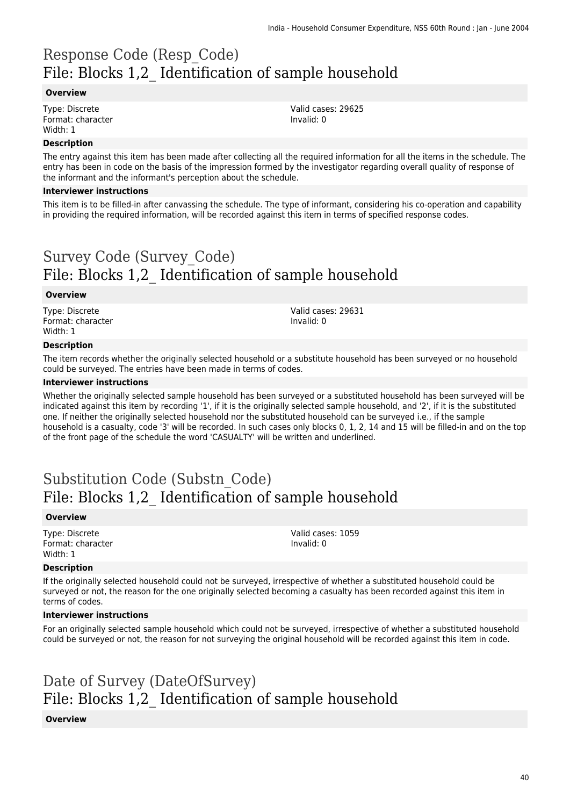# Response Code (Resp\_Code) File: Blocks 1,2 Identification of sample household

#### **Overview**

Type: Discrete Format: character Width: 1

#### Valid cases: 29625 Invalid: 0

### **Description**

The entry against this item has been made after collecting all the required information for all the items in the schedule. The entry has been in code on the basis of the impression formed by the investigator regarding overall quality of response of the informant and the informant's perception about the schedule.

#### **Interviewer instructions**

This item is to be filled-in after canvassing the schedule. The type of informant, considering his co-operation and capability in providing the required information, will be recorded against this item in terms of specified response codes.

# Survey Code (Survey\_Code) File: Blocks 1,2 Identification of sample household

#### **Overview**

Type: Discrete Format: character Width: 1

Valid cases: 29631 Invalid: 0

#### **Description**

The item records whether the originally selected household or a substitute household has been surveyed or no household could be surveyed. The entries have been made in terms of codes.

#### **Interviewer instructions**

Whether the originally selected sample household has been surveyed or a substituted household has been surveyed will be indicated against this item by recording '1', if it is the originally selected sample household, and '2', if it is the substituted one. If neither the originally selected household nor the substituted household can be surveyed i.e., if the sample household is a casualty, code '3' will be recorded. In such cases only blocks 0, 1, 2, 14 and 15 will be filled-in and on the top of the front page of the schedule the word 'CASUALTY' will be written and underlined.

### Substitution Code (Substn\_Code) File: Blocks 1,2 Identification of sample household

#### **Overview**

Type: Discrete Format: character Width: 1

Valid cases: 1059 Invalid: 0

#### **Description**

If the originally selected household could not be surveyed, irrespective of whether a substituted household could be surveyed or not, the reason for the one originally selected becoming a casualty has been recorded against this item in terms of codes.

#### **Interviewer instructions**

For an originally selected sample household which could not be surveyed, irrespective of whether a substituted household could be surveyed or not, the reason for not surveying the original household will be recorded against this item in code.

# Date of Survey (DateOfSurvey) File: Blocks 1,2 Identification of sample household

#### **Overview**

40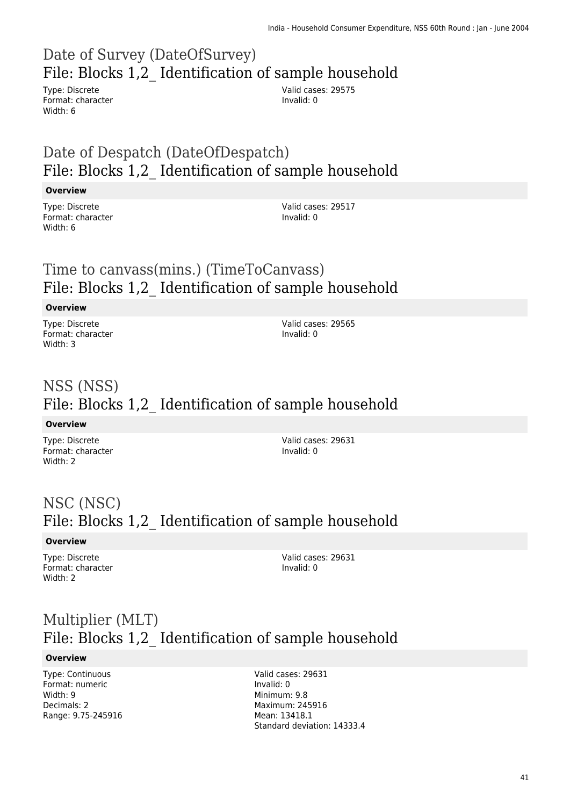### Date of Survey (DateOfSurvey) File: Blocks 1,2 Identification of sample household

Type: Discrete Format: character Width: 6

Valid cases: 29575 Invalid: 0

## Date of Despatch (DateOfDespatch) File: Blocks 1,2 Identification of sample household

### **Overview**

Type: Discrete Format: character Width: 6

Valid cases: 29517 Invalid: 0

## Time to canvass(mins.) (TimeToCanvass) File: Blocks 1,2 Identification of sample household

### **Overview**

Type: Discrete Format: character Width: 3

Valid cases: 29565 Invalid: 0

# NSS (NSS) File: Blocks 1,2 Identification of sample household

### **Overview**

Type: Discrete Format: character Width: 2

Valid cases: 29631 Invalid: 0

# NSC (NSC) File: Blocks 1,2\_ Identification of sample household

### **Overview**

Type: Discrete Format: character Width: 2

Valid cases: 29631 Invalid: 0

## Multiplier (MLT) File: Blocks 1,2 Identification of sample household

#### **Overview**

Type: Continuous Format: numeric Width: 9 Decimals: 2 Range: 9.75-245916 Valid cases: 29631 Invalid: 0 Minimum: 9.8 Maximum: 245916 Mean: 13418.1 Standard deviation: 14333.4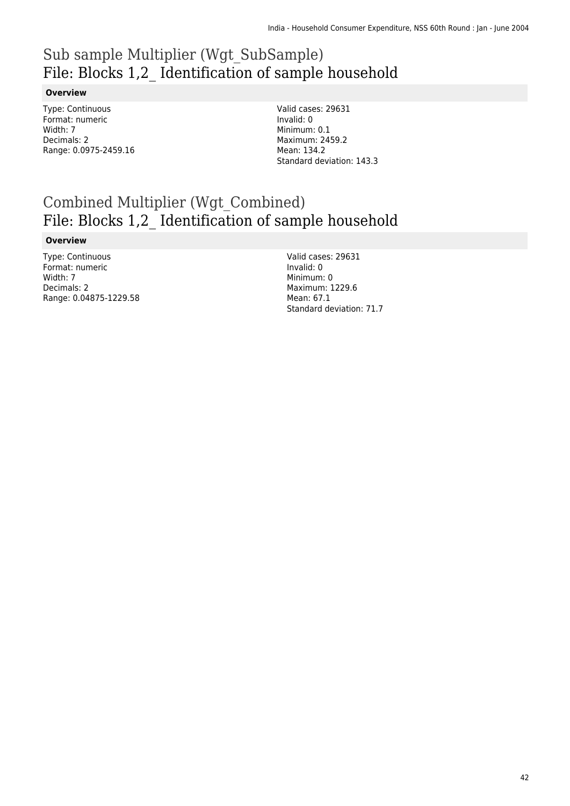# Sub sample Multiplier (Wgt\_SubSample) File: Blocks 1,2\_ Identification of sample household

### **Overview**

Type: Continuous Format: numeric Width: 7 Decimals: 2 Range: 0.0975-2459.16 Valid cases: 29631 Invalid: 0 Minimum: 0.1 Maximum: 2459.2 Mean: 134.2 Standard deviation: 143.3

# Combined Multiplier (Wgt\_Combined) File: Blocks 1,2\_ Identification of sample household

#### **Overview**

Type: Continuous Format: numeric Width: 7 Decimals: 2 Range: 0.04875-1229.58

Valid cases: 29631 Invalid: 0 Minimum: 0 Maximum: 1229.6 Mean: 67.1 Standard deviation: 71.7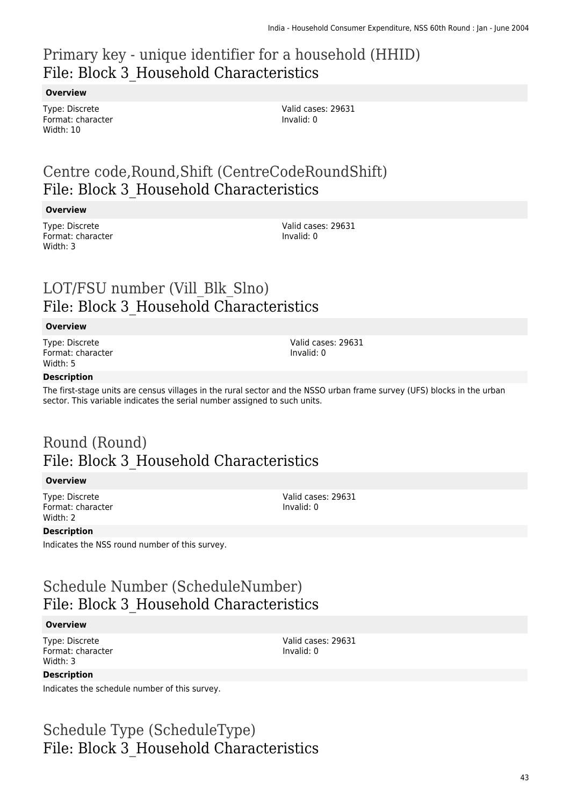# Primary key - unique identifier for a household (HHID) File: Block 3\_Household Characteristics

### **Overview**

Type: Discrete Format: character Width: 10

Valid cases: 29631 Invalid: 0

# Centre code,Round,Shift (CentreCodeRoundShift) File: Block 3\_Household Characteristics

### **Overview**

Type: Discrete Format: character Width: 3

Valid cases: 29631 Invalid: 0

# LOT/FSU number (Vill\_Blk\_Slno) File: Block 3\_Household Characteristics

### **Overview**

Type: Discrete Format: character Width: 5

Valid cases: 29631 Invalid: 0

### **Description**

The first-stage units are census villages in the rural sector and the NSSO urban frame survey (UFS) blocks in the urban sector. This variable indicates the serial number assigned to such units.

## Round (Round) File: Block 3\_Household Characteristics

### **Overview**

Type: Discrete Format: character Width: 2

### **Description**

Indicates the NSS round number of this survey.

# Schedule Number (ScheduleNumber) File: Block 3\_Household Characteristics

#### **Overview**

Type: Discrete Format: character Width: 3

Valid cases: 29631 Invalid: 0

Valid cases: 29631

Invalid: 0

### **Description**

Indicates the schedule number of this survey.

Schedule Type (ScheduleType) File: Block 3\_Household Characteristics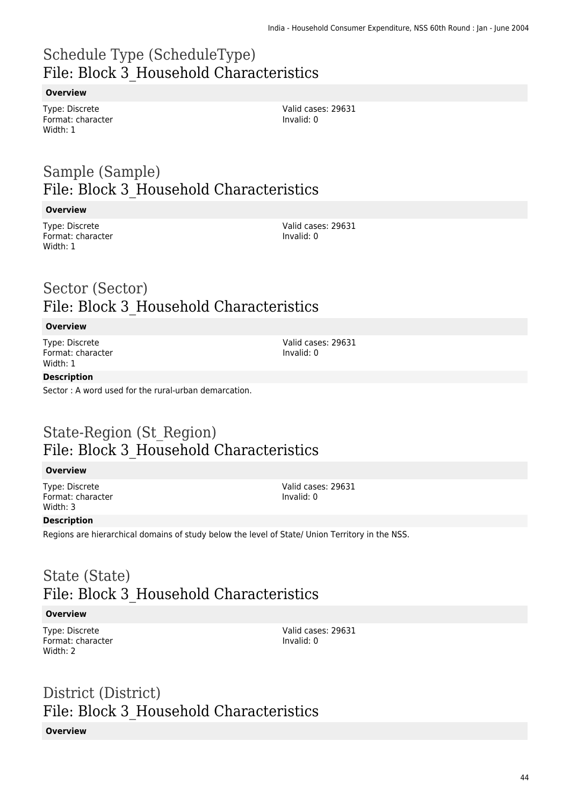## Schedule Type (ScheduleType) File: Block 3\_Household Characteristics

### **Overview**

Type: Discrete Format: character Width: 1

Valid cases: 29631 Invalid: 0

# Sample (Sample) File: Block 3\_Household Characteristics

### **Overview**

Type: Discrete Format: character Width: 1

Valid cases: 29631 Invalid: 0

# Sector (Sector) File: Block 3\_Household Characteristics

### **Overview**

Type: Discrete Format: character Width: 1

Valid cases: 29631 Invalid: 0

### **Description**

Sector : A word used for the rural-urban demarcation.

## State-Region (St\_Region) File: Block 3\_Household Characteristics

### **Overview**

Type: Discrete Format: character Width: 3

Valid cases: 29631 Invalid: 0

#### **Description**

Regions are hierarchical domains of study below the level of State/ Union Territory in the NSS.

### State (State) File: Block 3\_Household Characteristics

#### **Overview**

Type: Discrete Format: character Width: 2

Valid cases: 29631 Invalid: 0

# District (District) File: Block 3\_Household Characteristics

### **Overview**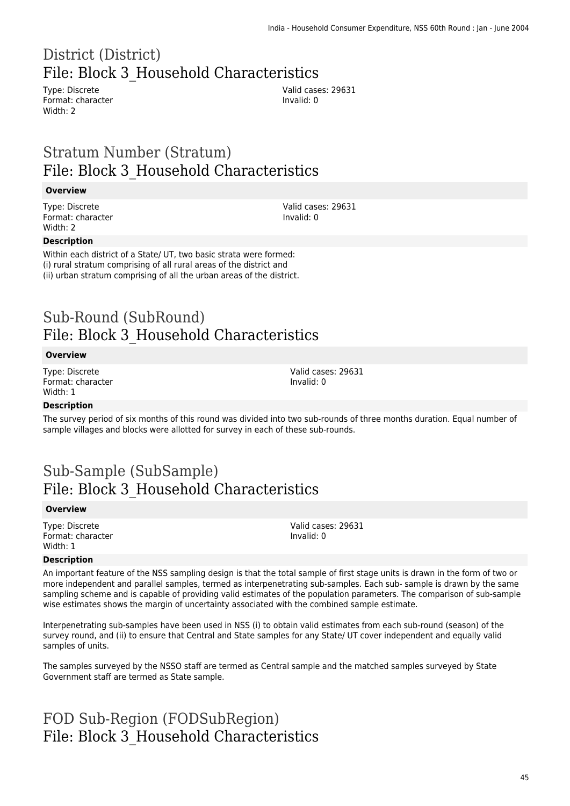# District (District) File: Block 3\_Household Characteristics

Type: Discrete Format: character Width: 2

Valid cases: 29631 Invalid: 0

Valid cases: 29631

Invalid: 0

# Stratum Number (Stratum) File: Block 3\_Household Characteristics

### **Overview**

Type: Discrete Format: character Width: 2

### **Description**

Within each district of a State/ UT, two basic strata were formed: (i) rural stratum comprising of all rural areas of the district and (ii) urban stratum comprising of all the urban areas of the district.

# Sub-Round (SubRound) File: Block 3\_Household Characteristics

### **Overview**

Type: Discrete Format: character Width: 1

Valid cases: 29631 Invalid: 0

### **Description**

The survey period of six months of this round was divided into two sub-rounds of three months duration. Equal number of sample villages and blocks were allotted for survey in each of these sub-rounds.

# Sub-Sample (SubSample) File: Block 3\_Household Characteristics

### **Overview**

Type: Discrete Format: character Width: 1

Valid cases: 29631 Invalid: 0

### **Description**

An important feature of the NSS sampling design is that the total sample of first stage units is drawn in the form of two or more independent and parallel samples, termed as interpenetrating sub-samples. Each sub- sample is drawn by the same sampling scheme and is capable of providing valid estimates of the population parameters. The comparison of sub-sample wise estimates shows the margin of uncertainty associated with the combined sample estimate.

Interpenetrating sub-samples have been used in NSS (i) to obtain valid estimates from each sub-round (season) of the survey round, and (ii) to ensure that Central and State samples for any State/ UT cover independent and equally valid samples of units.

The samples surveyed by the NSSO staff are termed as Central sample and the matched samples surveyed by State Government staff are termed as State sample.

# FOD Sub-Region (FODSubRegion) File: Block 3\_Household Characteristics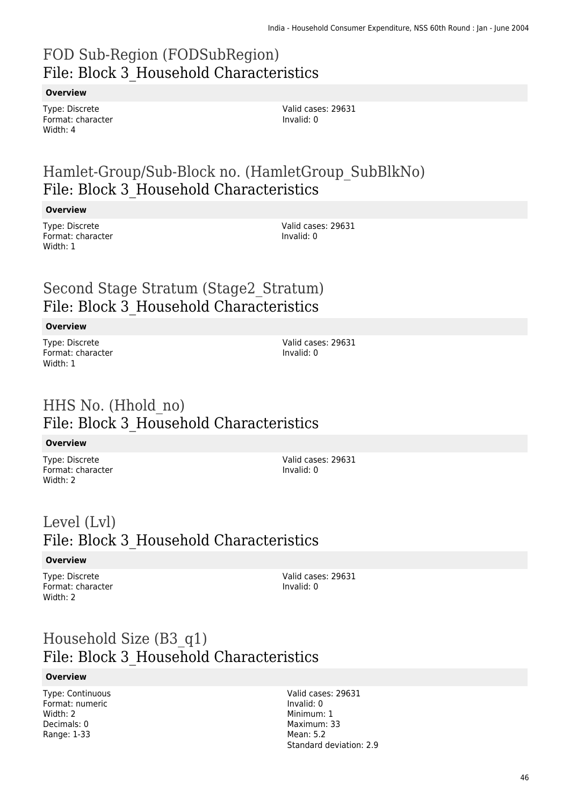## FOD Sub-Region (FODSubRegion) File: Block 3\_Household Characteristics

### **Overview**

Type: Discrete Format: character Width: 4

Valid cases: 29631 Invalid: 0

# Hamlet-Group/Sub-Block no. (HamletGroup\_SubBlkNo) File: Block 3\_Household Characteristics

### **Overview**

Type: Discrete Format: character Width: 1

Valid cases: 29631 Invalid: 0

## Second Stage Stratum (Stage2\_Stratum) File: Block 3\_Household Characteristics

### **Overview**

Type: Discrete Format: character Width: 1

Valid cases: 29631 Invalid: 0

## HHS No. (Hhold\_no) File: Block 3\_Household Characteristics

### **Overview**

Type: Discrete Format: character Width: 2

Valid cases: 29631 Invalid: 0

# Level (Lvl) File: Block 3\_Household Characteristics

### **Overview**

Type: Discrete Format: character Width: 2

Valid cases: 29631 Invalid: 0

# Household Size (B3\_q1) File: Block 3\_Household Characteristics

### **Overview**

Type: Continuous Format: numeric Width: 2 Decimals: 0 Range: 1-33

Valid cases: 29631 Invalid: 0 Minimum: 1 Maximum: 33 Mean: 5.2 Standard deviation: 2.9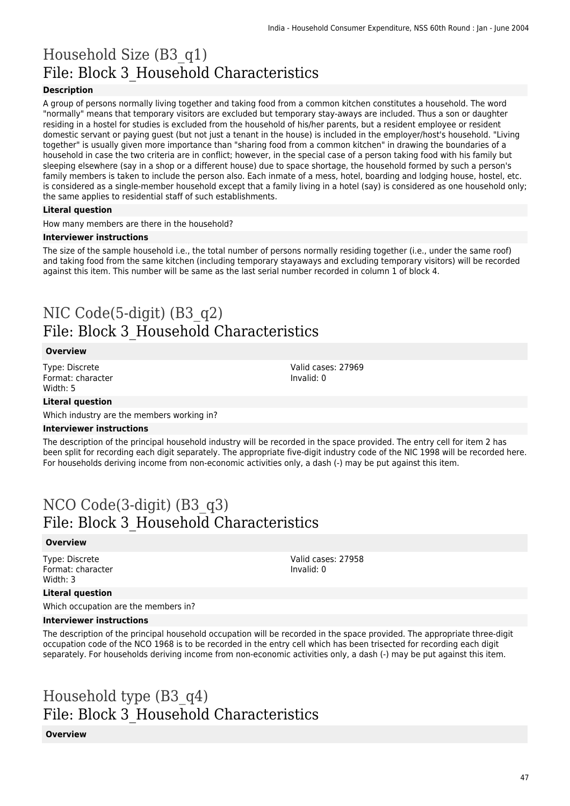# Household Size (B3\_q1) File: Block 3\_Household Characteristics

### **Description**

A group of persons normally living together and taking food from a common kitchen constitutes a household. The word "normally" means that temporary visitors are excluded but temporary stay-aways are included. Thus a son or daughter residing in a hostel for studies is excluded from the household of his/her parents, but a resident employee or resident domestic servant or paying guest (but not just a tenant in the house) is included in the employer/host's household. "Living together" is usually given more importance than "sharing food from a common kitchen" in drawing the boundaries of a household in case the two criteria are in conflict; however, in the special case of a person taking food with his family but sleeping elsewhere (say in a shop or a different house) due to space shortage, the household formed by such a person's family members is taken to include the person also. Each inmate of a mess, hotel, boarding and lodging house, hostel, etc. is considered as a single-member household except that a family living in a hotel (say) is considered as one household only; the same applies to residential staff of such establishments.

#### **Literal question**

How many members are there in the household?

#### **Interviewer instructions**

The size of the sample household i.e., the total number of persons normally residing together (i.e., under the same roof) and taking food from the same kitchen (including temporary stayaways and excluding temporary visitors) will be recorded against this item. This number will be same as the last serial number recorded in column 1 of block 4.

# NIC Code(5-digit) (B3\_q2) File: Block 3\_Household Characteristics

### **Overview**

Type: Discrete Format: character Width: 5

Valid cases: 27969 Invalid: 0

### **Literal question**

Which industry are the members working in?

### **Interviewer instructions**

The description of the principal household industry will be recorded in the space provided. The entry cell for item 2 has been split for recording each digit separately. The appropriate five-digit industry code of the NIC 1998 will be recorded here. For households deriving income from non-economic activities only, a dash (-) may be put against this item.

### NCO Code(3-digit) (B3\_q3) File: Block 3\_Household Characteristics

#### **Overview**

Type: Discrete Format: character Width: 3

Valid cases: 27958 Invalid: 0

#### **Literal question**

Which occupation are the members in?

#### **Interviewer instructions**

The description of the principal household occupation will be recorded in the space provided. The appropriate three-digit occupation code of the NCO 1968 is to be recorded in the entry cell which has been trisected for recording each digit separately. For households deriving income from non-economic activities only, a dash (-) may be put against this item.

# Household type (B3\_q4) File: Block 3\_Household Characteristics

#### **Overview**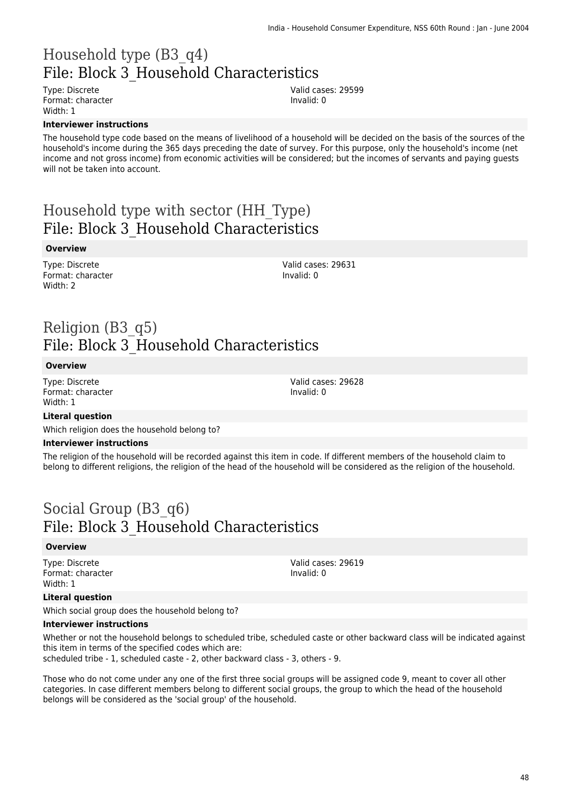# Household type (B3\_q4) File: Block 3\_Household Characteristics

Type: Discrete Format: character Width: 1

### **Interviewer instructions**

The household type code based on the means of livelihood of a household will be decided on the basis of the sources of the household's income during the 365 days preceding the date of survey. For this purpose, only the household's income (net income and not gross income) from economic activities will be considered; but the incomes of servants and paying guests will not be taken into account.

## Household type with sector (HH\_Type) File: Block 3\_Household Characteristics

#### **Overview**

Type: Discrete Format: character Width: 2

Valid cases: 29631 Invalid: 0

Valid cases: 29599

Invalid: 0

## Religion (B3\_q5) File: Block 3\_Household Characteristics

### **Overview**

Type: Discrete Format: character Width: 1

Valid cases: 29628 Invalid: 0

### **Literal question**

Which religion does the household belong to?

#### **Interviewer instructions**

The religion of the household will be recorded against this item in code. If different members of the household claim to belong to different religions, the religion of the head of the household will be considered as the religion of the household.

## Social Group (B3\_q6) File: Block 3\_Household Characteristics

#### **Overview**

Type: Discrete Format: character Width: 1

Valid cases: 29619 Invalid: 0

### **Literal question**

Which social group does the household belong to?

#### **Interviewer instructions**

Whether or not the household belongs to scheduled tribe, scheduled caste or other backward class will be indicated against this item in terms of the specified codes which are:

scheduled tribe - 1, scheduled caste - 2, other backward class - 3, others - 9.

Those who do not come under any one of the first three social groups will be assigned code 9, meant to cover all other categories. In case different members belong to different social groups, the group to which the head of the household belongs will be considered as the 'social group' of the household.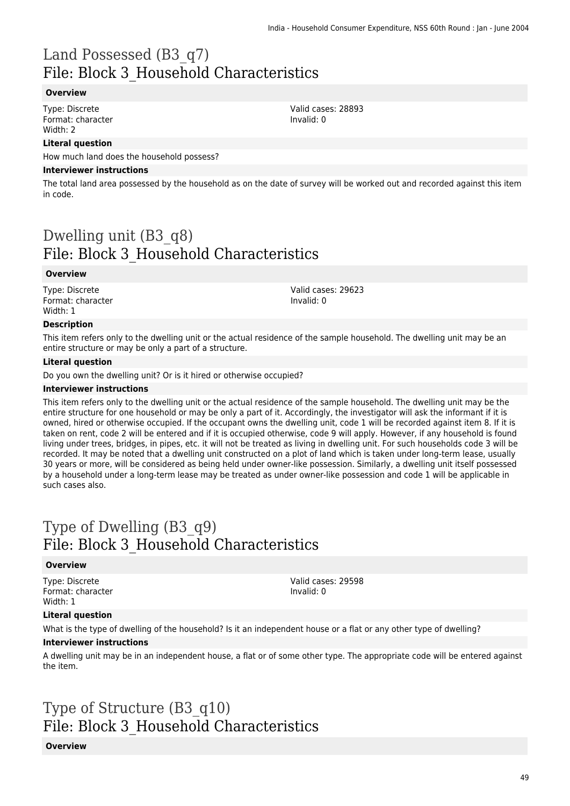# Land Possessed (B3\_q7) File: Block 3\_Household Characteristics

### **Overview**

Type: Discrete Format: character Width: 2

### **Literal question**

How much land does the household possess?

#### **Interviewer instructions**

The total land area possessed by the household as on the date of survey will be worked out and recorded against this item in code.

## Dwelling unit (B3\_q8) File: Block 3\_Household Characteristics

#### **Overview**

Type: Discrete Format: character Width: 1

Valid cases: 29623 Invalid: 0

#### **Description**

This item refers only to the dwelling unit or the actual residence of the sample household. The dwelling unit may be an entire structure or may be only a part of a structure.

#### **Literal question**

Do you own the dwelling unit? Or is it hired or otherwise occupied?

#### **Interviewer instructions**

This item refers only to the dwelling unit or the actual residence of the sample household. The dwelling unit may be the entire structure for one household or may be only a part of it. Accordingly, the investigator will ask the informant if it is owned, hired or otherwise occupied. If the occupant owns the dwelling unit, code 1 will be recorded against item 8. If it is taken on rent, code 2 will be entered and if it is occupied otherwise, code 9 will apply. However, if any household is found living under trees, bridges, in pipes, etc. it will not be treated as living in dwelling unit. For such households code 3 will be recorded. It may be noted that a dwelling unit constructed on a plot of land which is taken under long-term lease, usually 30 years or more, will be considered as being held under owner-like possession. Similarly, a dwelling unit itself possessed by a household under a long-term lease may be treated as under owner-like possession and code 1 will be applicable in such cases also.

# Type of Dwelling (B3\_q9) File: Block 3\_Household Characteristics

#### **Overview**

Type: Discrete Format: character Width: 1

Valid cases: 29598 Invalid: 0

#### **Literal question**

What is the type of dwelling of the household? Is it an independent house or a flat or any other type of dwelling?

#### **Interviewer instructions**

A dwelling unit may be in an independent house, a flat or of some other type. The appropriate code will be entered against the item.

# Type of Structure (B3\_q10) File: Block 3\_Household Characteristics

#### **Overview**

Valid cases: 28893 Invalid: 0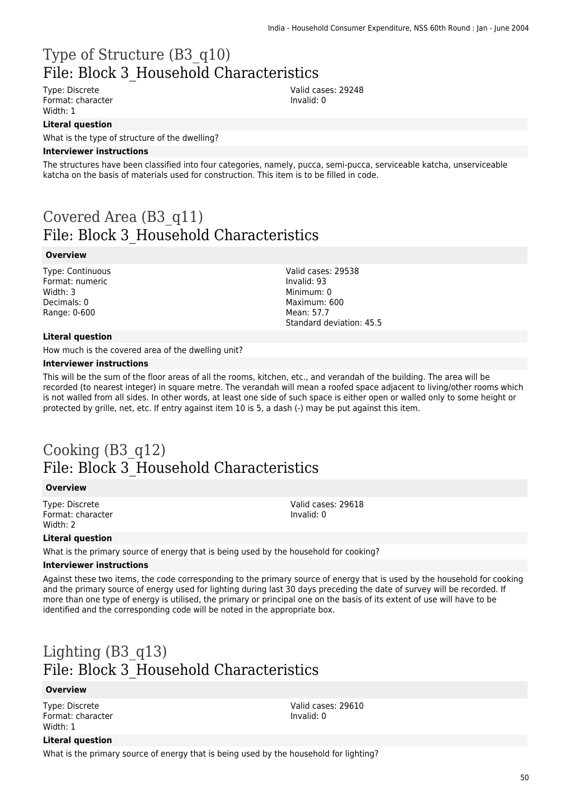# Type of Structure (B3\_q10) File: Block 3\_Household Characteristics

Type: Discrete Format: character Width: 1

Valid cases: 29248 Invalid: 0

### **Literal question**

What is the type of structure of the dwelling?

### **Interviewer instructions**

The structures have been classified into four categories, namely, pucca, semi-pucca, serviceable katcha, unserviceable katcha on the basis of materials used for construction. This item is to be filled in code.

# Covered Area (B3\_q11) File: Block 3\_Household Characteristics

#### **Overview**

Type: Continuous Format: numeric Width: 3 Decimals: 0 Range: 0-600

#### **Literal question**

How much is the covered area of the dwelling unit?

### **Interviewer instructions**

This will be the sum of the floor areas of all the rooms, kitchen, etc., and verandah of the building. The area will be recorded (to nearest integer) in square metre. The verandah will mean a roofed space adjacent to living/other rooms which is not walled from all sides. In other words, at least one side of such space is either open or walled only to some height or protected by grille, net, etc. If entry against item 10 is 5, a dash (-) may be put against this item.

# Cooking (B3\_q12) File: Block 3\_Household Characteristics

#### **Overview**

Type: Discrete Format: character Width: 2

Valid cases: 29618 Invalid: 0

#### **Literal question**

What is the primary source of energy that is being used by the household for cooking?

#### **Interviewer instructions**

Against these two items, the code corresponding to the primary source of energy that is used by the household for cooking and the primary source of energy used for lighting during last 30 days preceding the date of survey will be recorded. If more than one type of energy is utilised, the primary or principal one on the basis of its extent of use will have to be identified and the corresponding code will be noted in the appropriate box.

# Lighting  $(B3q13)$ File: Block 3\_Household Characteristics

#### **Overview**

Type: Discrete Format: character Width: 1

Valid cases: 29610 Invalid: 0

#### **Literal question**

What is the primary source of energy that is being used by the household for lighting?

Valid cases: 29538 Invalid: 93 Minimum: 0 Maximum: 600 Mean: 57.7 Standard deviation: 45.5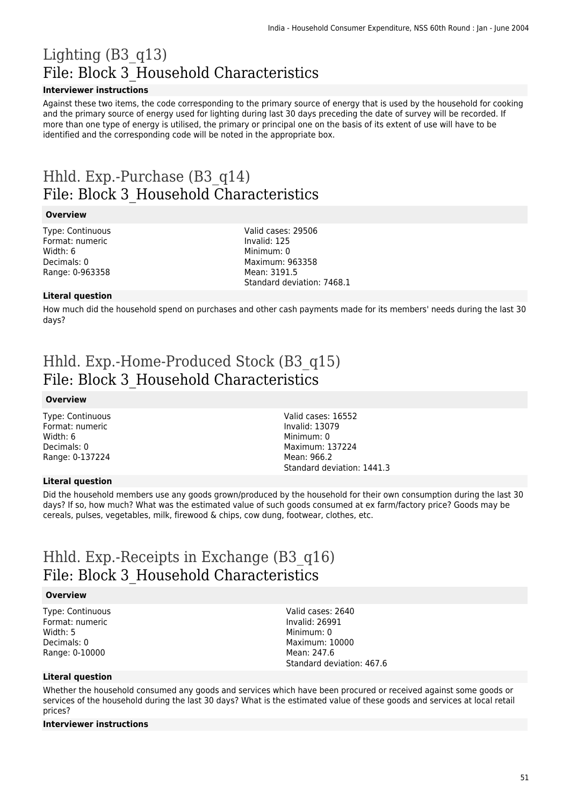# Lighting  $(B3q13)$ File: Block 3\_Household Characteristics

### **Interviewer instructions**

Against these two items, the code corresponding to the primary source of energy that is used by the household for cooking and the primary source of energy used for lighting during last 30 days preceding the date of survey will be recorded. If more than one type of energy is utilised, the primary or principal one on the basis of its extent of use will have to be identified and the corresponding code will be noted in the appropriate box.

# Hhld. Exp.-Purchase (B3\_q14) File: Block 3\_Household Characteristics

#### **Overview**

Type: Continuous Format: numeric Width: 6 Decimals: 0 Range: 0-963358

Valid cases: 29506 Invalid: 125 Minimum: 0 Maximum: 963358 Mean: 3191.5 Standard deviation: 7468.1

### **Literal question**

How much did the household spend on purchases and other cash payments made for its members' needs during the last 30 days?

# Hhld. Exp.-Home-Produced Stock (B3\_q15) File: Block 3\_Household Characteristics

### **Overview**

Type: Continuous Format: numeric Width: 6 Decimals: 0 Range: 0-137224

#### **Literal question**

Minimum: 0 Maximum: 137224 Mean: 966.2 Standard deviation: 1441.3

Valid cases: 16552 Invalid: 13079

Did the household members use any goods grown/produced by the household for their own consumption during the last 30 days? If so, how much? What was the estimated value of such goods consumed at ex farm/factory price? Goods may be cereals, pulses, vegetables, milk, firewood & chips, cow dung, footwear, clothes, etc.

# Hhld. Exp.-Receipts in Exchange (B3\_q16) File: Block 3\_Household Characteristics

### **Overview**

Type: Continuous Format: numeric Width: 5 Decimals: 0 Range: 0-10000

Valid cases: 2640 Invalid: 26991 Minimum: 0 Maximum: 10000 Mean: 247.6 Standard deviation: 467.6

#### **Literal question**

Whether the household consumed any goods and services which have been procured or received against some goods or services of the household during the last 30 days? What is the estimated value of these goods and services at local retail prices?

#### **Interviewer instructions**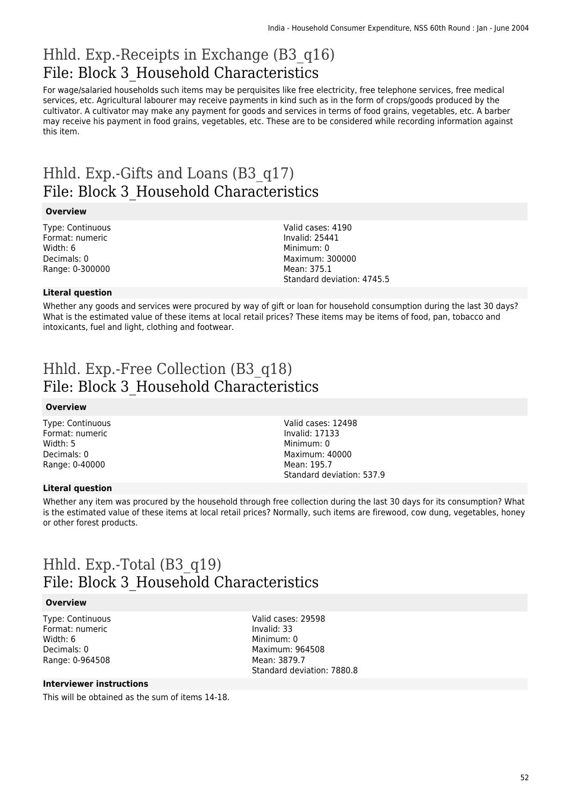# Hhld. Exp.-Receipts in Exchange (B3\_q16) File: Block 3\_Household Characteristics

For wage/salaried households such items may be perquisites like free electricity, free telephone services, free medical services, etc. Agricultural labourer may receive payments in kind such as in the form of crops/goods produced by the cultivator. A cultivator may make any payment for goods and services in terms of food grains, vegetables, etc. A barber may receive his payment in food grains, vegetables, etc. These are to be considered while recording information against this item.

# Hhld. Exp.-Gifts and Loans (B3\_q17) File: Block 3\_Household Characteristics

### **Overview**

Type: Continuous Format: numeric Width: 6 Decimals: 0 Range: 0-300000

Valid cases: 4190 Invalid: 25441 Minimum: 0 Maximum: 300000 Mean: 375.1 Standard deviation: 4745.5

### **Literal question**

Whether any goods and services were procured by way of gift or loan for household consumption during the last 30 days? What is the estimated value of these items at local retail prices? These items may be items of food, pan, tobacco and intoxicants, fuel and light, clothing and footwear.

# Hhld. Exp.-Free Collection (B3\_q18) File: Block 3\_Household Characteristics

### **Overview**

Type: Continuous Format: numeric Width: 5 Decimals: 0 Range: 0-40000

#### Valid cases: 12498 Invalid: 17133 Minimum: 0 Maximum: 40000 Mean: 195.7 Standard deviation: 537.9

### **Literal question**

Whether any item was procured by the household through free collection during the last 30 days for its consumption? What is the estimated value of these items at local retail prices? Normally, such items are firewood, cow dung, vegetables, honey or other forest products.

## Hhld. Exp.-Total (B3 q19) File: Block 3\_Household Characteristics

### **Overview**

Type: Continuous Format: numeric Width: 6 Decimals: 0 Range: 0-964508

Valid cases: 29598 Invalid: 33 Minimum: 0 Maximum: 964508 Mean: 3879.7 Standard deviation: 7880.8

#### **Interviewer instructions**

This will be obtained as the sum of items 14-18.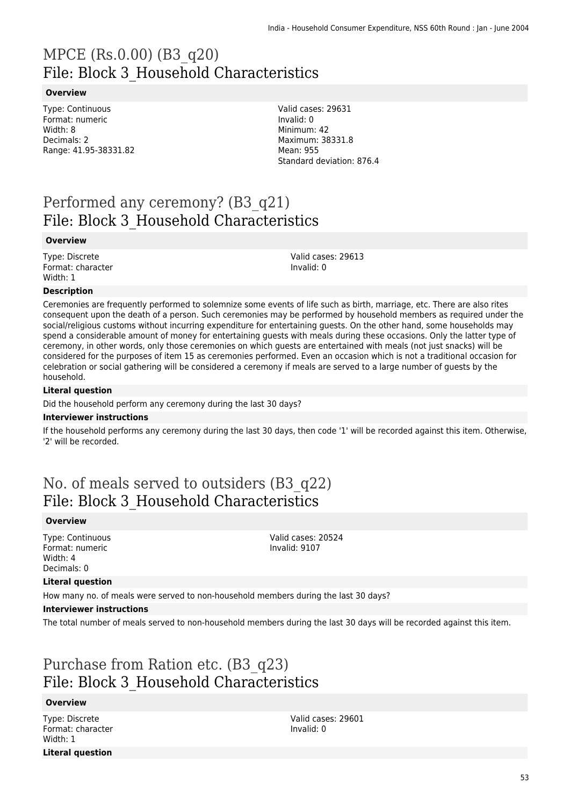# MPCE (Rs.0.00) (B3\_q20) File: Block 3\_Household Characteristics

### **Overview**

Type: Continuous Format: numeric Width: 8 Decimals: 2 Range: 41.95-38331.82 Valid cases: 29631 Invalid: 0 Minimum: 42 Maximum: 38331.8 Mean: 955 Standard deviation: 876.4

# Performed any ceremony? (B3\_q21) File: Block 3\_Household Characteristics

### **Overview**

Type: Discrete Format: character Width: 1

Valid cases: 29613 Invalid: 0

### **Description**

Ceremonies are frequently performed to solemnize some events of life such as birth, marriage, etc. There are also rites consequent upon the death of a person. Such ceremonies may be performed by household members as required under the social/religious customs without incurring expenditure for entertaining guests. On the other hand, some households may spend a considerable amount of money for entertaining guests with meals during these occasions. Only the latter type of ceremony, in other words, only those ceremonies on which guests are entertained with meals (not just snacks) will be considered for the purposes of item 15 as ceremonies performed. Even an occasion which is not a traditional occasion for celebration or social gathering will be considered a ceremony if meals are served to a large number of guests by the household.

#### **Literal question**

Did the household perform any ceremony during the last 30 days?

#### **Interviewer instructions**

If the household performs any ceremony during the last 30 days, then code '1' will be recorded against this item. Otherwise, '2' will be recorded.

### No. of meals served to outsiders (B3\_q22) File: Block 3\_Household Characteristics

#### **Overview**

Type: Continuous Format: numeric Width: 4 Decimals: 0

Valid cases: 20524 Invalid: 9107

#### **Literal question**

How many no. of meals were served to non-household members during the last 30 days?

#### **Interviewer instructions**

The total number of meals served to non-household members during the last 30 days will be recorded against this item.

### Purchase from Ration etc. (B3\_q23) File: Block 3\_Household Characteristics

#### **Overview**

Type: Discrete Format: character Width: 1 **Literal question**

Valid cases: 29601 Invalid: 0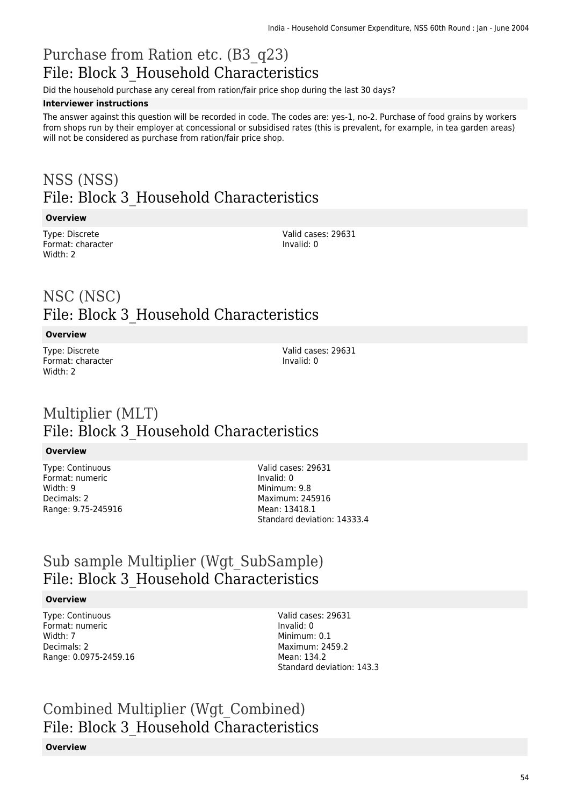# Purchase from Ration etc. (B3\_q23) File: Block 3\_Household Characteristics

Did the household purchase any cereal from ration/fair price shop during the last 30 days?

### **Interviewer instructions**

The answer against this question will be recorded in code. The codes are: yes-1, no-2. Purchase of food grains by workers from shops run by their employer at concessional or subsidised rates (this is prevalent, for example, in tea garden areas) will not be considered as purchase from ration/fair price shop.

# NSS (NSS) File: Block 3\_Household Characteristics

### **Overview**

Type: Discrete Format: character Width: 2

Valid cases: 29631 Invalid: 0

# NSC (NSC) File: Block 3\_Household Characteristics

### **Overview**

Type: Discrete Format: character Width: 2

Valid cases: 29631 Invalid: 0

# Multiplier (MLT) File: Block 3\_Household Characteristics

### **Overview**

Type: Continuous Format: numeric Width: 9 Decimals: 2 Range: 9.75-245916 Valid cases: 29631 Invalid: 0 Minimum: 9.8 Maximum: 245916 Mean: 13418.1 Standard deviation: 14333.4

## Sub sample Multiplier (Wgt\_SubSample) File: Block 3\_Household Characteristics

### **Overview**

Type: Continuous Format: numeric Width: 7 Decimals: 2 Range: 0.0975-2459.16 Valid cases: 29631 Invalid: 0 Minimum: 0.1 Maximum: 2459.2 Mean: 134.2 Standard deviation: 143.3

# Combined Multiplier (Wgt\_Combined) File: Block 3\_Household Characteristics

#### **Overview**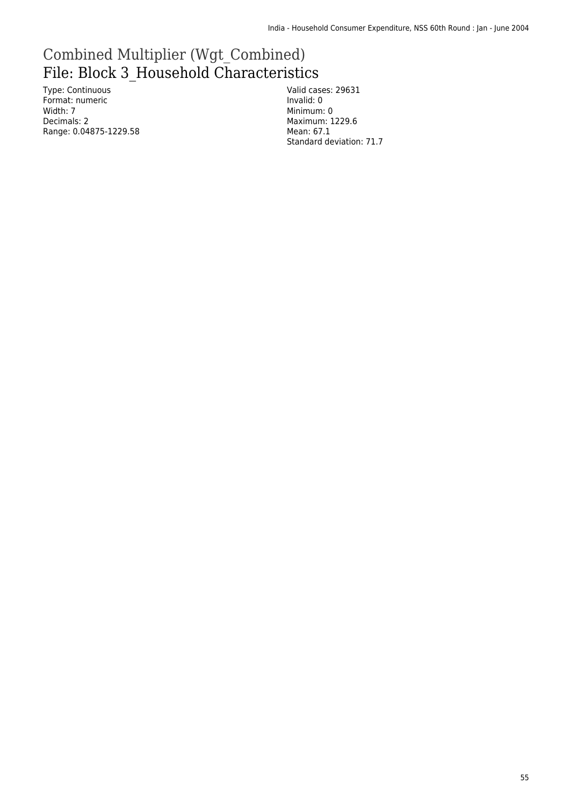# Combined Multiplier (Wgt\_Combined) File: Block 3\_Household Characteristics

Type: Continuous Format: numeric Width: 7 Decimals: 2 Range: 0.04875-1229.58

Valid cases: 29631 Invalid: 0 Minimum: 0 Maximum: 1229.6 Mean: 67.1 Standard deviation: 71.7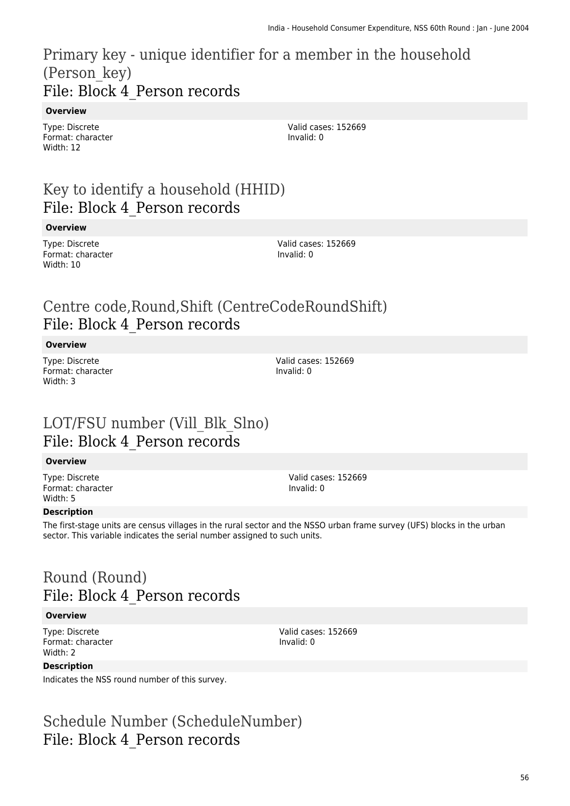### Primary key - unique identifier for a member in the household (Person\_key) File: Block 4\_Person records

### **Overview**

Type: Discrete Format: character Width: 12

Valid cases: 152669 Invalid: 0

## Key to identify a household (HHID) File: Block 4\_Person records

### **Overview**

Type: Discrete Format: character Width: 10

Valid cases: 152669 Invalid: 0

# Centre code,Round,Shift (CentreCodeRoundShift) File: Block 4\_Person records

### **Overview**

Type: Discrete Format: character Width: 3

Valid cases: 152669 Invalid: 0

# LOT/FSU number (Vill\_Blk\_Slno) File: Block 4\_Person records

### **Overview**

Type: Discrete Format: character Width: 5

Valid cases: 152669 Invalid: 0

Valid cases: 152669

Invalid: 0

### **Description**

The first-stage units are census villages in the rural sector and the NSSO urban frame survey (UFS) blocks in the urban sector. This variable indicates the serial number assigned to such units.

## Round (Round) File: Block 4\_Person records

#### **Overview**

Type: Discrete Format: character Width: 2

#### **Description**

Indicates the NSS round number of this survey.

### Schedule Number (ScheduleNumber) File: Block 4\_Person records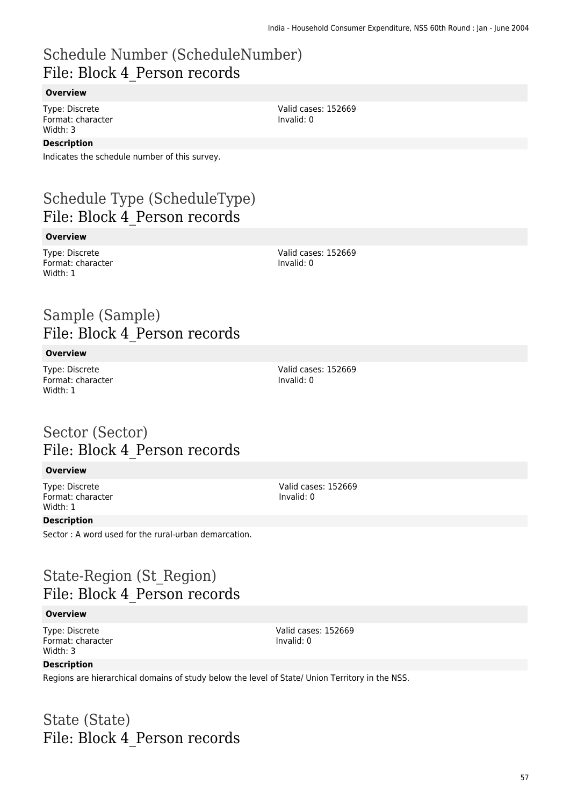# Schedule Number (ScheduleNumber) File: Block 4\_Person records

### **Overview**

Type: Discrete Format: character Width: 3

### **Description**

Indicates the schedule number of this survey.

# Schedule Type (ScheduleType) File: Block 4\_Person records

#### **Overview**

Type: Discrete Format: character Width: 1

Valid cases: 152669 Invalid: 0

Valid cases: 152669

Invalid: 0

# Sample (Sample) File: Block 4\_Person records

### **Overview**

Type: Discrete Format: character Width: 1

Valid cases: 152669 Invalid: 0

Valid cases: 152669

Invalid: 0

### Sector (Sector) File: Block 4\_Person records

### **Overview**

Type: Discrete Format: character Width: 1

#### **Description**

Sector : A word used for the rural-urban demarcation.

## State-Region (St\_Region) File: Block 4\_Person records

#### **Overview**

Type: Discrete Format: character Width: 3

Valid cases: 152669 Invalid: 0

### **Description**

Regions are hierarchical domains of study below the level of State/ Union Territory in the NSS.

State (State) File: Block 4\_Person records

57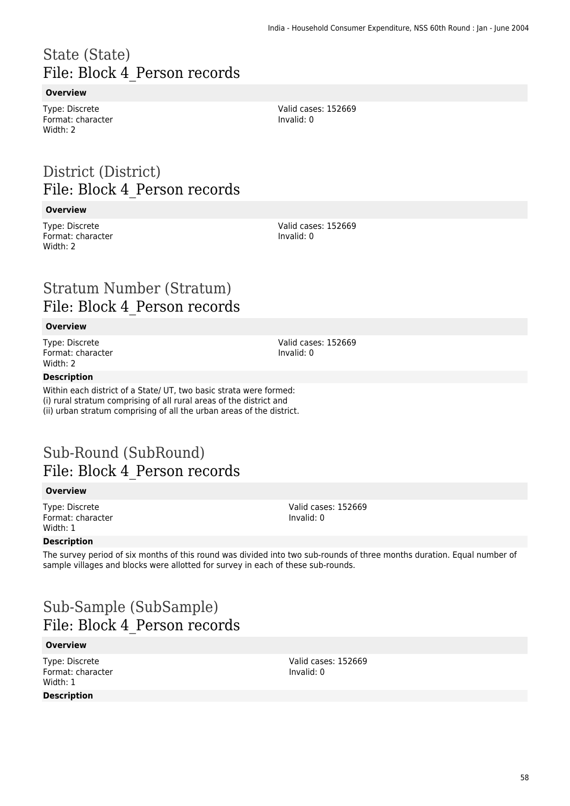# State (State) File: Block 4\_Person records

### **Overview**

Type: Discrete Format: character Width: 2

Valid cases: 152669 Invalid: 0

# District (District) File: Block 4\_Person records

### **Overview**

Type: Discrete Format: character Width: 2

Valid cases: 152669 Invalid: 0

# Stratum Number (Stratum) File: Block 4\_Person records

### **Overview**

Type: Discrete Format: character Width: 2

### **Description**

Within each district of a State/ UT, two basic strata were formed: (i) rural stratum comprising of all rural areas of the district and (ii) urban stratum comprising of all the urban areas of the district.

# Sub-Round (SubRound) File: Block 4\_Person records

#### **Overview**

Type: Discrete Format: character Width: 1

Valid cases: 152669 Invalid: 0

### **Description**

The survey period of six months of this round was divided into two sub-rounds of three months duration. Equal number of sample villages and blocks were allotted for survey in each of these sub-rounds.

# Sub-Sample (SubSample) File: Block 4\_Person records

### **Overview**

Type: Discrete Format: character Width: 1

### **Description**

Valid cases: 152669 Invalid: 0

Valid cases: 152669 Invalid: 0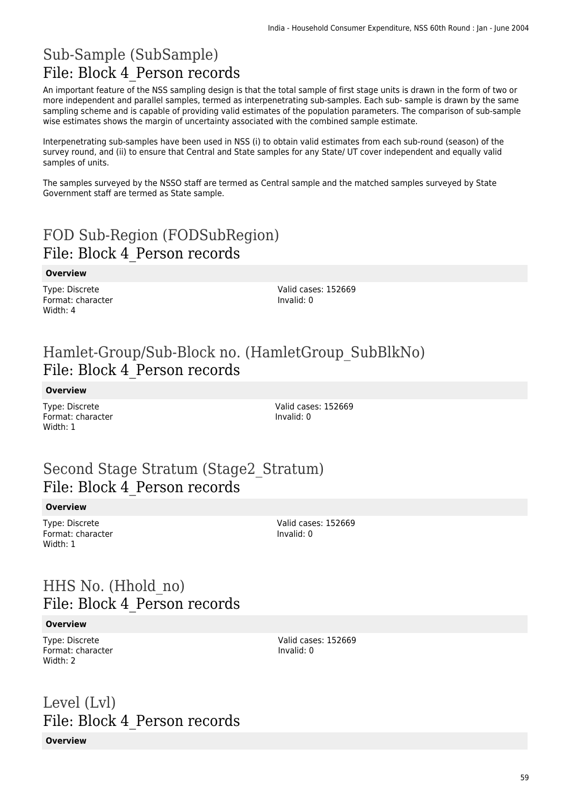# Sub-Sample (SubSample) File: Block 4\_Person records

An important feature of the NSS sampling design is that the total sample of first stage units is drawn in the form of two or more independent and parallel samples, termed as interpenetrating sub-samples. Each sub- sample is drawn by the same sampling scheme and is capable of providing valid estimates of the population parameters. The comparison of sub-sample wise estimates shows the margin of uncertainty associated with the combined sample estimate.

Interpenetrating sub-samples have been used in NSS (i) to obtain valid estimates from each sub-round (season) of the survey round, and (ii) to ensure that Central and State samples for any State/ UT cover independent and equally valid samples of units.

The samples surveyed by the NSSO staff are termed as Central sample and the matched samples surveyed by State Government staff are termed as State sample.

# FOD Sub-Region (FODSubRegion) File: Block 4\_Person records

### **Overview**

Type: Discrete Format: character Width: 4

Valid cases: 152669 Invalid: 0

# Hamlet-Group/Sub-Block no. (HamletGroup\_SubBlkNo) File: Block 4\_Person records

### **Overview**

Type: Discrete Format: character Width: 1

Valid cases: 152669 Invalid: 0

### Second Stage Stratum (Stage2\_Stratum) File: Block 4\_Person records

### **Overview**

Type: Discrete Format: character Width: 1

Valid cases: 152669 Invalid: 0

## HHS No. (Hhold\_no) File: Block 4\_Person records

### **Overview**

Type: Discrete Format: character Width: 2

Valid cases: 152669 Invalid: 0

# Level (Lvl) File: Block 4\_Person records

**Overview**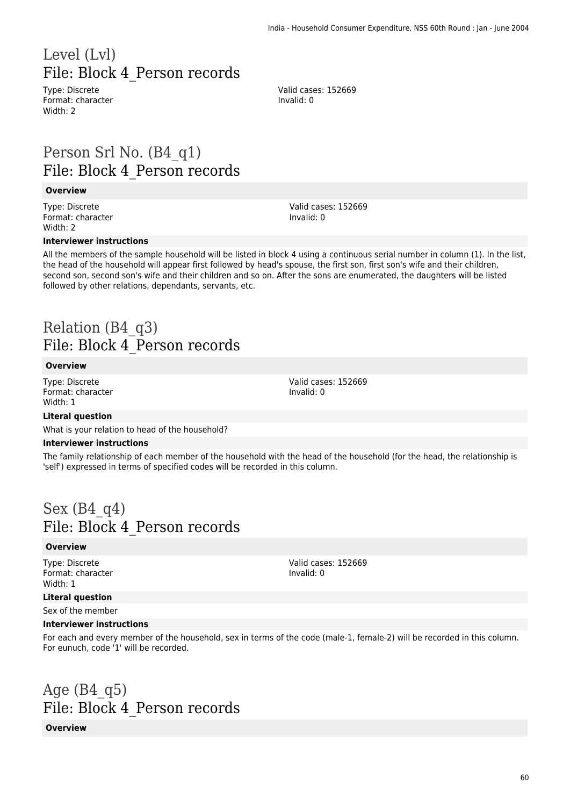# Level (Lvl) File: Block 4\_Person records

Type: Discrete Format: character Width: 2

Valid cases: 152669 Invalid: 0

# Person Srl No. (B4\_q1) File: Block 4\_Person records

### **Overview**

Type: Discrete Format: character Width: 2

#### **Interviewer instructions**

All the members of the sample household will be listed in block 4 using a continuous serial number in column (1). In the list, the head of the household will appear first followed by head's spouse, the first son, first son's wife and their children, second son, second son's wife and their children and so on. After the sons are enumerated, the daughters will be listed followed by other relations, dependants, servants, etc.

### Relation (B4\_q3) File: Block 4\_Person records

#### **Overview**

Type: Discrete Format: character Width: 1

#### **Literal question**

What is your relation to head of the household?

#### **Interviewer instructions**

The family relationship of each member of the household with the head of the household (for the head, the relationship is 'self') expressed in terms of specified codes will be recorded in this column.

### Sex  $(B4q4)$ File: Block 4\_Person records

#### **Overview**

Type: Discrete Format: character Width: 1

Valid cases: 152669 Invalid: 0

Valid cases: 152669

Invalid: 0

### **Literal question**

Sex of the member

#### **Interviewer instructions**

For each and every member of the household, sex in terms of the code (male-1, female-2) will be recorded in this column. For eunuch, code '1' will be recorded.

## Age (B4\_q5) File: Block 4\_Person records

#### **Overview**

Valid cases: 152669 Invalid: 0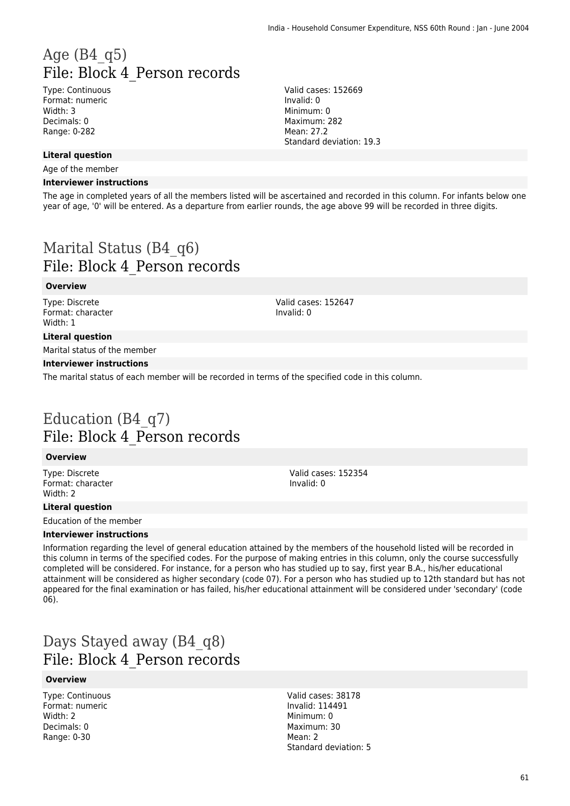# Age (B4\_q5) File: Block 4\_Person records

Type: Continuous Format: numeric Width: 3 Decimals: 0 Range: 0-282

#### **Literal question**

Age of the member

#### **Interviewer instructions**

The age in completed years of all the members listed will be ascertained and recorded in this column. For infants below one year of age, '0' will be entered. As a departure from earlier rounds, the age above 99 will be recorded in three digits.

# Marital Status (B4\_q6) File: Block 4\_Person records

#### **Overview**

Type: Discrete Format: character Width: 1

Valid cases: 152647 Invalid: 0

Valid cases: 152354

Invalid: 0

Valid cases: 152669

Standard deviation: 19.3

Invalid: 0 Minimum: 0 Maximum: 282 Mean: 27.2

#### **Literal question**

Marital status of the member

#### **Interviewer instructions**

The marital status of each member will be recorded in terms of the specified code in this column.

# Education (B4 $q7$ ) File: Block 4\_Person records

#### **Overview**

Type: Discrete Format: character Width: 2

#### **Literal question**

Education of the member

#### **Interviewer instructions**

Information regarding the level of general education attained by the members of the household listed will be recorded in this column in terms of the specified codes. For the purpose of making entries in this column, only the course successfully completed will be considered. For instance, for a person who has studied up to say, first year B.A., his/her educational attainment will be considered as higher secondary (code 07). For a person who has studied up to 12th standard but has not appeared for the final examination or has failed, his/her educational attainment will be considered under 'secondary' (code 06).

## Days Stayed away (B4\_q8) File: Block 4\_Person records

#### **Overview**

Type: Continuous Format: numeric Width: 2 Decimals: 0 Range: 0-30

Valid cases: 38178 Invalid: 114491 Minimum: 0 Maximum: 30 Mean: 2 Standard deviation: 5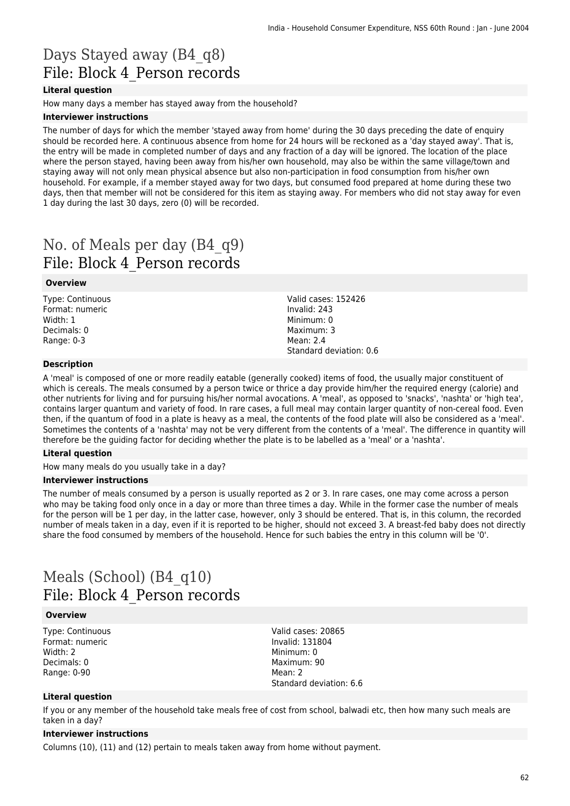# Days Stayed away (B4\_q8) File: Block 4\_Person records

### **Literal question**

How many days a member has stayed away from the household?

#### **Interviewer instructions**

The number of days for which the member 'stayed away from home' during the 30 days preceding the date of enquiry should be recorded here. A continuous absence from home for 24 hours will be reckoned as a 'day stayed away'. That is, the entry will be made in completed number of days and any fraction of a day will be ignored. The location of the place where the person stayed, having been away from his/her own household, may also be within the same village/town and staying away will not only mean physical absence but also non-participation in food consumption from his/her own household. For example, if a member stayed away for two days, but consumed food prepared at home during these two days, then that member will not be considered for this item as staying away. For members who did not stay away for even 1 day during the last 30 days, zero (0) will be recorded.

# No. of Meals per day (B4\_q9) File: Block 4\_Person records

#### **Overview**

Type: Continuous Format: numeric Width: 1 Decimals: 0 Range: 0-3

Valid cases: 152426 Invalid: 243 Minimum: 0 Maximum: 3 Mean: 2.4 Standard deviation: 0.6

#### **Description**

A 'meal' is composed of one or more readily eatable (generally cooked) items of food, the usually major constituent of which is cereals. The meals consumed by a person twice or thrice a day provide him/her the required energy (calorie) and other nutrients for living and for pursuing his/her normal avocations. A 'meal', as opposed to 'snacks', 'nashta' or 'high tea', contains larger quantum and variety of food. In rare cases, a full meal may contain larger quantity of non-cereal food. Even then, if the quantum of food in a plate is heavy as a meal, the contents of the food plate will also be considered as a 'meal'. Sometimes the contents of a 'nashta' may not be very different from the contents of a 'meal'. The difference in quantity will therefore be the guiding factor for deciding whether the plate is to be labelled as a 'meal' or a 'nashta'.

#### **Literal question**

How many meals do you usually take in a day?

#### **Interviewer instructions**

The number of meals consumed by a person is usually reported as 2 or 3. In rare cases, one may come across a person who may be taking food only once in a day or more than three times a day. While in the former case the number of meals for the person will be 1 per day, in the latter case, however, only 3 should be entered. That is, in this column, the recorded number of meals taken in a day, even if it is reported to be higher, should not exceed 3. A breast-fed baby does not directly share the food consumed by members of the household. Hence for such babies the entry in this column will be '0'.

# Meals (School) (B4\_q10) File: Block 4\_Person records

#### **Overview**

Type: Continuous Format: numeric Width: 2 Decimals: 0 Range: 0-90

Valid cases: 20865 Invalid: 131804 Minimum: 0 Maximum: 90 Mean: 2 Standard deviation: 6.6

#### **Literal question**

If you or any member of the household take meals free of cost from school, balwadi etc, then how many such meals are taken in a day?

#### **Interviewer instructions**

Columns (10), (11) and (12) pertain to meals taken away from home without payment.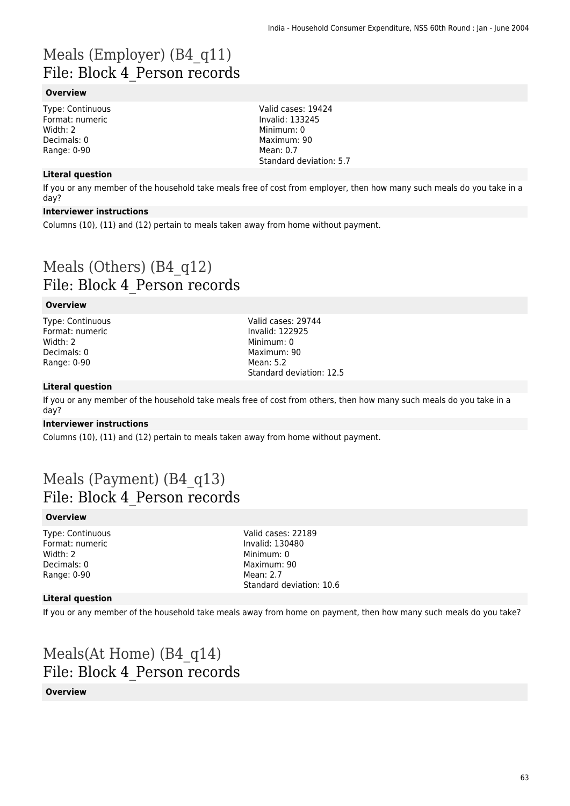# Meals (Employer) (B4\_q11) File: Block 4\_Person records

### **Overview**

Type: Continuous Format: numeric Width: 2 Decimals: 0 Range: 0-90

Valid cases: 19424 Invalid: 133245 Minimum: 0 Maximum: 90 Mean: 0.7 Standard deviation: 5.7

### **Literal question**

If you or any member of the household take meals free of cost from employer, then how many such meals do you take in a day?

#### **Interviewer instructions**

Columns (10), (11) and (12) pertain to meals taken away from home without payment.

## Meals (Others) (B4\_q12) File: Block 4\_Person records

### **Overview**

Type: Continuous Format: numeric Width: 2 Decimals: 0 Range: 0-90

Valid cases: 29744 Invalid: 122925 Minimum: 0 Maximum: 90 Mean: 5.2 Standard deviation: 12.5

#### **Literal question**

If you or any member of the household take meals free of cost from others, then how many such meals do you take in a day?

### **Interviewer instructions**

Columns (10), (11) and (12) pertain to meals taken away from home without payment.

### Meals (Payment) (B4\_q13) File: Block 4\_Person records

#### **Overview**

Type: Continuous Format: numeric Width: 2 Decimals: 0 Range: 0-90

Valid cases: 22189 Invalid: 130480 Minimum: 0 Maximum: 90 Mean: 2.7 Standard deviation: 10.6

#### **Literal question**

If you or any member of the household take meals away from home on payment, then how many such meals do you take?

Meals(At Home) (B4\_q14) File: Block 4\_Person records

#### **Overview**

63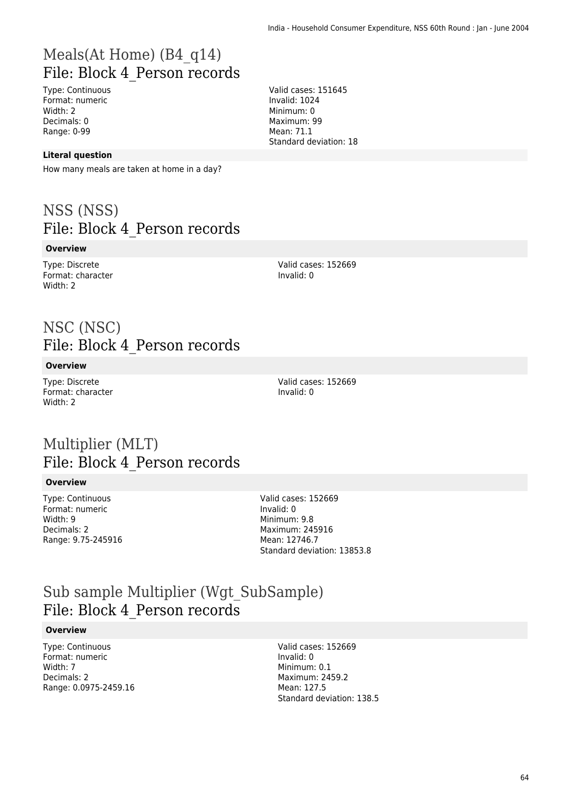# Meals(At Home) (B4\_q14) File: Block 4\_Person records

Type: Continuous Format: numeric Width: 2 Decimals: 0 Range: 0-99

### **Literal question**

How many meals are taken at home in a day?

## NSS (NSS) File: Block 4\_Person records

#### **Overview**

Type: Discrete Format: character Width: 2

Minimum: 0 Maximum: 99 Mean: 71.1 Standard deviation: 18

Valid cases: 151645 Invalid: 1024

> Valid cases: 152669 Invalid: 0

### NSC (NSC) File: Block 4\_Person records

#### **Overview**

Type: Discrete Format: character Width: 2

Valid cases: 152669 Invalid: 0

## Multiplier (MLT) File: Block 4\_Person records

#### **Overview**

Type: Continuous Format: numeric Width: 9 Decimals: 2 Range: 9.75-245916 Valid cases: 152669 Invalid: 0 Minimum: 9.8 Maximum: 245916 Mean: 12746.7 Standard deviation: 13853.8

# Sub sample Multiplier (Wgt\_SubSample) File: Block 4\_Person records

### **Overview**

Type: Continuous Format: numeric Width: 7 Decimals: 2 Range: 0.0975-2459.16 Valid cases: 152669 Invalid: 0 Minimum: 0.1 Maximum: 2459.2 Mean: 127.5 Standard deviation: 138.5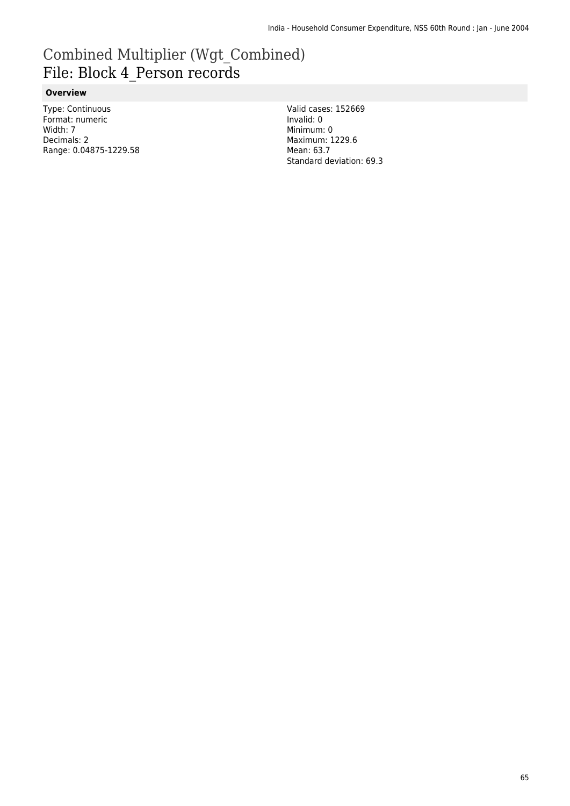# Combined Multiplier (Wgt\_Combined) File: Block 4\_Person records

### **Overview**

Type: Continuous Format: numeric Width: 7 Decimals: 2 Range: 0.04875-1229.58

Valid cases: 152669 Invalid: 0 Minimum: 0 Maximum: 1229.6 Mean: 63.7 Standard deviation: 69.3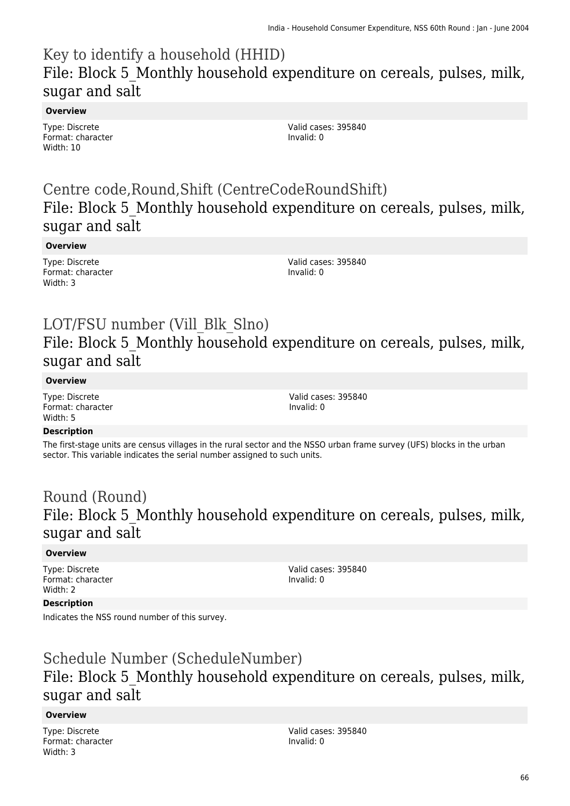# Key to identify a household (HHID) File: Block 5 Monthly household expenditure on cereals, pulses, milk, sugar and salt

### **Overview**

Type: Discrete Format: character Width: 10

Valid cases: 395840 Invalid: 0

# Centre code,Round,Shift (CentreCodeRoundShift) File: Block 5 Monthly household expenditure on cereals, pulses, milk, sugar and salt

### **Overview**

Type: Discrete Format: character Width: 3

Valid cases: 395840 Invalid: 0

# LOT/FSU number (Vill\_Blk\_Slno) File: Block 5 Monthly household expenditure on cereals, pulses, milk, sugar and salt

### **Overview**

Type: Discrete Format: character Width: 5

Valid cases: 395840 Invalid: 0

### **Description**

The first-stage units are census villages in the rural sector and the NSSO urban frame survey (UFS) blocks in the urban sector. This variable indicates the serial number assigned to such units.

# Round (Round) File: Block 5 Monthly household expenditure on cereals, pulses, milk, sugar and salt

### **Overview**

Type: Discrete Format: character Width: 2

### **Description**

Indicates the NSS round number of this survey.

# Schedule Number (ScheduleNumber) File: Block 5 Monthly household expenditure on cereals, pulses, milk, sugar and salt

### **Overview**

Type: Discrete Format: character Width: 3

Valid cases: 395840 Invalid: 0

Valid cases: 395840

Invalid: 0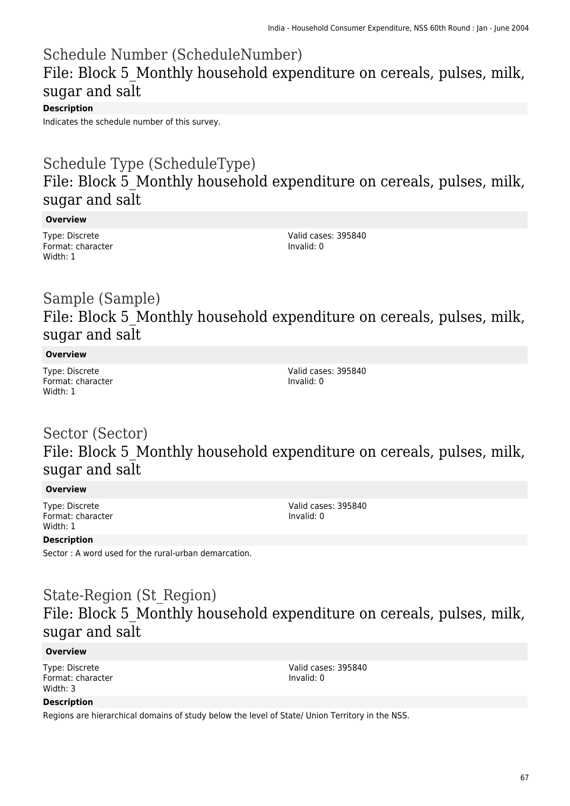# Schedule Number (ScheduleNumber)

# File: Block 5 Monthly household expenditure on cereals, pulses, milk, sugar and salt

**Description**

Indicates the schedule number of this survey.

# Schedule Type (ScheduleType) File: Block 5 Monthly household expenditure on cereals, pulses, milk, sugar and salt

### **Overview**

Type: Discrete Format: character Width: 1

Valid cases: 395840 Invalid: 0

# Sample (Sample) File: Block 5 Monthly household expenditure on cereals, pulses, milk, sugar and salt

### **Overview**

Type: Discrete Format: character Width: 1

Valid cases: 395840 Invalid: 0

# Sector (Sector) File: Block 5 Monthly household expenditure on cereals, pulses, milk, sugar and salt

### **Overview**

Type: Discrete Format: character Width: 1

Valid cases: 395840 Invalid: 0

### **Description**

Sector : A word used for the rural-urban demarcation.

# State-Region (St\_Region) File: Block 5 Monthly household expenditure on cereals, pulses, milk, sugar and salt

### **Overview**

Type: Discrete Format: character Width: 3

Valid cases: 395840 Invalid: 0

### **Description**

Regions are hierarchical domains of study below the level of State/ Union Territory in the NSS.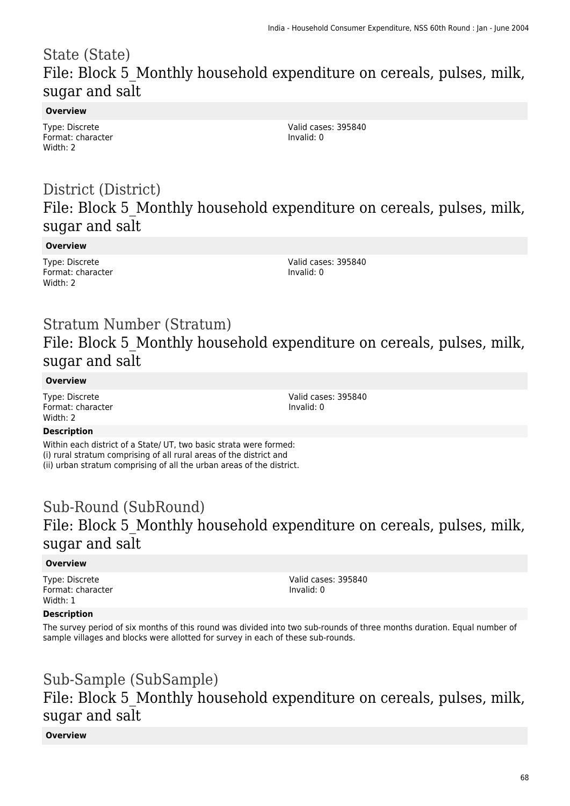# State (State) File: Block 5 Monthly household expenditure on cereals, pulses, milk, sugar and salt

### **Overview**

Type: Discrete Format: character Width: 2

Valid cases: 395840 Invalid: 0

## District (District) File: Block 5 Monthly household expenditure on cereals, pulses, milk, sugar and salt

### **Overview**

Type: Discrete Format: character Width: 2

Valid cases: 395840 Invalid: 0

## Stratum Number (Stratum) File: Block 5 Monthly household expenditure on cereals, pulses, milk, sugar and salt

### **Overview**

Type: Discrete Format: character Width: 2

Valid cases: 395840 Invalid: 0

### **Description**

Within each district of a State/ UT, two basic strata were formed: (i) rural stratum comprising of all rural areas of the district and (ii) urban stratum comprising of all the urban areas of the district.

# Sub-Round (SubRound) File: Block 5 Monthly household expenditure on cereals, pulses, milk, sugar and salt

### **Overview**

Type: Discrete Format: character Width: 1

Valid cases: 395840 Invalid: 0

### **Description**

The survey period of six months of this round was divided into two sub-rounds of three months duration. Equal number of sample villages and blocks were allotted for survey in each of these sub-rounds.

# Sub-Sample (SubSample) File: Block 5 Monthly household expenditure on cereals, pulses, milk, sugar and salt

### **Overview**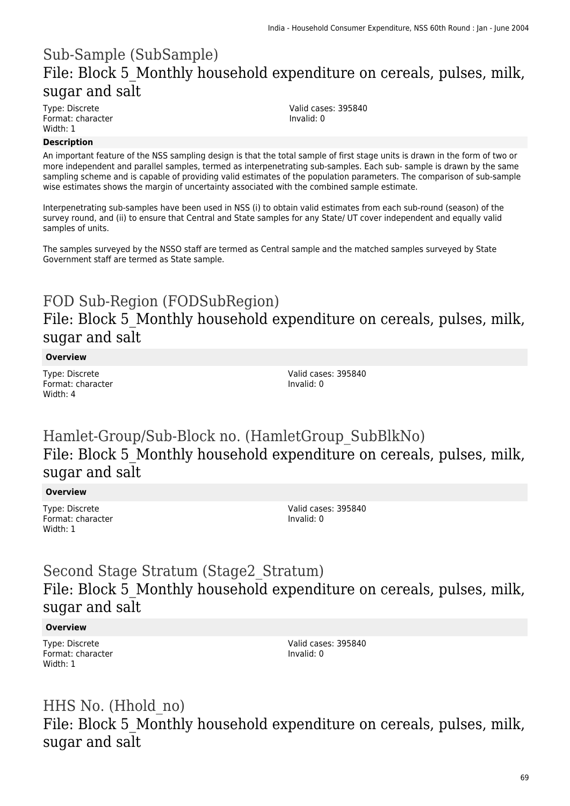## Sub-Sample (SubSample) File: Block 5 Monthly household expenditure on cereals, pulses, milk, sugar and salt

Type: Discrete Format: character Width: 1

Valid cases: 395840 Invalid: 0

### **Description**

An important feature of the NSS sampling design is that the total sample of first stage units is drawn in the form of two or more independent and parallel samples, termed as interpenetrating sub-samples. Each sub- sample is drawn by the same sampling scheme and is capable of providing valid estimates of the population parameters. The comparison of sub-sample wise estimates shows the margin of uncertainty associated with the combined sample estimate.

Interpenetrating sub-samples have been used in NSS (i) to obtain valid estimates from each sub-round (season) of the survey round, and (ii) to ensure that Central and State samples for any State/ UT cover independent and equally valid samples of units.

The samples surveyed by the NSSO staff are termed as Central sample and the matched samples surveyed by State Government staff are termed as State sample.

# FOD Sub-Region (FODSubRegion) File: Block 5 Monthly household expenditure on cereals, pulses, milk, sugar and salt

### **Overview**

Type: Discrete Format: character Width: 4

Valid cases: 395840 Invalid: 0

### Hamlet-Group/Sub-Block no. (HamletGroup\_SubBlkNo) File: Block 5 Monthly household expenditure on cereals, pulses, milk, sugar and salt

#### **Overview**

Type: Discrete Format: character Width: 1

Valid cases: 395840 Invalid: 0

### Second Stage Stratum (Stage2\_Stratum) File: Block 5 Monthly household expenditure on cereals, pulses, milk, sugar and salt

#### **Overview**

Type: Discrete Format: character Width: 1

Valid cases: 395840 Invalid: 0

## HHS No. (Hhold\_no) File: Block 5 Monthly household expenditure on cereals, pulses, milk, sugar and salt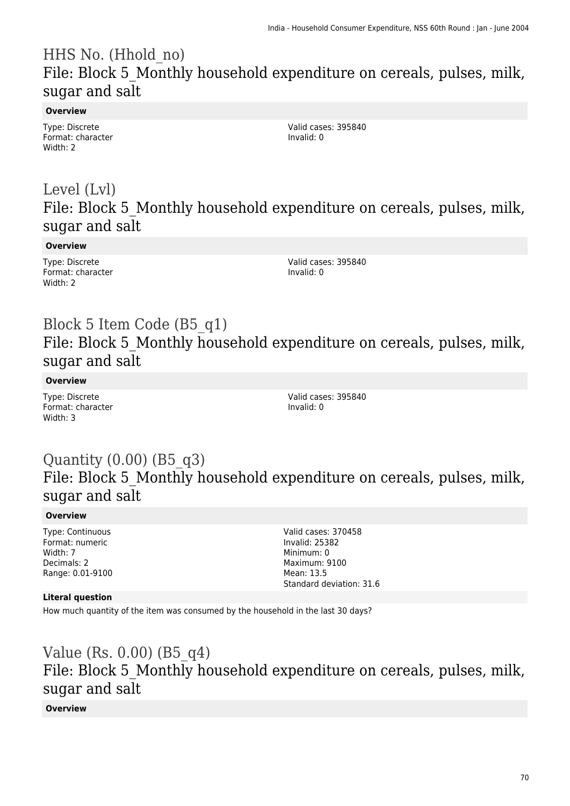# HHS No. (Hhold\_no) File: Block 5 Monthly household expenditure on cereals, pulses, milk, sugar and salt

### **Overview**

Type: Discrete Format: character Width: 2

Valid cases: 395840 Invalid: 0

# Level (Lvl) File: Block 5 Monthly household expenditure on cereals, pulses, milk, sugar and salt

### **Overview**

Type: Discrete Format: character Width: 2

Valid cases: 395840 Invalid: 0

# Block 5 Item Code (B5\_q1) File: Block 5 Monthly household expenditure on cereals, pulses, milk, sugar and salt

### **Overview**

Type: Discrete Format: character Width: 3

Valid cases: 395840 Invalid: 0

Valid cases: 370458 Invalid: 25382 Minimum: 0 Maximum: 9100 Mean: 13.5

Standard deviation: 31.6

## Quantity  $(0.00)$  (B5 $q3$ ) File: Block 5 Monthly household expenditure on cereals, pulses, milk, sugar and salt

### **Overview**

Type: Continuous Format: numeric Width: 7 Decimals: 2 Range: 0.01-9100

### **Literal question**

How much quantity of the item was consumed by the household in the last 30 days?

Value (Rs. 0.00) (B5\_q4) File: Block 5 Monthly household expenditure on cereals, pulses, milk, sugar and salt

### **Overview**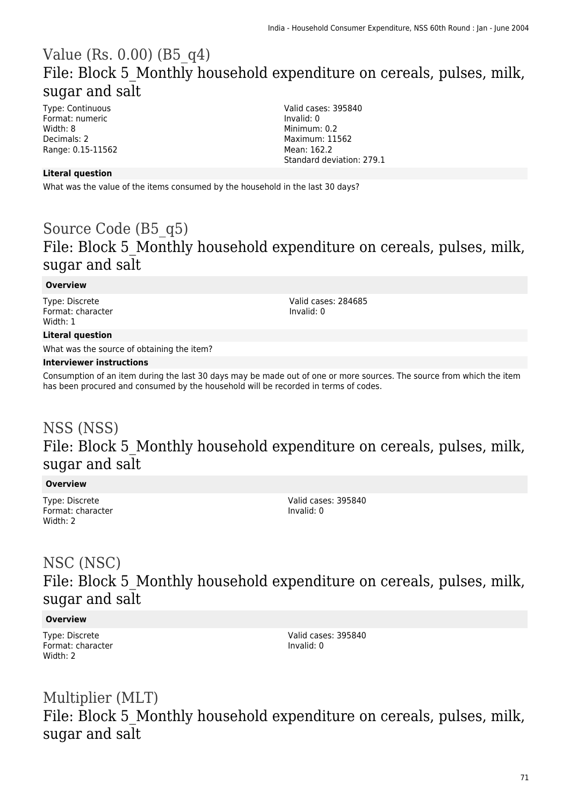## Value (Rs. 0.00) (B5\_q4) File: Block 5 Monthly household expenditure on cereals, pulses, milk, sugar and salt

Type: Continuous Format: numeric Width: 8 Decimals: 2 Range: 0.15-11562 Valid cases: 395840 Invalid: 0 Minimum: 0.2 Maximum: 11562 Mean: 162.2 Standard deviation: 279.1

Valid cases: 284685

Invalid: 0

### **Literal question**

What was the value of the items consumed by the household in the last 30 days?

# Source Code (B5\_q5) File: Block 5 Monthly household expenditure on cereals, pulses, milk, sugar and salt

### **Overview**

Type: Discrete Format: character Width: 1

#### **Literal question**

What was the source of obtaining the item?

#### **Interviewer instructions**

Consumption of an item during the last 30 days may be made out of one or more sources. The source from which the item has been procured and consumed by the household will be recorded in terms of codes.

### NSS (NSS) File: Block 5 Monthly household expenditure on cereals, pulses, milk, sugar and salt

#### **Overview**

Type: Discrete Format: character Width: 2

Valid cases: 395840 Invalid: 0

## NSC (NSC) File: Block 5 Monthly household expenditure on cereals, pulses, milk, sugar and salt

#### **Overview**

Type: Discrete Format: character Width: 2

Valid cases: 395840 Invalid: 0

# Multiplier (MLT)

File: Block 5 Monthly household expenditure on cereals, pulses, milk, sugar and salt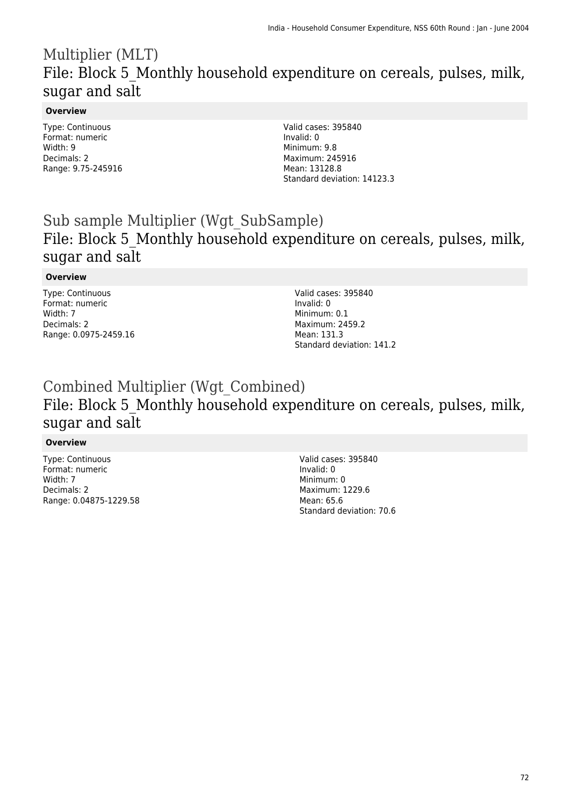## Multiplier (MLT) File: Block 5 Monthly household expenditure on cereals, pulses, milk, sugar and salt

### **Overview**

Type: Continuous Format: numeric Width: 9 Decimals: 2 Range: 9.75-245916 Valid cases: 395840 Invalid: 0 Minimum: 9.8 Maximum: 245916 Mean: 13128.8 Standard deviation: 14123.3

# Sub sample Multiplier (Wgt\_SubSample) File: Block 5 Monthly household expenditure on cereals, pulses, milk, sugar and salt

### **Overview**

Type: Continuous Format: numeric Width: 7 Decimals: 2 Range: 0.0975-2459.16

Valid cases: 395840 Invalid: 0 Minimum: 0.1 Maximum: 2459.2 Mean: 131.3 Standard deviation: 141.2

# Combined Multiplier (Wgt\_Combined) File: Block 5 Monthly household expenditure on cereals, pulses, milk, sugar and salt

### **Overview**

Type: Continuous Format: numeric Width: 7 Decimals: 2 Range: 0.04875-1229.58

Valid cases: 395840 Invalid: 0 Minimum: 0 Maximum: 1229.6 Mean: 65.6 Standard deviation: 70.6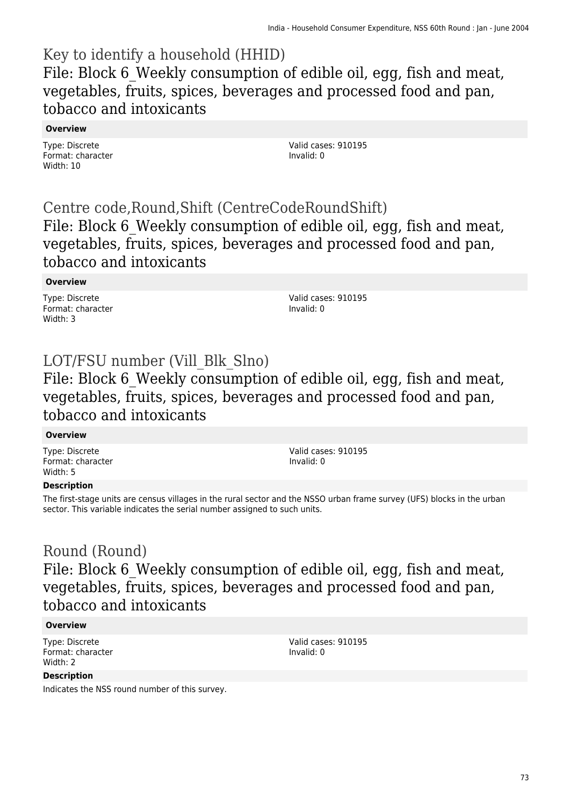### Key to identify a household (HHID) File: Block 6 Weekly consumption of edible oil, egg, fish and meat, vegetables, fruits, spices, beverages and processed food and pan, tobacco and intoxicants

### **Overview**

Type: Discrete Format: character Width: 10

Valid cases: 910195 Invalid: 0

Centre code,Round,Shift (CentreCodeRoundShift) File: Block 6 Weekly consumption of edible oil, egg, fish and meat, vegetables, fruits, spices, beverages and processed food and pan, tobacco and intoxicants

**Overview**

Type: Discrete Format: character Width: 3

Valid cases: 910195 Invalid: 0

# LOT/FSU number (Vill\_Blk\_Slno)

File: Block 6 Weekly consumption of edible oil, egg, fish and meat, vegetables, fruits, spices, beverages and processed food and pan, tobacco and intoxicants

### **Overview**

Type: Discrete Format: character Width: 5

Valid cases: 910195 Invalid: 0

### **Description**

The first-stage units are census villages in the rural sector and the NSSO urban frame survey (UFS) blocks in the urban sector. This variable indicates the serial number assigned to such units.

# Round (Round) File: Block 6 Weekly consumption of edible oil, egg, fish and meat, vegetables, fruits, spices, beverages and processed food and pan, tobacco and intoxicants

### **Overview**

Type: Discrete Format: character Width: 2

Valid cases: 910195 Invalid: 0

### **Description**

Indicates the NSS round number of this survey.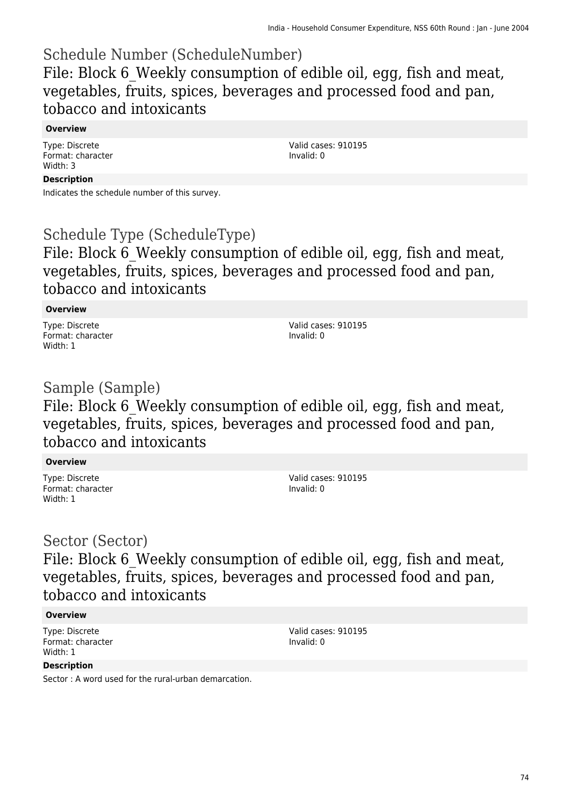### Schedule Number (ScheduleNumber) File: Block 6 Weekly consumption of edible oil, egg, fish and meat, vegetables, fruits, spices, beverages and processed food and pan, tobacco and intoxicants

### **Overview**

Type: Discrete Format: character Width: 3

**Description**

Indicates the schedule number of this survey.

### Schedule Type (ScheduleType)

File: Block 6 Weekly consumption of edible oil, egg, fish and meat, vegetables, fruits, spices, beverages and processed food and pan, tobacco and intoxicants

### **Overview**

Type: Discrete Format: character Width: 1

Valid cases: 910195 Invalid: 0

Valid cases: 910195

Invalid: 0

### Sample (Sample)

File: Block 6 Weekly consumption of edible oil, egg, fish and meat, vegetables, fruits, spices, beverages and processed food and pan, tobacco and intoxicants

### **Overview**

Type: Discrete Format: character Width: 1

Valid cases: 910195 Invalid: 0

Valid cases: 910195

Invalid: 0

### Sector (Sector) File: Block 6 Weekly consumption of edible oil, egg, fish and meat, vegetables, fruits, spices, beverages and processed food and pan, tobacco and intoxicants

### **Overview**

Type: Discrete Format: character Width: 1

### **Description**

Sector : A word used for the rural-urban demarcation.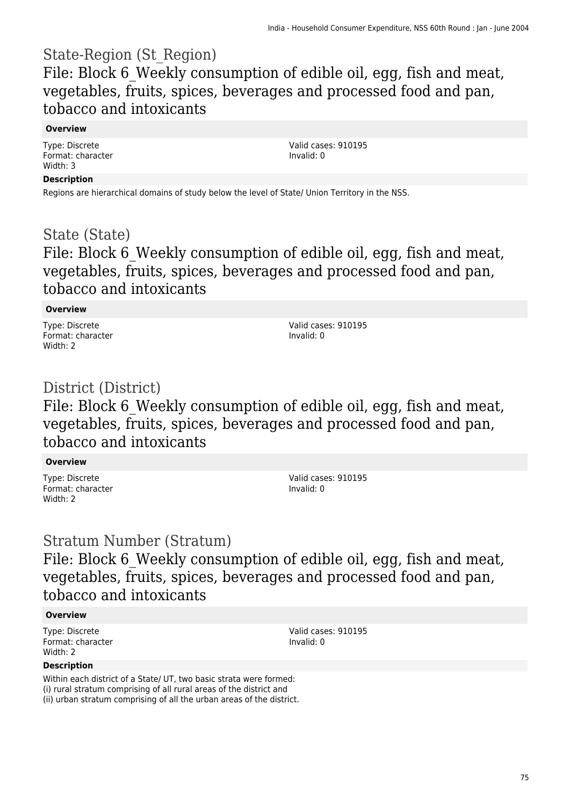### State-Region (St\_Region) File: Block 6 Weekly consumption of edible oil, egg, fish and meat, vegetables, fruits, spices, beverages and processed food and pan, tobacco and intoxicants

### **Overview**

Type: Discrete Format: character Width: 3

Valid cases: 910195 Invalid: 0

### **Description**

Regions are hierarchical domains of study below the level of State/ Union Territory in the NSS.

State (State) File: Block 6 Weekly consumption of edible oil, egg, fish and meat, vegetables, fruits, spices, beverages and processed food and pan, tobacco and intoxicants

### **Overview**

Type: Discrete Format: character Width: 2

Valid cases: 910195 Invalid: 0

### District (District)

File: Block 6 Weekly consumption of edible oil, egg, fish and meat, vegetables, fruits, spices, beverages and processed food and pan, tobacco and intoxicants

### **Overview**

Type: Discrete Format: character Width: 2

Valid cases: 910195 Invalid: 0

### Stratum Number (Stratum)

File: Block 6 Weekly consumption of edible oil, egg, fish and meat, vegetables, fruits, spices, beverages and processed food and pan, tobacco and intoxicants

### **Overview**

Type: Discrete Format: character Width: 2

Valid cases: 910195 Invalid: 0

### **Description**

Within each district of a State/ UT, two basic strata were formed:

- (i) rural stratum comprising of all rural areas of the district and
- (ii) urban stratum comprising of all the urban areas of the district.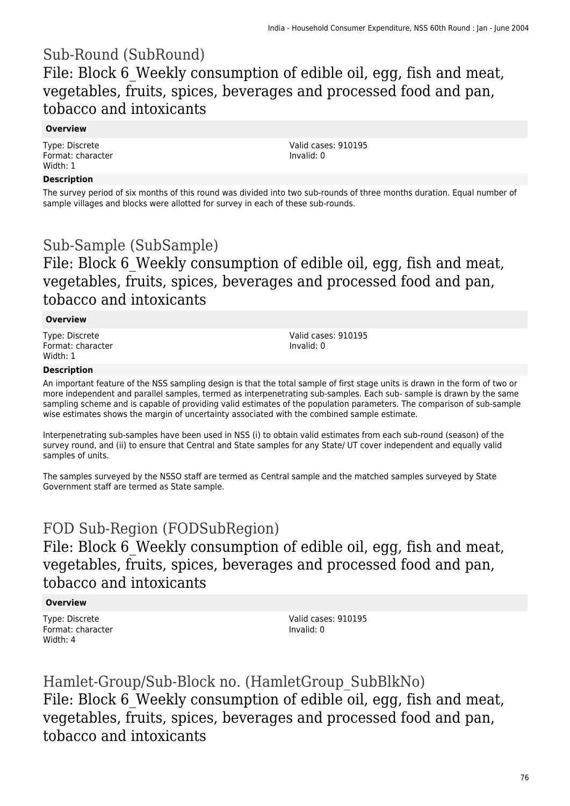### Sub-Round (SubRound) File: Block 6 Weekly consumption of edible oil, egg, fish and meat, vegetables, fruits, spices, beverages and processed food and pan, tobacco and intoxicants

### **Overview**

Type: Discrete Format: character Width: 1

#### Valid cases: 910195 Invalid: 0

### **Description**

The survey period of six months of this round was divided into two sub-rounds of three months duration. Equal number of sample villages and blocks were allotted for survey in each of these sub-rounds.

### Sub-Sample (SubSample) File: Block 6 Weekly consumption of edible oil, egg, fish and meat, vegetables, fruits, spices, beverages and processed food and pan, tobacco and intoxicants

### **Overview**

Type: Discrete Format: character Width: 1

Valid cases: 910195 Invalid: 0

### **Description**

An important feature of the NSS sampling design is that the total sample of first stage units is drawn in the form of two or more independent and parallel samples, termed as interpenetrating sub-samples. Each sub- sample is drawn by the same sampling scheme and is capable of providing valid estimates of the population parameters. The comparison of sub-sample wise estimates shows the margin of uncertainty associated with the combined sample estimate.

Interpenetrating sub-samples have been used in NSS (i) to obtain valid estimates from each sub-round (season) of the survey round, and (ii) to ensure that Central and State samples for any State/ UT cover independent and equally valid samples of units.

The samples surveyed by the NSSO staff are termed as Central sample and the matched samples surveyed by State Government staff are termed as State sample.

FOD Sub-Region (FODSubRegion) File: Block 6 Weekly consumption of edible oil, egg, fish and meat, vegetables, fruits, spices, beverages and processed food and pan, tobacco and intoxicants

### **Overview**

Type: Discrete Format: character Width: 4

Valid cases: 910195 Invalid: 0

Hamlet-Group/Sub-Block no. (HamletGroup\_SubBlkNo) File: Block 6 Weekly consumption of edible oil, egg, fish and meat, vegetables, fruits, spices, beverages and processed food and pan, tobacco and intoxicants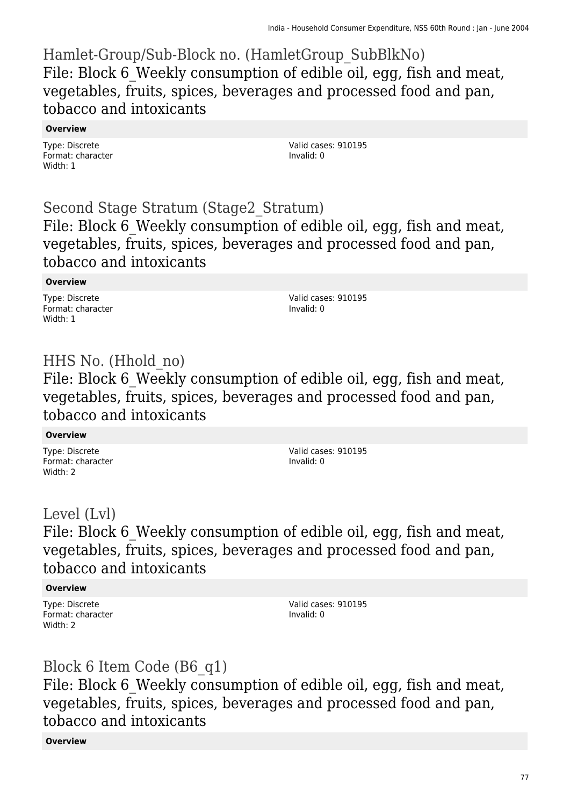Hamlet-Group/Sub-Block no. (HamletGroup\_SubBlkNo) File: Block 6 Weekly consumption of edible oil, egg, fish and meat, vegetables, fruits, spices, beverages and processed food and pan, tobacco and intoxicants

### **Overview**

Type: Discrete Format: character Width: 1

Valid cases: 910195 Invalid: 0

Second Stage Stratum (Stage2\_Stratum)

File: Block 6 Weekly consumption of edible oil, egg, fish and meat, vegetables, fruits, spices, beverages and processed food and pan, tobacco and intoxicants

### **Overview**

Type: Discrete Format: character Width: 1

Valid cases: 910195 Invalid: 0

### HHS No. (Hhold\_no)

File: Block 6 Weekly consumption of edible oil, egg, fish and meat, vegetables, fruits, spices, beverages and processed food and pan, tobacco and intoxicants

### **Overview**

Type: Discrete Format: character Width: 2

Valid cases: 910195 Invalid: 0

### Level (Lvl)

File: Block 6 Weekly consumption of edible oil, egg, fish and meat, vegetables, fruits, spices, beverages and processed food and pan, tobacco and intoxicants

### **Overview**

Type: Discrete Format: character Width: 2

Valid cases: 910195 Invalid: 0

### Block 6 Item Code (B6\_q1)

File: Block 6 Weekly consumption of edible oil, egg, fish and meat, vegetables, fruits, spices, beverages and processed food and pan, tobacco and intoxicants

### **Overview**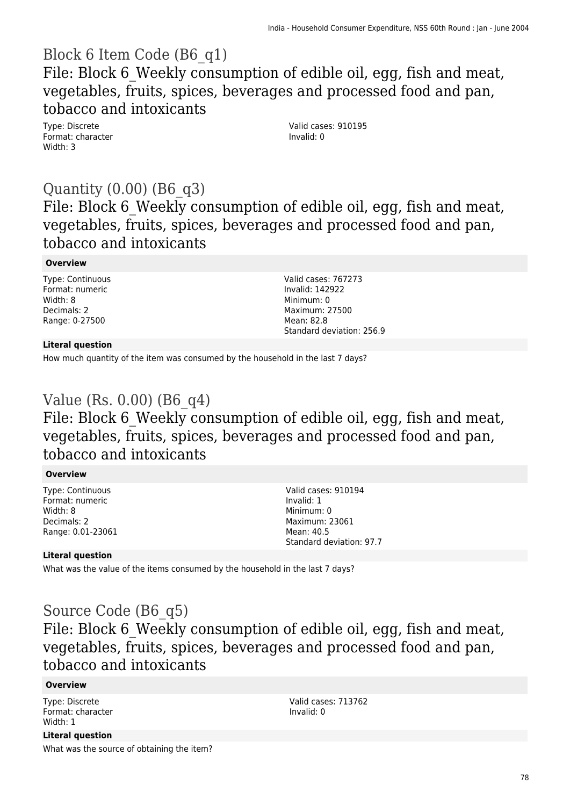### Block 6 Item Code (B6\_q1) File: Block 6 Weekly consumption of edible oil, egg, fish and meat, vegetables, fruits, spices, beverages and processed food and pan, tobacco and intoxicants

Type: Discrete Format: character Width: 3

Valid cases: 910195 Invalid: 0

Valid cases: 767273 Invalid: 142922 Minimum: 0 Maximum: 27500 Mean: 82.8

Standard deviation: 256.9

### Quantity (0.00) (B6\_q3) File: Block 6 Weekly consumption of edible oil, egg, fish and meat, vegetables, fruits, spices, beverages and processed food and pan, tobacco and intoxicants

### **Overview**

Type: Continuous Format: numeric Width: 8 Decimals: 2 Range: 0-27500

### **Literal question**

How much quantity of the item was consumed by the household in the last 7 days?

### Value (Rs. 0.00) (B6\_q4) File: Block 6 Weekly consumption of edible oil, egg, fish and meat, vegetables, fruits, spices, beverages and processed food and pan, tobacco and intoxicants

### **Overview**

Type: Continuous Format: numeric Width: 8 Decimals: 2 Range: 0.01-23061 Valid cases: 910194 Invalid: 1 Minimum: 0 Maximum: 23061 Mean: 40.5 Standard deviation: 97.7

### **Literal question**

What was the value of the items consumed by the household in the last 7 days?

Source Code (B6\_q5) File: Block 6 Weekly consumption of edible oil, egg, fish and meat, vegetables, fruits, spices, beverages and processed food and pan, tobacco and intoxicants

### **Overview**

Type: Discrete Format: character Width: 1

Valid cases: 713762 Invalid: 0

#### **Literal question** What was the source of obtaining the item?

78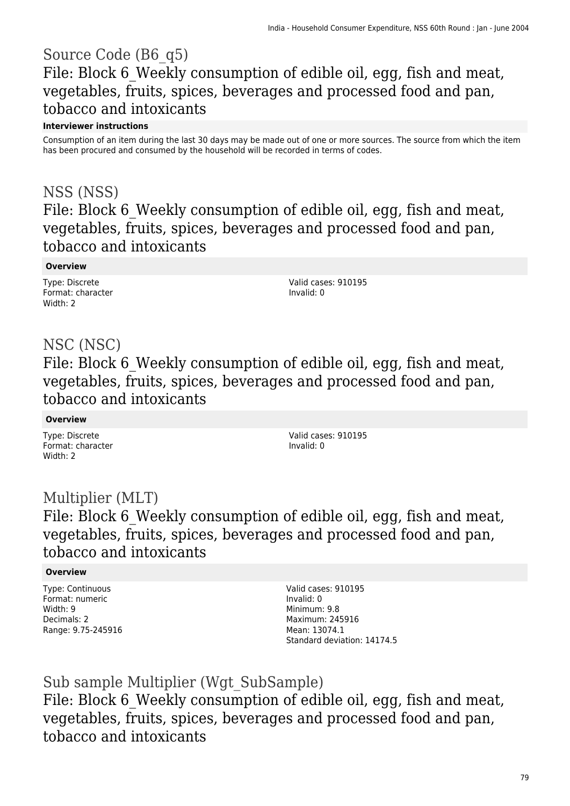### Source Code (B6\_q5) File: Block 6 Weekly consumption of edible oil, egg, fish and meat, vegetables, fruits, spices, beverages and processed food and pan, tobacco and intoxicants

### **Interviewer instructions**

Consumption of an item during the last 30 days may be made out of one or more sources. The source from which the item has been procured and consumed by the household will be recorded in terms of codes.

NSS (NSS) File: Block 6 Weekly consumption of edible oil, egg, fish and meat, vegetables, fruits, spices, beverages and processed food and pan, tobacco and intoxicants

### **Overview**

Type: Discrete Format: character Width: 2

Valid cases: 910195 Invalid: 0

# NSC (NSC) File: Block 6 Weekly consumption of edible oil, egg, fish and meat, vegetables, fruits, spices, beverages and processed food and pan, tobacco and intoxicants

### **Overview**

Type: Discrete Format: character Width: 2

Valid cases: 910195 Invalid: 0

### Multiplier (MLT) File: Block 6 Weekly consumption of edible oil, egg, fish and meat, vegetables, fruits, spices, beverages and processed food and pan, tobacco and intoxicants

### **Overview**

Type: Continuous Format: numeric Width: 9 Decimals: 2 Range: 9.75-245916 Valid cases: 910195 Invalid: 0 Minimum: 9.8 Maximum: 245916 Mean: 13074.1 Standard deviation: 14174.5

Sub sample Multiplier (Wgt\_SubSample)

File: Block 6 Weekly consumption of edible oil, egg, fish and meat, vegetables, fruits, spices, beverages and processed food and pan, tobacco and intoxicants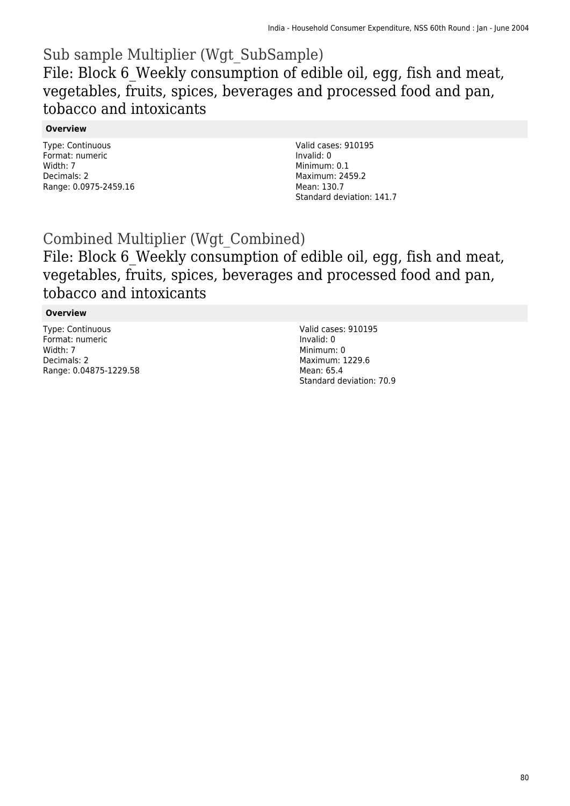### Sub sample Multiplier (Wgt\_SubSample) File: Block 6 Weekly consumption of edible oil, egg, fish and meat, vegetables, fruits, spices, beverages and processed food and pan, tobacco and intoxicants

### **Overview**

Type: Continuous Format: numeric Width: 7 Decimals: 2 Range: 0.0975-2459.16 Valid cases: 910195 Invalid: 0 Minimum: 0.1 Maximum: 2459.2 Mean: 130.7 Standard deviation: 141.7

# Combined Multiplier (Wgt\_Combined) File: Block 6 Weekly consumption of edible oil, egg, fish and meat, vegetables, fruits, spices, beverages and processed food and pan, tobacco and intoxicants

### **Overview**

Type: Continuous Format: numeric Width: 7 Decimals: 2 Range: 0.04875-1229.58

Valid cases: 910195 Invalid: 0 Minimum: 0 Maximum: 1229.6 Mean: 65.4 Standard deviation: 70.9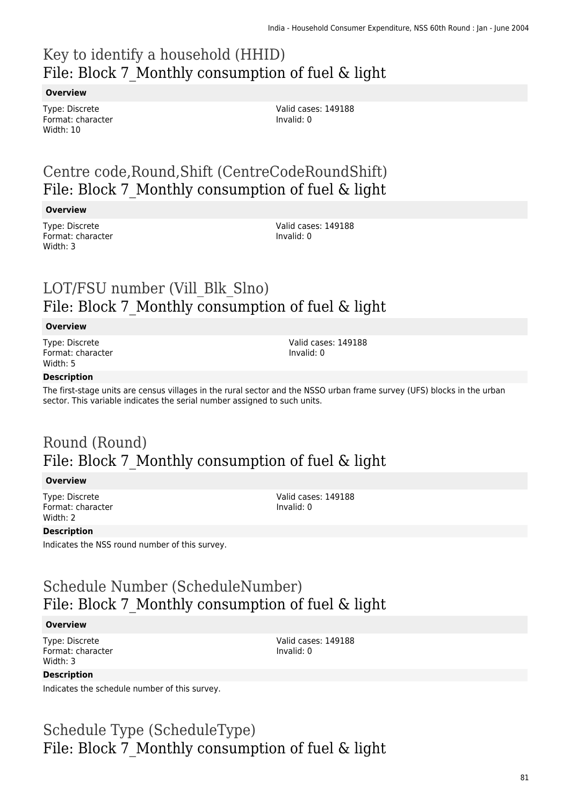# Key to identify a household (HHID) File: Block 7 Monthly consumption of fuel & light

#### **Overview**

Type: Discrete Format: character Width: 10

Valid cases: 149188 Invalid: 0

# Centre code,Round,Shift (CentreCodeRoundShift) File: Block 7 Monthly consumption of fuel & light

#### **Overview**

Type: Discrete Format: character Width: 3

Valid cases: 149188 Invalid: 0

### LOT/FSU number (Vill\_Blk\_Slno) File: Block 7 Monthly consumption of fuel & light

### **Overview**

Type: Discrete Format: character Width: 5

Valid cases: 149188 Invalid: 0

#### **Description**

The first-stage units are census villages in the rural sector and the NSSO urban frame survey (UFS) blocks in the urban sector. This variable indicates the serial number assigned to such units.

### Round (Round) File: Block 7 Monthly consumption of fuel & light

#### **Overview**

Type: Discrete Format: character Width: 2

Valid cases: 149188 Invalid: 0

### **Description**

Indicates the NSS round number of this survey.

# Schedule Number (ScheduleNumber) File: Block 7 Monthly consumption of fuel & light

#### **Overview**

Type: Discrete Format: character Width: 3

Valid cases: 149188 Invalid: 0

#### **Description**

Indicates the schedule number of this survey.

### Schedule Type (ScheduleType) File: Block 7 Monthly consumption of fuel & light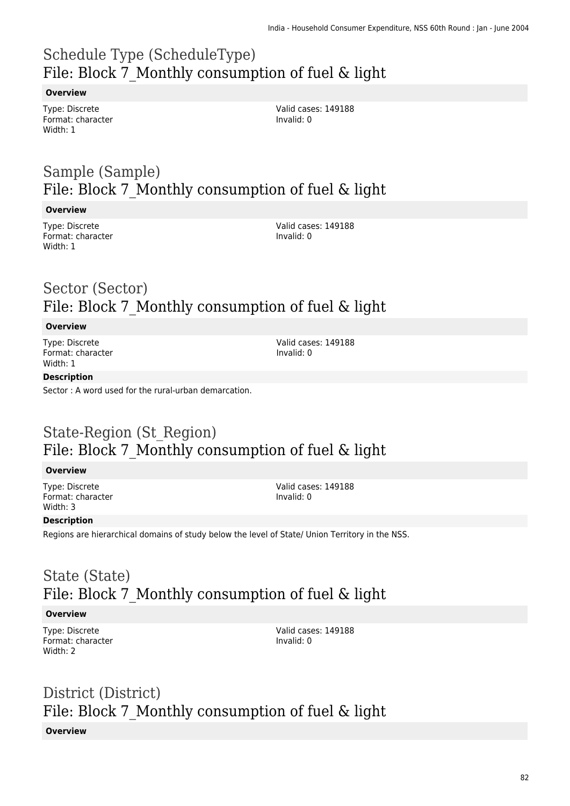# Schedule Type (ScheduleType) File: Block 7 Monthly consumption of fuel & light

### **Overview**

Type: Discrete Format: character Width: 1

Valid cases: 149188 Invalid: 0

# Sample (Sample) File: Block 7 Monthly consumption of fuel & light

#### **Overview**

Type: Discrete Format: character Width: 1

Valid cases: 149188 Invalid: 0

# Sector (Sector) File: Block 7 Monthly consumption of fuel & light

### **Overview**

Type: Discrete Format: character Width: 1

Valid cases: 149188 Invalid: 0

### **Description**

Sector : A word used for the rural-urban demarcation.

### State-Region (St\_Region) File: Block 7 Monthly consumption of fuel & light

### **Overview**

Type: Discrete Format: character Width: 3

Valid cases: 149188 Invalid: 0

### **Description**

Regions are hierarchical domains of study below the level of State/ Union Territory in the NSS.

### State (State) File: Block 7 Monthly consumption of fuel & light

#### **Overview**

Type: Discrete Format: character Width: 2

Valid cases: 149188 Invalid: 0

### District (District) File: Block 7 Monthly consumption of fuel & light **Overview**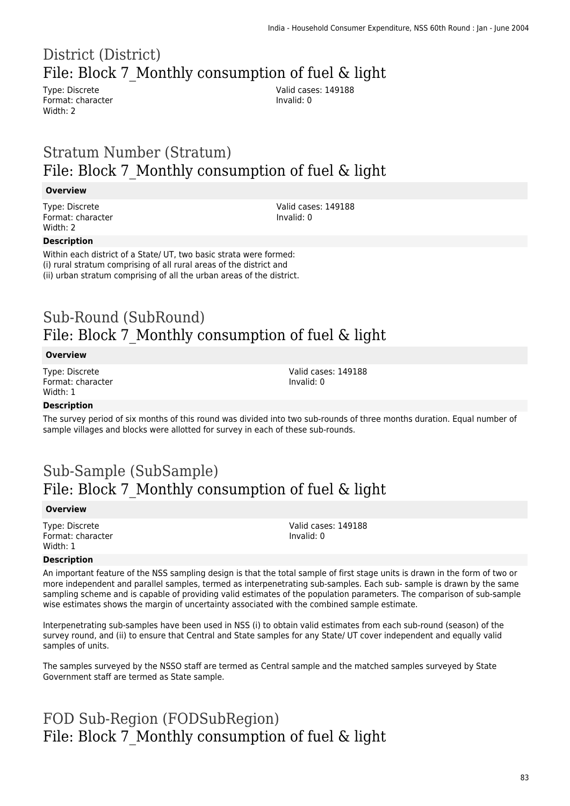# District (District) File: Block 7 Monthly consumption of fuel & light

Type: Discrete Format: character Width: 2

Valid cases: 149188 Invalid: 0

### Stratum Number (Stratum) File: Block 7 Monthly consumption of fuel & light

### **Overview**

Type: Discrete Format: character Width: 2

Valid cases: 149188 Invalid: 0

### **Description**

Within each district of a State/ UT, two basic strata were formed: (i) rural stratum comprising of all rural areas of the district and (ii) urban stratum comprising of all the urban areas of the district.

# Sub-Round (SubRound) File: Block 7 Monthly consumption of fuel & light

#### **Overview**

Type: Discrete Format: character Width: 1

Valid cases: 149188 Invalid: 0

### **Description**

The survey period of six months of this round was divided into two sub-rounds of three months duration. Equal number of sample villages and blocks were allotted for survey in each of these sub-rounds.

### Sub-Sample (SubSample) File: Block 7 Monthly consumption of fuel & light

#### **Overview**

Type: Discrete Format: character Width: 1

Valid cases: 149188 Invalid: 0

### **Description**

An important feature of the NSS sampling design is that the total sample of first stage units is drawn in the form of two or more independent and parallel samples, termed as interpenetrating sub-samples. Each sub- sample is drawn by the same sampling scheme and is capable of providing valid estimates of the population parameters. The comparison of sub-sample wise estimates shows the margin of uncertainty associated with the combined sample estimate.

Interpenetrating sub-samples have been used in NSS (i) to obtain valid estimates from each sub-round (season) of the survey round, and (ii) to ensure that Central and State samples for any State/ UT cover independent and equally valid samples of units.

The samples surveyed by the NSSO staff are termed as Central sample and the matched samples surveyed by State Government staff are termed as State sample.

### FOD Sub-Region (FODSubRegion) File: Block 7 Monthly consumption of fuel & light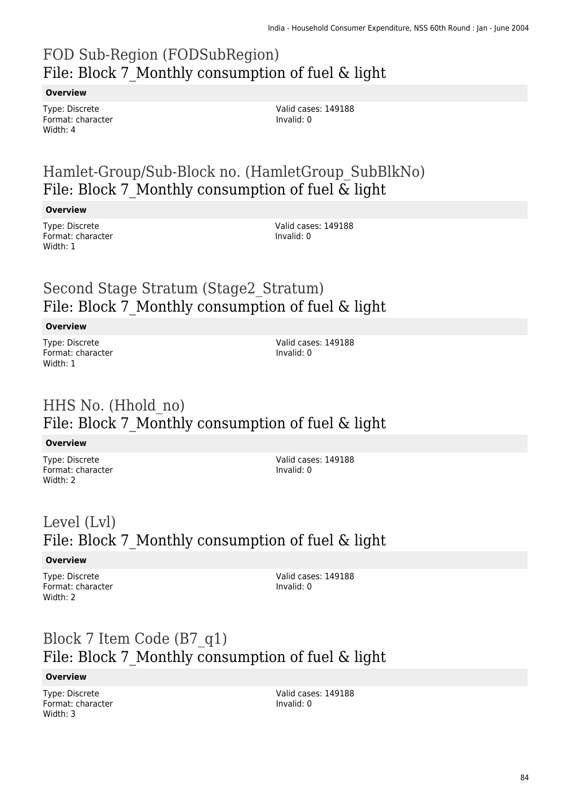# FOD Sub-Region (FODSubRegion) File: Block 7 Monthly consumption of fuel & light

#### **Overview**

Type: Discrete Format: character Width: 4

Valid cases: 149188 Invalid: 0

## Hamlet-Group/Sub-Block no. (HamletGroup\_SubBlkNo) File: Block 7 Monthly consumption of fuel & light

### **Overview**

Type: Discrete Format: character Width: 1

Valid cases: 149188 Invalid: 0

### Second Stage Stratum (Stage2\_Stratum) File: Block 7 Monthly consumption of fuel & light

### **Overview**

Type: Discrete Format: character Width: 1

Valid cases: 149188 Invalid: 0

### HHS No. (Hhold\_no) File: Block 7 Monthly consumption of fuel & light

### **Overview**

Type: Discrete Format: character Width: 2

Valid cases: 149188 Invalid: 0

### Level (Lvl) File: Block 7 Monthly consumption of fuel & light

### **Overview**

Type: Discrete Format: character Width: 2

Valid cases: 149188 Invalid: 0

### Block 7 Item Code (B7\_q1) File: Block 7 Monthly consumption of fuel & light

### **Overview**

Type: Discrete Format: character Width: 3

Valid cases: 149188 Invalid: 0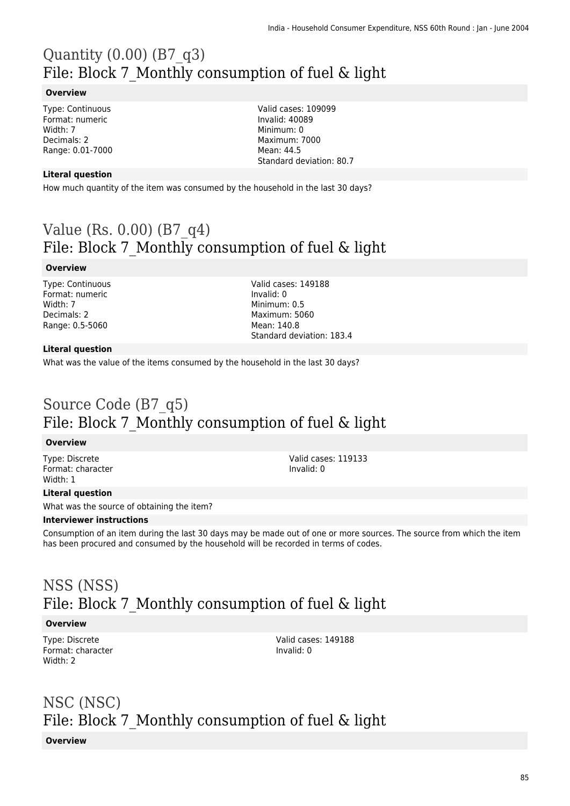# Quantity (0.00) (B7\_q3) File: Block 7 Monthly consumption of fuel & light

### **Overview**

Type: Continuous Format: numeric Width: 7 Decimals: 2 Range: 0.01-7000 Valid cases: 109099 Invalid: 40089 Minimum: 0 Maximum: 7000 Mean: 44.5 Standard deviation: 80.7

### **Literal question**

How much quantity of the item was consumed by the household in the last 30 days?

### Value (Rs. 0.00) (B7\_q4) File: Block 7 Monthly consumption of fuel & light

### **Overview**

Type: Continuous Format: numeric Width: 7 Decimals: 2 Range: 0.5-5060

Valid cases: 149188 Invalid: 0 Minimum: 0.5 Maximum: 5060 Mean: 140.8 Standard deviation: 183.4

#### **Literal question**

What was the value of the items consumed by the household in the last 30 days?

### Source Code (B7\_q5) File: Block 7 Monthly consumption of fuel & light

#### **Overview**

Type: Discrete Format: character Width: 1

Valid cases: 119133 Invalid: 0

### **Literal question**

What was the source of obtaining the item?

#### **Interviewer instructions**

Consumption of an item during the last 30 days may be made out of one or more sources. The source from which the item has been procured and consumed by the household will be recorded in terms of codes.

# NSS (NSS) File: Block 7 Monthly consumption of fuel & light

#### **Overview**

Type: Discrete Format: character Width: 2

Valid cases: 149188 Invalid: 0

# NSC (NSC) File: Block 7 Monthly consumption of fuel & light

### **Overview**

85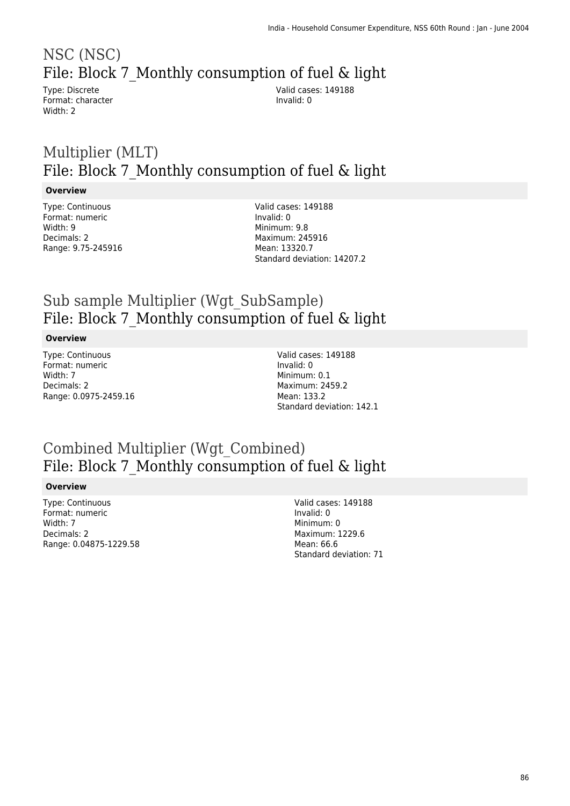# NSC (NSC) File: Block 7 Monthly consumption of fuel & light

Type: Discrete Format: character Width: 2

Valid cases: 149188 Invalid: 0

# Multiplier (MLT) File: Block 7 Monthly consumption of fuel & light

#### **Overview**

Type: Continuous Format: numeric Width: 9 Decimals: 2 Range: 9.75-245916 Valid cases: 149188 Invalid: 0 Minimum: 9.8 Maximum: 245916 Mean: 13320.7 Standard deviation: 14207.2

### Sub sample Multiplier (Wgt\_SubSample) File: Block 7 Monthly consumption of fuel & light

#### **Overview**

Type: Continuous Format: numeric Width: 7 Decimals: 2 Range: 0.0975-2459.16 Valid cases: 149188 Invalid: 0 Minimum: 0.1 Maximum: 2459.2 Mean: 133.2 Standard deviation: 142.1

### Combined Multiplier (Wgt\_Combined) File: Block 7 Monthly consumption of fuel & light

### **Overview**

Type: Continuous Format: numeric Width: 7 Decimals: 2 Range: 0.04875-1229.58

Valid cases: 149188 Invalid: 0 Minimum: 0 Maximum: 1229.6 Mean: 66.6 Standard deviation: 71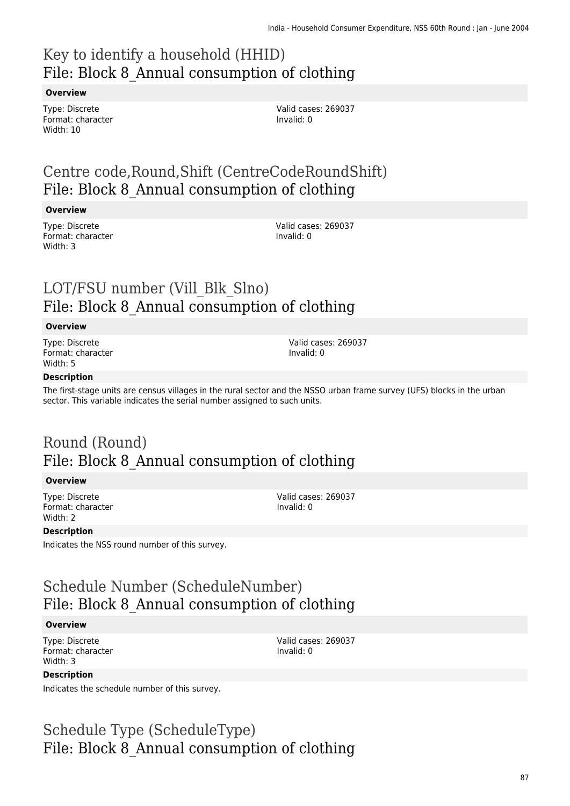# Key to identify a household (HHID) File: Block 8\_Annual consumption of clothing

#### **Overview**

Type: Discrete Format: character Width: 10

Valid cases: 269037 Invalid: 0

# Centre code,Round,Shift (CentreCodeRoundShift) File: Block 8 Annual consumption of clothing

#### **Overview**

Type: Discrete Format: character Width: 3

Valid cases: 269037 Invalid: 0

### LOT/FSU number (Vill\_Blk\_Slno) File: Block 8 Annual consumption of clothing

#### **Overview**

Type: Discrete Format: character Width: 5

Valid cases: 269037 Invalid: 0

#### **Description**

The first-stage units are census villages in the rural sector and the NSSO urban frame survey (UFS) blocks in the urban sector. This variable indicates the serial number assigned to such units.

### Round (Round) File: Block 8\_Annual consumption of clothing

#### **Overview**

Type: Discrete Format: character Width: 2

Valid cases: 269037 Invalid: 0

### **Description**

Indicates the NSS round number of this survey.

# Schedule Number (ScheduleNumber) File: Block 8 Annual consumption of clothing

#### **Overview**

Type: Discrete Format: character Width: 3

Valid cases: 269037 Invalid: 0

#### **Description**

Indicates the schedule number of this survey.

### Schedule Type (ScheduleType) File: Block 8 Annual consumption of clothing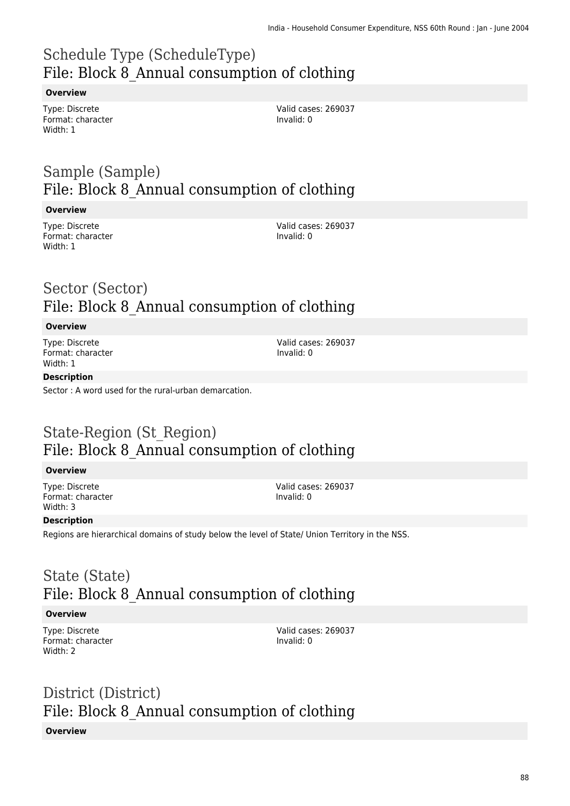# Schedule Type (ScheduleType) File: Block 8\_Annual consumption of clothing

#### **Overview**

Type: Discrete Format: character Width: 1

Valid cases: 269037 Invalid: 0

# Sample (Sample) File: Block 8\_Annual consumption of clothing

### **Overview**

Type: Discrete Format: character Width: 1

Valid cases: 269037 Invalid: 0

# Sector (Sector) File: Block 8\_Annual consumption of clothing

### **Overview**

Type: Discrete Format: character Width: 1

Valid cases: 269037 Invalid: 0

### **Description**

Sector : A word used for the rural-urban demarcation.

### State-Region (St\_Region) File: Block 8 Annual consumption of clothing

### **Overview**

Type: Discrete Format: character Width: 3

Valid cases: 269037 Invalid: 0

### **Description**

Regions are hierarchical domains of study below the level of State/ Union Territory in the NSS.

### State (State) File: Block 8\_Annual consumption of clothing

#### **Overview**

Type: Discrete Format: character Width: 2

Valid cases: 269037 Invalid: 0

### District (District) File: Block 8 Annual consumption of clothing **Overview**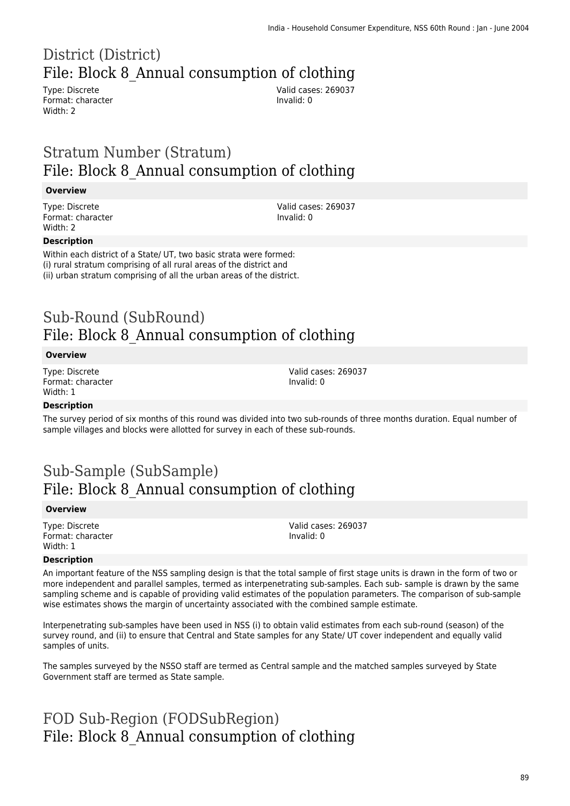# District (District) File: Block 8\_Annual consumption of clothing

Type: Discrete Format: character Width: 2

Valid cases: 269037 Invalid: 0

### Stratum Number (Stratum) File: Block 8 Annual consumption of clothing

### **Overview**

Type: Discrete Format: character Width: 2

Valid cases: 269037 Invalid: 0

### **Description**

Within each district of a State/ UT, two basic strata were formed: (i) rural stratum comprising of all rural areas of the district and (ii) urban stratum comprising of all the urban areas of the district.

# Sub-Round (SubRound) File: Block 8\_Annual consumption of clothing

#### **Overview**

Type: Discrete Format: character Width: 1

Valid cases: 269037 Invalid: 0

### **Description**

The survey period of six months of this round was divided into two sub-rounds of three months duration. Equal number of sample villages and blocks were allotted for survey in each of these sub-rounds.

### Sub-Sample (SubSample) File: Block 8\_Annual consumption of clothing

### **Overview**

Type: Discrete Format: character Width: 1

Valid cases: 269037 Invalid: 0

### **Description**

An important feature of the NSS sampling design is that the total sample of first stage units is drawn in the form of two or more independent and parallel samples, termed as interpenetrating sub-samples. Each sub- sample is drawn by the same sampling scheme and is capable of providing valid estimates of the population parameters. The comparison of sub-sample wise estimates shows the margin of uncertainty associated with the combined sample estimate.

Interpenetrating sub-samples have been used in NSS (i) to obtain valid estimates from each sub-round (season) of the survey round, and (ii) to ensure that Central and State samples for any State/ UT cover independent and equally valid samples of units.

The samples surveyed by the NSSO staff are termed as Central sample and the matched samples surveyed by State Government staff are termed as State sample.

### FOD Sub-Region (FODSubRegion) File: Block 8 Annual consumption of clothing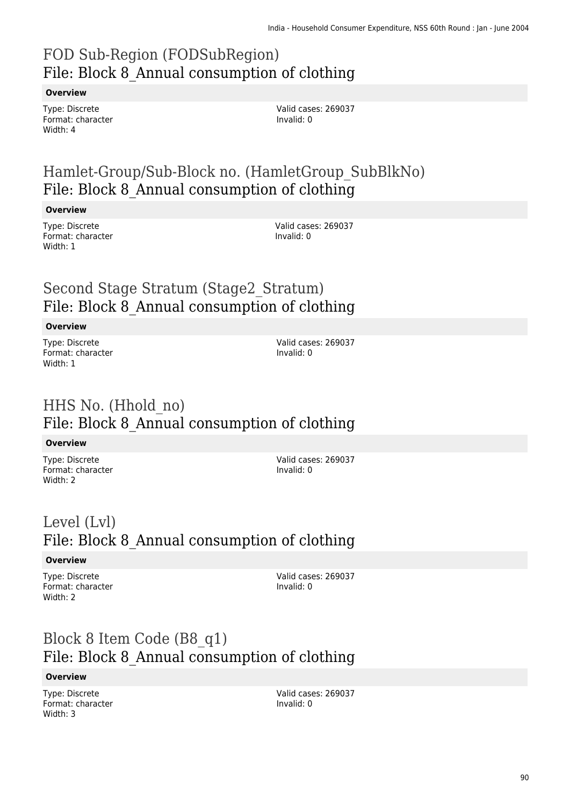# FOD Sub-Region (FODSubRegion) File: Block 8\_Annual consumption of clothing

#### **Overview**

Type: Discrete Format: character Width: 4

Valid cases: 269037 Invalid: 0

# Hamlet-Group/Sub-Block no. (HamletGroup\_SubBlkNo) File: Block 8\_Annual consumption of clothing

#### **Overview**

Type: Discrete Format: character Width: 1

Valid cases: 269037 Invalid: 0

### Second Stage Stratum (Stage2\_Stratum) File: Block 8 Annual consumption of clothing

### **Overview**

Type: Discrete Format: character Width: 1

Valid cases: 269037 Invalid: 0

### HHS No. (Hhold\_no) File: Block 8 Annual consumption of clothing

### **Overview**

Type: Discrete Format: character Width: 2

Valid cases: 269037 Invalid: 0

### Level (Lvl) File: Block 8 Annual consumption of clothing

### **Overview**

Type: Discrete Format: character Width: 2

Valid cases: 269037 Invalid: 0

### Block 8 Item Code (B8\_q1) File: Block 8 Annual consumption of clothing

### **Overview**

Type: Discrete Format: character Width: 3

Valid cases: 269037 Invalid: 0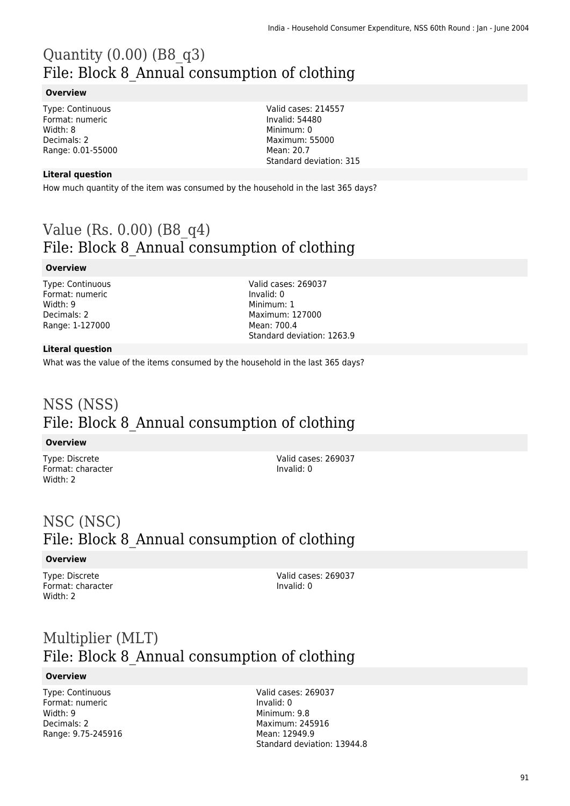# Quantity (0.00) (B8\_q3) File: Block 8\_Annual consumption of clothing

### **Overview**

Type: Continuous Format: numeric Width: 8 Decimals: 2 Range: 0.01-55000 Valid cases: 214557 Invalid: 54480 Minimum: 0 Maximum: 55000 Mean: 20.7 Standard deviation: 315

#### **Literal question**

How much quantity of the item was consumed by the household in the last 365 days?

### Value (Rs. 0.00) (B8\_q4) File: Block 8\_Annual consumption of clothing

#### **Overview**

Type: Continuous Format: numeric Width: 9 Decimals: 2 Range: 1-127000

Valid cases: 269037 Invalid: 0 Minimum: 1 Maximum: 127000 Mean: 700.4 Standard deviation: 1263.9

#### **Literal question**

What was the value of the items consumed by the household in the last 365 days?

## NSS (NSS) File: Block 8\_Annual consumption of clothing

#### **Overview**

Type: Discrete Format: character Width: 2

Valid cases: 269037 Invalid: 0

### NSC (NSC) File: Block 8 Annual consumption of clothing

#### **Overview**

Type: Discrete Format: character Width: 2

Valid cases: 269037 Invalid: 0

# Multiplier (MLT) File: Block 8 Annual consumption of clothing

#### **Overview**

Type: Continuous Format: numeric Width: 9 Decimals: 2 Range: 9.75-245916 Valid cases: 269037 Invalid: 0 Minimum: 9.8 Maximum: 245916 Mean: 12949.9 Standard deviation: 13944.8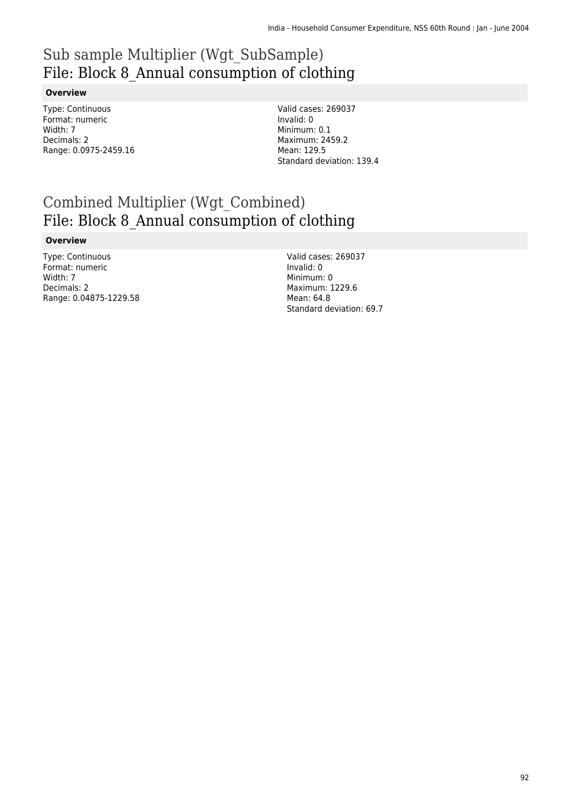# Sub sample Multiplier (Wgt\_SubSample) File: Block 8\_Annual consumption of clothing

### **Overview**

Type: Continuous Format: numeric Width: 7 Decimals: 2 Range: 0.0975-2459.16 Valid cases: 269037 Invalid: 0 Minimum: 0.1 Maximum: 2459.2 Mean: 129.5 Standard deviation: 139.4

# Combined Multiplier (Wgt\_Combined) File: Block 8\_Annual consumption of clothing

#### **Overview**

Type: Continuous Format: numeric Width: 7 Decimals: 2 Range: 0.04875-1229.58

Valid cases: 269037 Invalid: 0 Minimum: 0 Maximum: 1229.6 Mean: 64.8 Standard deviation: 69.7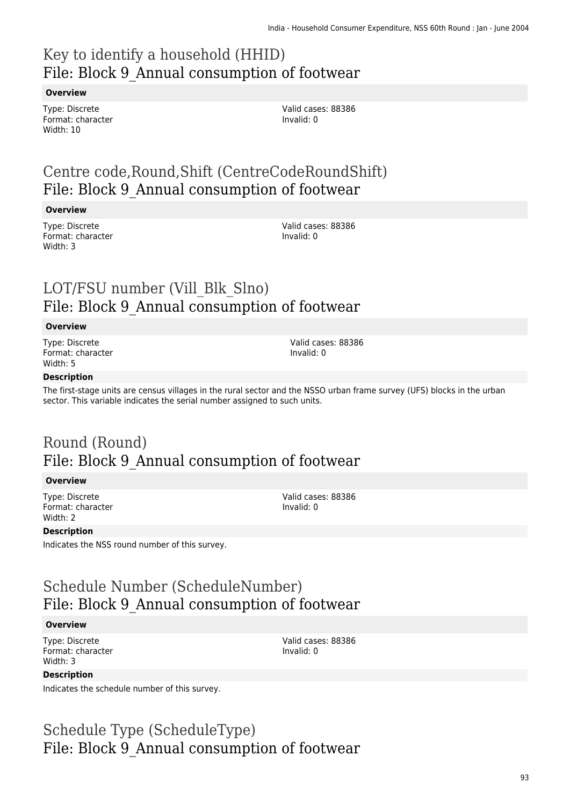# Key to identify a household (HHID) File: Block 9\_Annual consumption of footwear

#### **Overview**

Type: Discrete Format: character Width: 10

Valid cases: 88386 Invalid: 0

# Centre code,Round,Shift (CentreCodeRoundShift) File: Block 9 Annual consumption of footwear

#### **Overview**

Type: Discrete Format: character Width: 3

Valid cases: 88386 Invalid: 0

### LOT/FSU number (Vill\_Blk\_Slno) File: Block 9 Annual consumption of footwear

#### **Overview**

Type: Discrete Format: character Width: 5

Valid cases: 88386 Invalid: 0

#### **Description**

The first-stage units are census villages in the rural sector and the NSSO urban frame survey (UFS) blocks in the urban sector. This variable indicates the serial number assigned to such units.

### Round (Round) File: Block 9 Annual consumption of footwear

#### **Overview**

Type: Discrete Format: character Width: 2

Valid cases: 88386 Invalid: 0

### **Description**

Indicates the NSS round number of this survey.

# Schedule Number (ScheduleNumber) File: Block 9\_Annual consumption of footwear

#### **Overview**

Type: Discrete Format: character Width: 3

Valid cases: 88386 Invalid: 0

### **Description**

Indicates the schedule number of this survey.

### Schedule Type (ScheduleType) File: Block 9 Annual consumption of footwear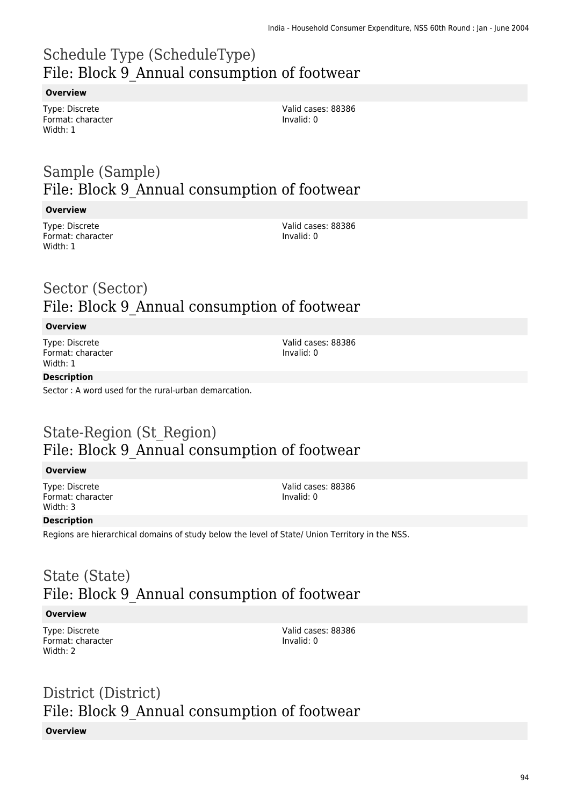### Schedule Type (ScheduleType) File: Block 9\_Annual consumption of footwear

#### **Overview**

Type: Discrete Format: character Width: 1

Valid cases: 88386 Invalid: 0

# Sample (Sample) File: Block 9 Annual consumption of footwear

#### **Overview**

Type: Discrete Format: character Width: 1

Valid cases: 88386 Invalid: 0

### Sector (Sector) File: Block 9\_Annual consumption of footwear

### **Overview**

Type: Discrete Format: character Width: 1

Valid cases: 88386 Invalid: 0

#### **Description**

Sector : A word used for the rural-urban demarcation.

### State-Region (St\_Region) File: Block 9 Annual consumption of footwear

### **Overview**

Type: Discrete Format: character Width: 3

Valid cases: 88386 Invalid: 0

#### **Description**

Regions are hierarchical domains of study below the level of State/ Union Territory in the NSS.

### State (State) File: Block 9\_Annual consumption of footwear

#### **Overview**

Type: Discrete Format: character Width: 2

Valid cases: 88386 Invalid: 0

# District (District) File: Block 9\_Annual consumption of footwear

#### **Overview**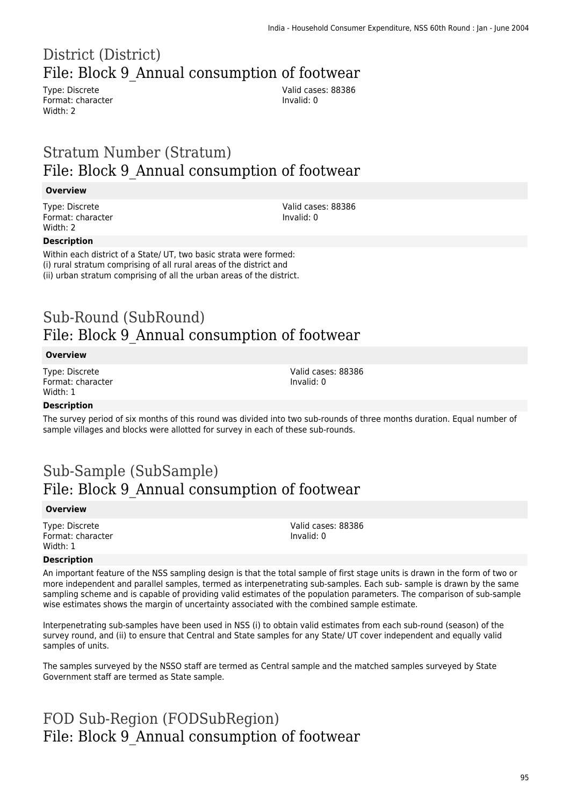# District (District) File: Block 9\_Annual consumption of footwear

Type: Discrete Format: character Width: 2

Valid cases: 88386 Invalid: 0

### Stratum Number (Stratum) File: Block 9 Annual consumption of footwear

### **Overview**

Type: Discrete Format: character Width: 2

Valid cases: 88386 Invalid: 0

### **Description**

Within each district of a State/ UT, two basic strata were formed: (i) rural stratum comprising of all rural areas of the district and (ii) urban stratum comprising of all the urban areas of the district.

# Sub-Round (SubRound) File: Block 9 Annual consumption of footwear

### **Overview**

Type: Discrete Format: character Width: 1

Valid cases: 88386 Invalid: 0

### **Description**

The survey period of six months of this round was divided into two sub-rounds of three months duration. Equal number of sample villages and blocks were allotted for survey in each of these sub-rounds.

### Sub-Sample (SubSample) File: Block 9 Annual consumption of footwear

### **Overview**

Type: Discrete Format: character Width: 1

Valid cases: 88386 Invalid: 0

### **Description**

An important feature of the NSS sampling design is that the total sample of first stage units is drawn in the form of two or more independent and parallel samples, termed as interpenetrating sub-samples. Each sub- sample is drawn by the same sampling scheme and is capable of providing valid estimates of the population parameters. The comparison of sub-sample wise estimates shows the margin of uncertainty associated with the combined sample estimate.

Interpenetrating sub-samples have been used in NSS (i) to obtain valid estimates from each sub-round (season) of the survey round, and (ii) to ensure that Central and State samples for any State/ UT cover independent and equally valid samples of units.

The samples surveyed by the NSSO staff are termed as Central sample and the matched samples surveyed by State Government staff are termed as State sample.

# FOD Sub-Region (FODSubRegion) File: Block 9\_Annual consumption of footwear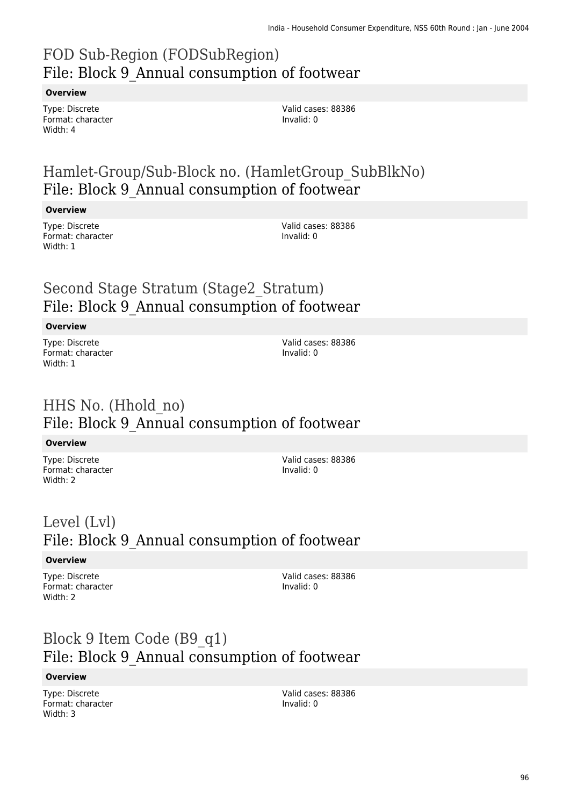# FOD Sub-Region (FODSubRegion) File: Block 9\_Annual consumption of footwear

#### **Overview**

Type: Discrete Format: character Width: 4

Valid cases: 88386 Invalid: 0

# Hamlet-Group/Sub-Block no. (HamletGroup\_SubBlkNo) File: Block 9 Annual consumption of footwear

### **Overview**

Type: Discrete Format: character Width: 1

Valid cases: 88386 Invalid: 0

### Second Stage Stratum (Stage2\_Stratum) File: Block 9 Annual consumption of footwear

### **Overview**

Type: Discrete Format: character Width: 1

Valid cases: 88386 Invalid: 0

### HHS No. (Hhold\_no) File: Block 9\_Annual consumption of footwear

### **Overview**

Type: Discrete Format: character Width: 2

Valid cases: 88386 Invalid: 0

### Level (Lvl) File: Block 9\_Annual consumption of footwear

### **Overview**

Type: Discrete Format: character Width: 2

Valid cases: 88386 Invalid: 0

### Block 9 Item Code (B9\_q1) File: Block 9 Annual consumption of footwear

### **Overview**

Type: Discrete Format: character Width: 3

Valid cases: 88386 Invalid: 0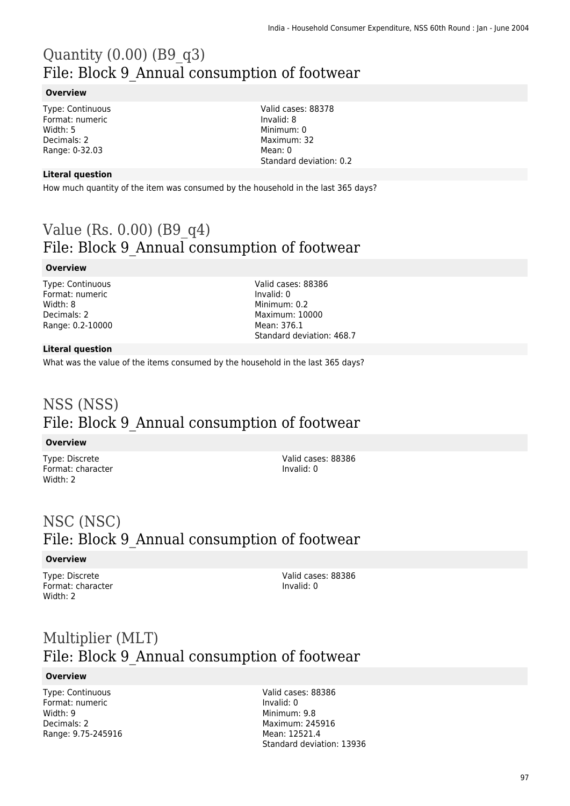# Quantity (0.00) (B9\_q3) File: Block 9\_Annual consumption of footwear

#### **Overview**

Type: Continuous Format: numeric Width: 5 Decimals: 2 Range: 0-32.03

Valid cases: 88378 Invalid: 8 Minimum: 0 Maximum: 32 Mean: 0 Standard deviation: 0.2

#### **Literal question**

How much quantity of the item was consumed by the household in the last 365 days?

### Value (Rs. 0.00) (B9\_q4) File: Block 9\_Annual consumption of footwear

#### **Overview**

Type: Continuous Format: numeric Width: 8 Decimals: 2 Range: 0.2-10000 Valid cases: 88386 Invalid: 0 Minimum: 0.2 Maximum: 10000 Mean: 376.1 Standard deviation: 468.7

#### **Literal question**

What was the value of the items consumed by the household in the last 365 days?

### NSS (NSS) File: Block 9\_Annual consumption of footwear

#### **Overview**

Type: Discrete Format: character Width: 2

Valid cases: 88386 Invalid: 0

### NSC (NSC) File: Block 9\_Annual consumption of footwear

#### **Overview**

Type: Discrete Format: character Width: 2

Valid cases: 88386 Invalid: 0

# Multiplier (MLT) File: Block 9 Annual consumption of footwear

#### **Overview**

Type: Continuous Format: numeric Width: 9 Decimals: 2 Range: 9.75-245916 Valid cases: 88386 Invalid: 0 Minimum: 9.8 Maximum: 245916 Mean: 12521.4 Standard deviation: 13936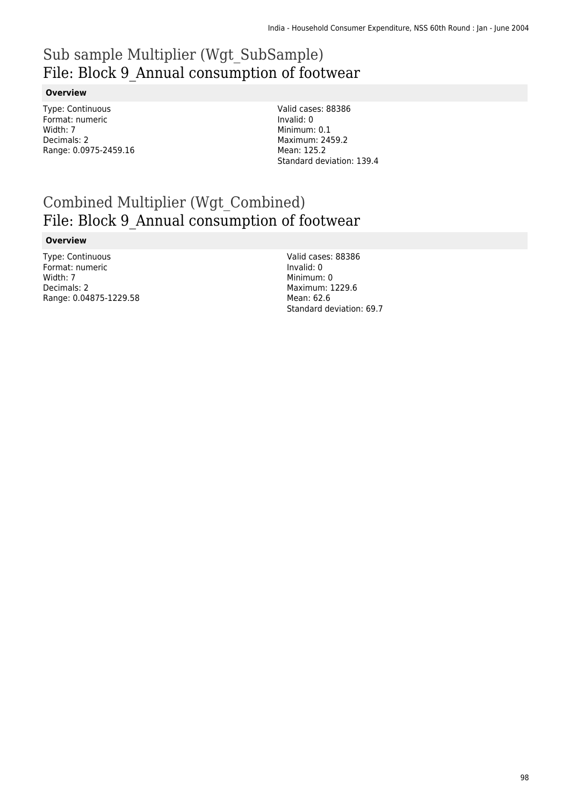# Sub sample Multiplier (Wgt\_SubSample) File: Block 9\_Annual consumption of footwear

### **Overview**

Type: Continuous Format: numeric Width: 7 Decimals: 2 Range: 0.0975-2459.16 Valid cases: 88386 Invalid: 0 Minimum: 0.1 Maximum: 2459.2 Mean: 125.2 Standard deviation: 139.4

# Combined Multiplier (Wgt\_Combined) File: Block 9\_Annual consumption of footwear

#### **Overview**

Type: Continuous Format: numeric Width: 7 Decimals: 2 Range: 0.04875-1229.58

Valid cases: 88386 Invalid: 0 Minimum: 0 Maximum: 1229.6 Mean: 62.6 Standard deviation: 69.7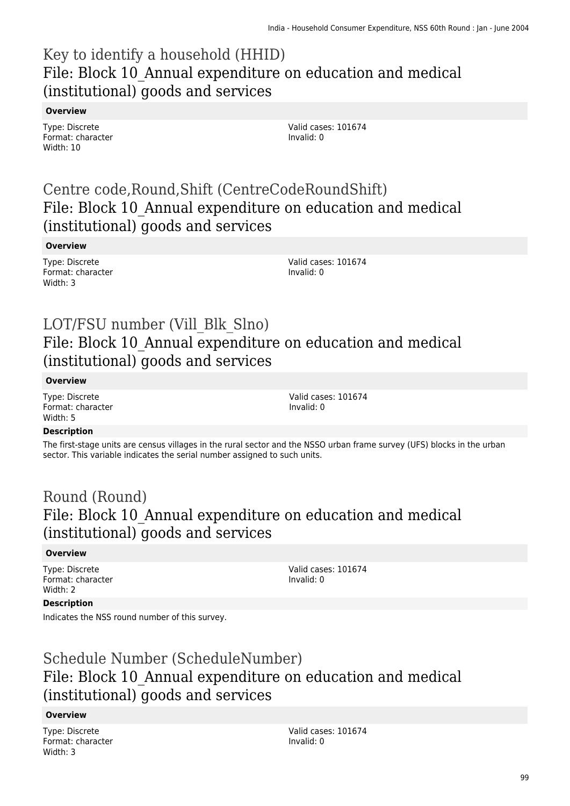### Key to identify a household (HHID) File: Block 10\_Annual expenditure on education and medical (institutional) goods and services

### **Overview**

Type: Discrete Format: character Width: 10

Valid cases: 101674 Invalid: 0

### Centre code,Round,Shift (CentreCodeRoundShift) File: Block 10 Annual expenditure on education and medical (institutional) goods and services

### **Overview**

Type: Discrete Format: character Width: 3

Valid cases: 101674 Invalid: 0

### LOT/FSU number (Vill\_Blk\_Slno) File: Block 10\_Annual expenditure on education and medical (institutional) goods and services

### **Overview**

Type: Discrete Format: character Width: 5

Valid cases: 101674 Invalid: 0

### **Description**

The first-stage units are census villages in the rural sector and the NSSO urban frame survey (UFS) blocks in the urban sector. This variable indicates the serial number assigned to such units.

### Round (Round) File: Block 10 Annual expenditure on education and medical (institutional) goods and services

### **Overview**

Type: Discrete Format: character Width: 2

### **Description**

Valid cases: 101674 Invalid: 0

Indicates the NSS round number of this survey.

# Schedule Number (ScheduleNumber) File: Block 10 Annual expenditure on education and medical (institutional) goods and services

### **Overview**

Type: Discrete Format: character Width: 3

Valid cases: 101674 Invalid: 0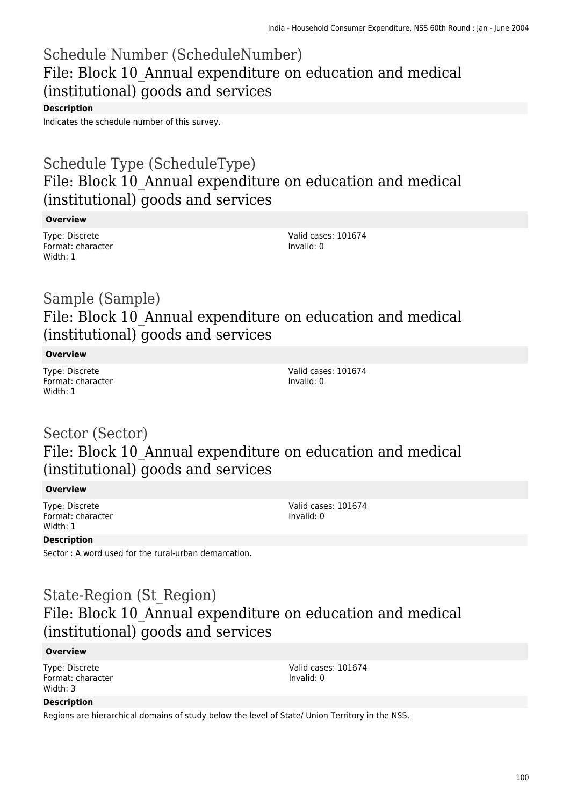# Schedule Number (ScheduleNumber) File: Block 10\_Annual expenditure on education and medical (institutional) goods and services

### **Description**

Indicates the schedule number of this survey.

# Schedule Type (ScheduleType) File: Block 10\_Annual expenditure on education and medical (institutional) goods and services

**Overview**

Type: Discrete Format: character Width: 1

Valid cases: 101674 Invalid: 0

# Sample (Sample) File: Block 10\_Annual expenditure on education and medical (institutional) goods and services

### **Overview**

Type: Discrete Format: character Width: 1

Valid cases: 101674 Invalid: 0

# Sector (Sector) File: Block 10\_Annual expenditure on education and medical (institutional) goods and services

### **Overview**

Type: Discrete Format: character Width: 1

Valid cases: 101674 Invalid: 0

### **Description**

Sector : A word used for the rural-urban demarcation.

### State-Region (St\_Region) File: Block 10\_Annual expenditure on education and medical (institutional) goods and services

### **Overview**

Type: Discrete Format: character Width: 3

Valid cases: 101674 Invalid: 0

### **Description**

Regions are hierarchical domains of study below the level of State/ Union Territory in the NSS.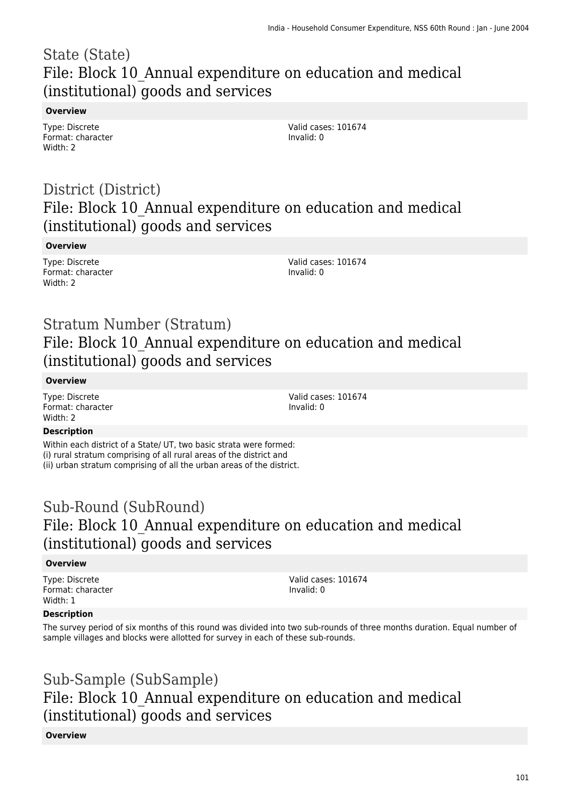### State (State) File: Block 10 Annual expenditure on education and medical (institutional) goods and services

### **Overview**

Type: Discrete Format: character Width: 2

Valid cases: 101674 Invalid: 0

# District (District) File: Block 10\_Annual expenditure on education and medical (institutional) goods and services

### **Overview**

Type: Discrete Format: character Width: 2

Valid cases: 101674 Invalid: 0

### Stratum Number (Stratum) File: Block 10\_Annual expenditure on education and medical (institutional) goods and services

### **Overview**

Type: Discrete Format: character Width: 2

Valid cases: 101674 Invalid: 0

### **Description**

Within each district of a State/ UT, two basic strata were formed: (i) rural stratum comprising of all rural areas of the district and (ii) urban stratum comprising of all the urban areas of the district.

# Sub-Round (SubRound) File: Block 10 Annual expenditure on education and medical (institutional) goods and services

### **Overview**

Type: Discrete Format: character Width: 1

Valid cases: 101674 Invalid: 0

### **Description**

The survey period of six months of this round was divided into two sub-rounds of three months duration. Equal number of sample villages and blocks were allotted for survey in each of these sub-rounds.

# Sub-Sample (SubSample) File: Block 10 Annual expenditure on education and medical (institutional) goods and services

### **Overview**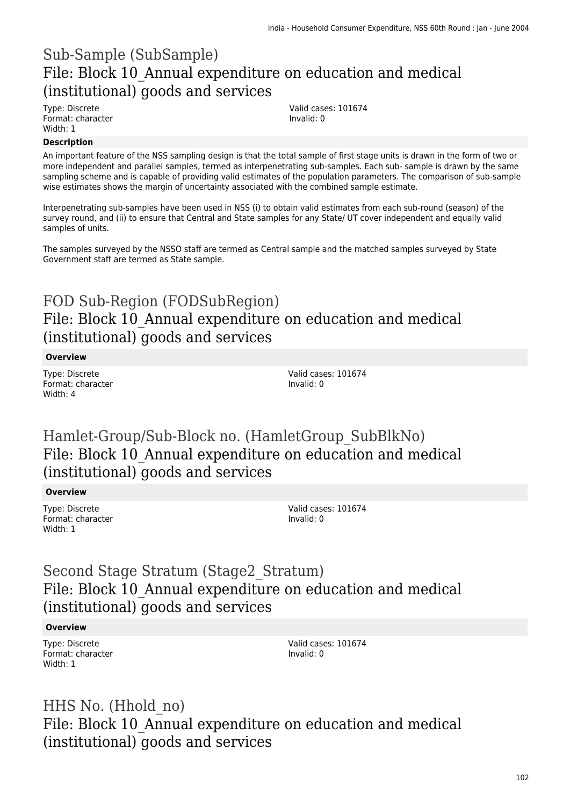### Sub-Sample (SubSample) File: Block 10\_Annual expenditure on education and medical (institutional) goods and services

Type: Discrete Format: character Width: 1

Valid cases: 101674 Invalid: 0

#### **Description**

An important feature of the NSS sampling design is that the total sample of first stage units is drawn in the form of two or more independent and parallel samples, termed as interpenetrating sub-samples. Each sub- sample is drawn by the same sampling scheme and is capable of providing valid estimates of the population parameters. The comparison of sub-sample wise estimates shows the margin of uncertainty associated with the combined sample estimate.

Interpenetrating sub-samples have been used in NSS (i) to obtain valid estimates from each sub-round (season) of the survey round, and (ii) to ensure that Central and State samples for any State/ UT cover independent and equally valid samples of units.

The samples surveyed by the NSSO staff are termed as Central sample and the matched samples surveyed by State Government staff are termed as State sample.

# FOD Sub-Region (FODSubRegion) File: Block 10\_Annual expenditure on education and medical (institutional) goods and services

#### **Overview**

Type: Discrete Format: character Width: 4

Valid cases: 101674 Invalid: 0

### Hamlet-Group/Sub-Block no. (HamletGroup\_SubBlkNo) File: Block 10 Annual expenditure on education and medical (institutional) goods and services

**Overview**

Type: Discrete Format: character Width: 1

Valid cases: 101674 Invalid: 0

### Second Stage Stratum (Stage2\_Stratum) File: Block 10\_Annual expenditure on education and medical (institutional) goods and services

### **Overview**

Type: Discrete Format: character Width: 1

Valid cases: 101674 Invalid: 0

HHS No. (Hhold\_no) File: Block 10\_Annual expenditure on education and medical (institutional) goods and services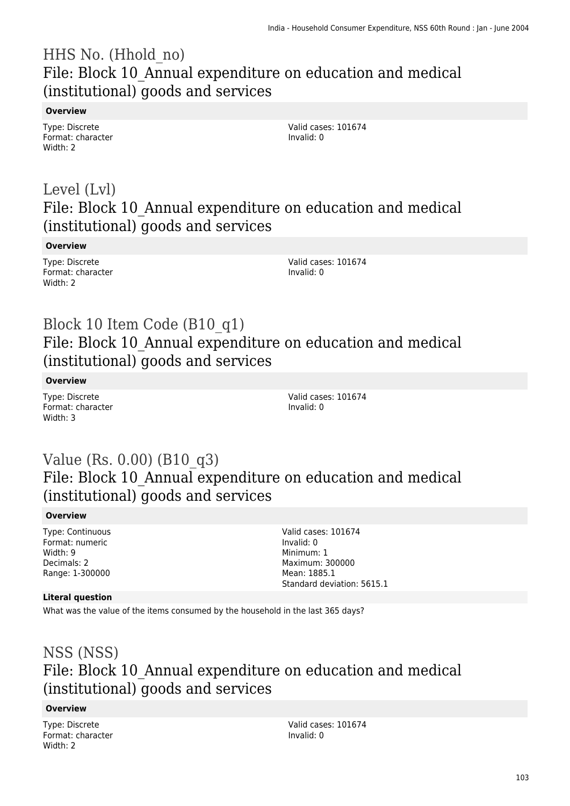### HHS No. (Hhold\_no) File: Block 10\_Annual expenditure on education and medical (institutional) goods and services

### **Overview**

Type: Discrete Format: character Width: 2

Valid cases: 101674 Invalid: 0

# Level (Lvl) File: Block 10\_Annual expenditure on education and medical (institutional) goods and services

### **Overview**

Type: Discrete Format: character Width: 2

Valid cases: 101674 Invalid: 0

### Block 10 Item Code (B10\_q1) File: Block 10\_Annual expenditure on education and medical (institutional) goods and services

### **Overview**

Type: Discrete Format: character Width: 3

Valid cases: 101674 Invalid: 0

Valid cases: 101674

Standard deviation: 5615.1

Invalid: 0 Minimum: 1 Maximum: 300000 Mean: 1885.1

### Value (Rs. 0.00) (B10\_q3) File: Block 10 Annual expenditure on education and medical (institutional) goods and services

### **Overview**

Type: Continuous Format: numeric Width: 9 Decimals: 2 Range: 1-300000

### **Literal question**

What was the value of the items consumed by the household in the last 365 days?

NSS (NSS) File: Block 10 Annual expenditure on education and medical (institutional) goods and services

### **Overview**

Type: Discrete Format: character Width: 2

Valid cases: 101674 Invalid: 0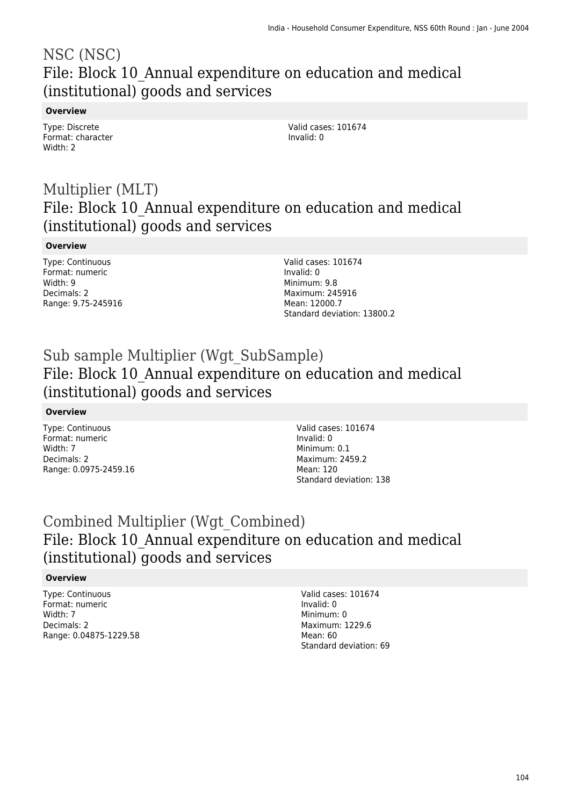### NSC (NSC) File: Block 10 Annual expenditure on education and medical (institutional) goods and services

### **Overview**

Type: Discrete Format: character Width: 2

Valid cases: 101674 Invalid: 0

# Multiplier (MLT) File: Block 10\_Annual expenditure on education and medical (institutional) goods and services

### **Overview**

Type: Continuous Format: numeric Width: 9 Decimals: 2 Range: 9.75-245916 Valid cases: 101674 Invalid: 0 Minimum: 9.8 Maximum: 245916 Mean: 12000.7 Standard deviation: 13800.2

### Sub sample Multiplier (Wgt\_SubSample) File: Block 10\_Annual expenditure on education and medical (institutional) goods and services

### **Overview**

Type: Continuous Format: numeric Width: 7 Decimals: 2 Range: 0.0975-2459.16

Valid cases: 101674 Invalid: 0 Minimum: 0.1 Maximum: 2459.2 Mean: 120 Standard deviation: 138

### Combined Multiplier (Wgt\_Combined) File: Block 10 Annual expenditure on education and medical (institutional) goods and services

### **Overview**

Type: Continuous Format: numeric Width: 7 Decimals: 2 Range: 0.04875-1229.58 Valid cases: 101674 Invalid: 0 Minimum: 0 Maximum: 1229.6 Mean: 60 Standard deviation: 69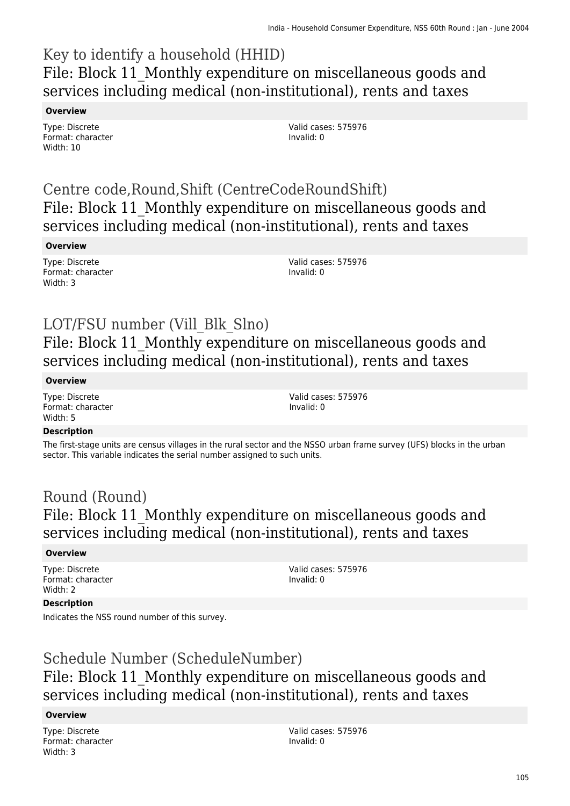### Key to identify a household (HHID) File: Block 11\_Monthly expenditure on miscellaneous goods and services including medical (non-institutional), rents and taxes

### **Overview**

Type: Discrete Format: character Width: 10

Valid cases: 575976 Invalid: 0

### Centre code,Round,Shift (CentreCodeRoundShift) File: Block 11 Monthly expenditure on miscellaneous goods and services including medical (non-institutional), rents and taxes

### **Overview**

Type: Discrete Format: character Width: 3

Valid cases: 575976 Invalid: 0

### LOT/FSU number (Vill\_Blk\_Slno) File: Block 11 Monthly expenditure on miscellaneous goods and services including medical (non-institutional), rents and taxes

### **Overview**

Type: Discrete Format: character Width: 5

Valid cases: 575976 Invalid: 0

### **Description**

The first-stage units are census villages in the rural sector and the NSSO urban frame survey (UFS) blocks in the urban sector. This variable indicates the serial number assigned to such units.

### Round (Round) File: Block 11 Monthly expenditure on miscellaneous goods and services including medical (non-institutional), rents and taxes

### **Overview**

Type: Discrete Format: character Width: 2

### **Description**

Valid cases: 575976 Invalid: 0

Indicates the NSS round number of this survey.

# Schedule Number (ScheduleNumber) File: Block 11 Monthly expenditure on miscellaneous goods and services including medical (non-institutional), rents and taxes

### **Overview**

Type: Discrete Format: character Width: 3

Valid cases: 575976 Invalid: 0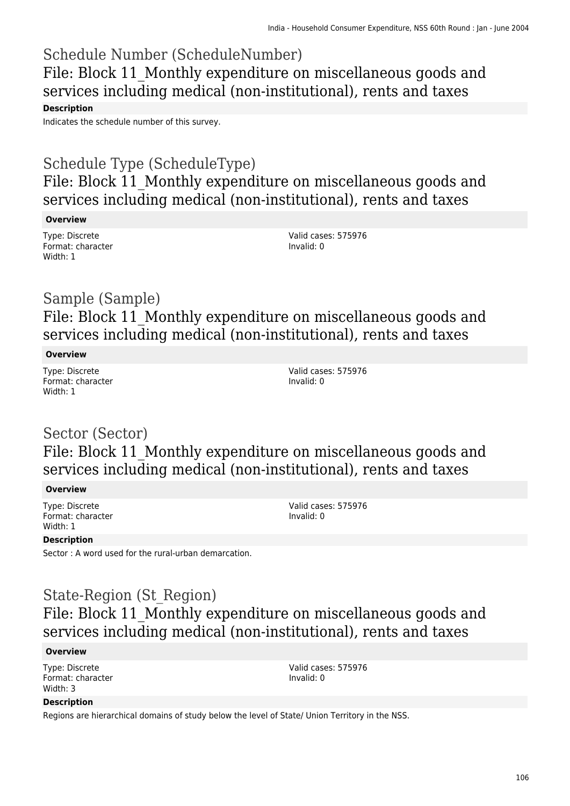### Schedule Number (ScheduleNumber)

File: Block 11 Monthly expenditure on miscellaneous goods and services including medical (non-institutional), rents and taxes

**Description**

Indicates the schedule number of this survey.

### Schedule Type (ScheduleType) File: Block 11 Monthly expenditure on miscellaneous goods and services including medical (non-institutional), rents and taxes

**Overview**

Type: Discrete Format: character Width: 1

Valid cases: 575976 Invalid: 0

# Sample (Sample) File: Block 11 Monthly expenditure on miscellaneous goods and services including medical (non-institutional), rents and taxes

### **Overview**

Type: Discrete Format: character Width: 1

Valid cases: 575976 Invalid: 0

### Sector (Sector) File: Block 11 Monthly expenditure on miscellaneous goods and services including medical (non-institutional), rents and taxes

### **Overview**

Type: Discrete Format: character Width: 1

Valid cases: 575976 Invalid: 0

### **Description**

Sector : A word used for the rural-urban demarcation.

### State-Region (St\_Region) File: Block 11 Monthly expenditure on miscellaneous goods and services including medical (non-institutional), rents and taxes

### **Overview**

Type: Discrete Format: character Width: 3

Valid cases: 575976 Invalid: 0

### **Description**

Regions are hierarchical domains of study below the level of State/ Union Territory in the NSS.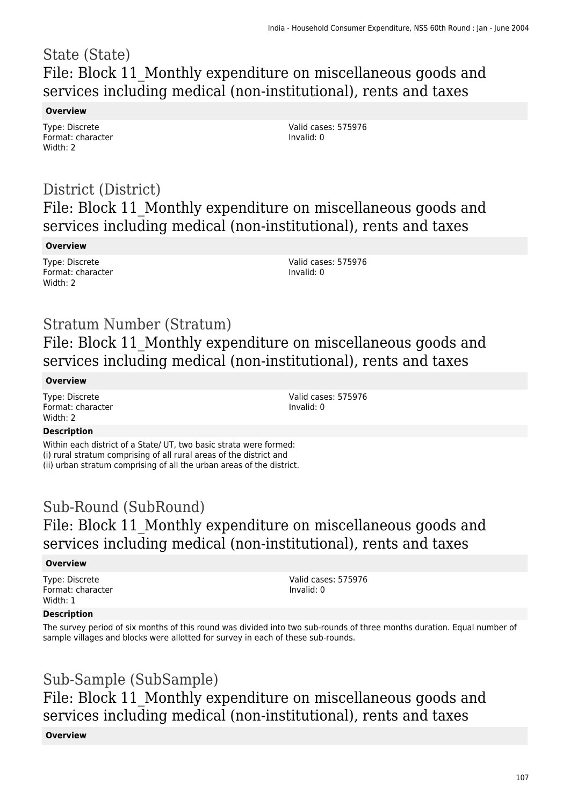### State (State) File: Block 11 Monthly expenditure on miscellaneous goods and services including medical (non-institutional), rents and taxes

### **Overview**

Type: Discrete Format: character Width: 2

Valid cases: 575976 Invalid: 0

### District (District) File: Block 11 Monthly expenditure on miscellaneous goods and services including medical (non-institutional), rents and taxes

### **Overview**

Type: Discrete Format: character Width: 2

Valid cases: 575976 Invalid: 0

### Stratum Number (Stratum) File: Block 11 Monthly expenditure on miscellaneous goods and services including medical (non-institutional), rents and taxes

### **Overview**

Type: Discrete Format: character Width: 2

Valid cases: 575976 Invalid: 0

### **Description**

Within each district of a State/ UT, two basic strata were formed: (i) rural stratum comprising of all rural areas of the district and (ii) urban stratum comprising of all the urban areas of the district.

### Sub-Round (SubRound) File: Block 11 Monthly expenditure on miscellaneous goods and services including medical (non-institutional), rents and taxes

### **Overview**

Type: Discrete Format: character Width: 1

Valid cases: 575976 Invalid: 0

### **Description**

The survey period of six months of this round was divided into two sub-rounds of three months duration. Equal number of sample villages and blocks were allotted for survey in each of these sub-rounds.

Sub-Sample (SubSample) File: Block 11 Monthly expenditure on miscellaneous goods and services including medical (non-institutional), rents and taxes **Overview**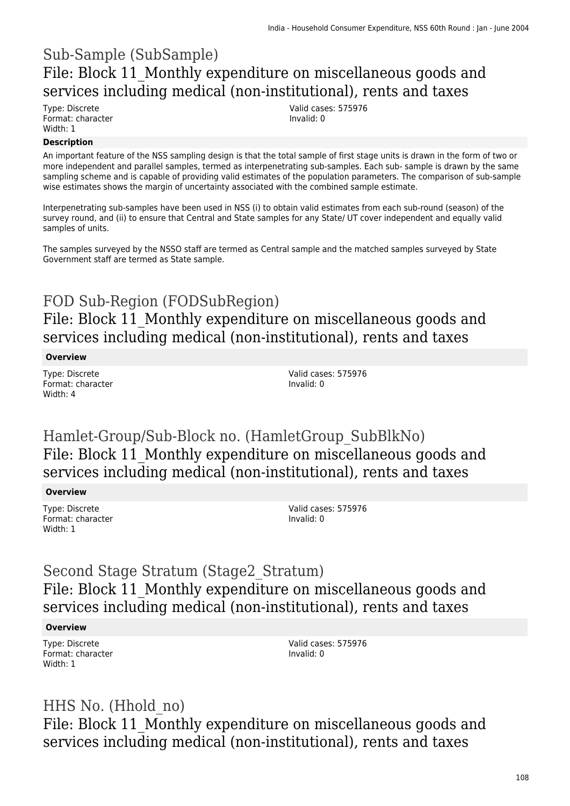### Sub-Sample (SubSample) File: Block 11 Monthly expenditure on miscellaneous goods and services including medical (non-institutional), rents and taxes

Type: Discrete Format: character Width: 1

Valid cases: 575976 Invalid: 0

### **Description**

An important feature of the NSS sampling design is that the total sample of first stage units is drawn in the form of two or more independent and parallel samples, termed as interpenetrating sub-samples. Each sub- sample is drawn by the same sampling scheme and is capable of providing valid estimates of the population parameters. The comparison of sub-sample wise estimates shows the margin of uncertainty associated with the combined sample estimate.

Interpenetrating sub-samples have been used in NSS (i) to obtain valid estimates from each sub-round (season) of the survey round, and (ii) to ensure that Central and State samples for any State/ UT cover independent and equally valid samples of units.

The samples surveyed by the NSSO staff are termed as Central sample and the matched samples surveyed by State Government staff are termed as State sample.

# FOD Sub-Region (FODSubRegion) File: Block 11 Monthly expenditure on miscellaneous goods and services including medical (non-institutional), rents and taxes

### **Overview**

Type: Discrete Format: character Width: 4

Valid cases: 575976 Invalid: 0

Hamlet-Group/Sub-Block no. (HamletGroup\_SubBlkNo) File: Block 11 Monthly expenditure on miscellaneous goods and services including medical (non-institutional), rents and taxes

**Overview**

Type: Discrete Format: character Width: 1

Valid cases: 575976 Invalid: 0

Second Stage Stratum (Stage2\_Stratum) File: Block 11 Monthly expenditure on miscellaneous goods and services including medical (non-institutional), rents and taxes

### **Overview**

Type: Discrete Format: character Width: 1

Valid cases: 575976 Invalid: 0

# HHS No. (Hhold\_no) File: Block 11 Monthly expenditure on miscellaneous goods and services including medical (non-institutional), rents and taxes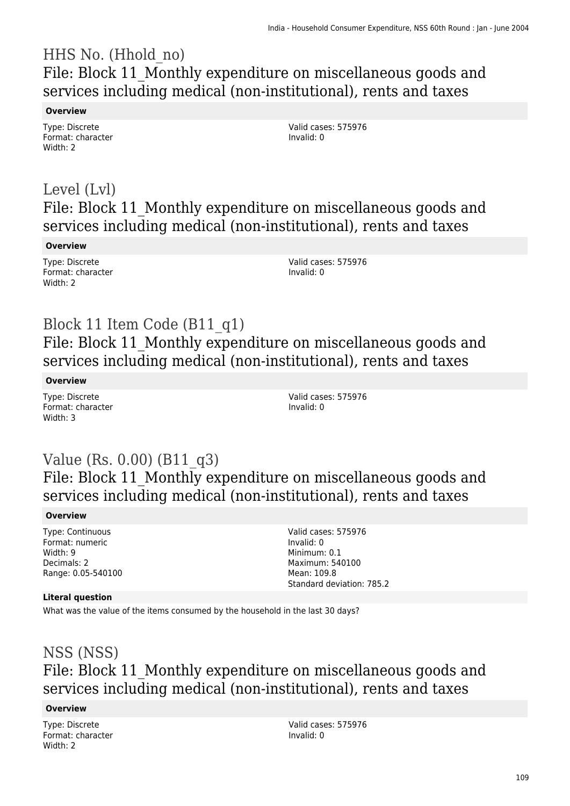### HHS No. (Hhold\_no) File: Block 11 Monthly expenditure on miscellaneous goods and services including medical (non-institutional), rents and taxes

#### **Overview**

Type: Discrete Format: character Width: 2

Valid cases: 575976 Invalid: 0

### Level (Lvl) File: Block 11 Monthly expenditure on miscellaneous goods and services including medical (non-institutional), rents and taxes

#### **Overview**

Type: Discrete Format: character Width: 2

Valid cases: 575976 Invalid: 0

### Block 11 Item Code (B11 q1) File: Block 11 Monthly expenditure on miscellaneous goods and services including medical (non-institutional), rents and taxes

#### **Overview**

Type: Discrete Format: character Width: 3

Valid cases: 575976 Invalid: 0

Valid cases: 575976

Standard deviation: 785.2

Invalid: 0 Minimum: 0.1 Maximum: 540100 Mean: 109.8

### Value (Rs. 0.00) (B11\_q3) File: Block 11 Monthly expenditure on miscellaneous goods and services including medical (non-institutional), rents and taxes

#### **Overview**

Type: Continuous Format: numeric Width: 9 Decimals: 2 Range: 0.05-540100

#### **Literal question**

What was the value of the items consumed by the household in the last 30 days?

### NSS (NSS) File: Block 11 Monthly expenditure on miscellaneous goods and services including medical (non-institutional), rents and taxes

#### **Overview**

Type: Discrete Format: character Width: 2

Valid cases: 575976 Invalid: 0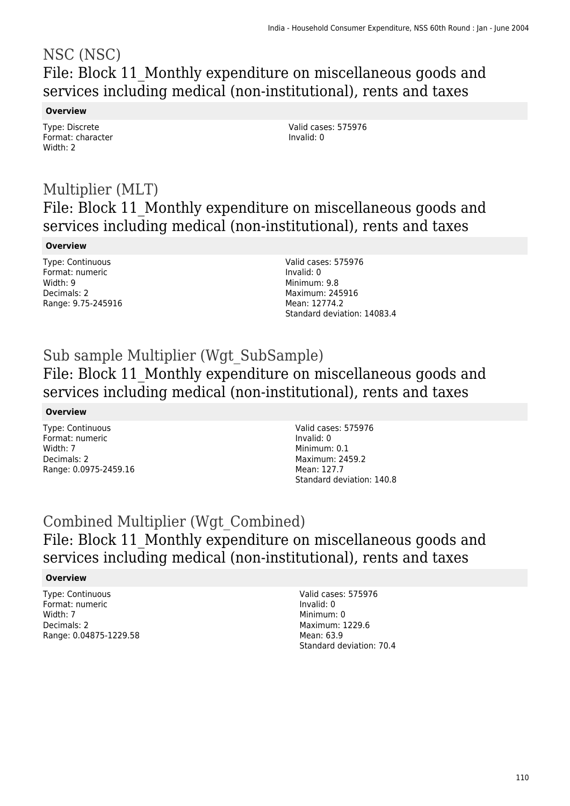### NSC (NSC) File: Block 11\_Monthly expenditure on miscellaneous goods and services including medical (non-institutional), rents and taxes

#### **Overview**

Type: Discrete Format: character Width: 2

Valid cases: 575976 Invalid: 0

### Multiplier (MLT) File: Block 11 Monthly expenditure on miscellaneous goods and services including medical (non-institutional), rents and taxes

#### **Overview**

Type: Continuous Format: numeric Width: 9 Decimals: 2 Range: 9.75-245916 Valid cases: 575976 Invalid: 0 Minimum: 9.8 Maximum: 245916 Mean: 12774.2 Standard deviation: 14083.4

# Sub sample Multiplier (Wgt\_SubSample)

File: Block 11 Monthly expenditure on miscellaneous goods and services including medical (non-institutional), rents and taxes

#### **Overview**

Type: Continuous Format: numeric Width: 7 Decimals: 2 Range: 0.0975-2459.16 Valid cases: 575976 Invalid: 0 Minimum: 0.1 Maximum: 2459.2 Mean: 127.7 Standard deviation: 140.8

### Combined Multiplier (Wgt\_Combined) File: Block 11 Monthly expenditure on miscellaneous goods and services including medical (non-institutional), rents and taxes

#### **Overview**

Type: Continuous Format: numeric Width: 7 Decimals: 2 Range: 0.04875-1229.58

Valid cases: 575976 Invalid: 0 Minimum: 0 Maximum: 1229.6 Mean: 63.9 Standard deviation: 70.4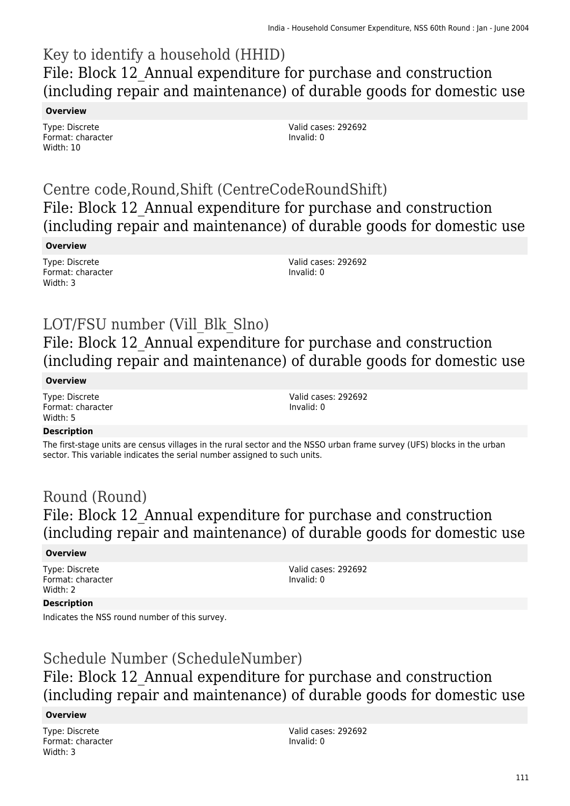### Key to identify a household (HHID) File: Block 12 Annual expenditure for purchase and construction (including repair and maintenance) of durable goods for domestic use

#### **Overview**

Type: Discrete Format: character Width: 10

Valid cases: 292692 Invalid: 0

### Centre code,Round,Shift (CentreCodeRoundShift) File: Block 12 Annual expenditure for purchase and construction (including repair and maintenance) of durable goods for domestic use

#### **Overview**

Type: Discrete Format: character Width: 3

Valid cases: 292692 Invalid: 0

### LOT/FSU number (Vill\_Blk\_Slno) File: Block 12 Annual expenditure for purchase and construction (including repair and maintenance) of durable goods for domestic use

#### **Overview**

Type: Discrete Format: character Width: 5

Valid cases: 292692 Invalid: 0

#### **Description**

The first-stage units are census villages in the rural sector and the NSSO urban frame survey (UFS) blocks in the urban sector. This variable indicates the serial number assigned to such units.

### Round (Round) File: Block 12 Annual expenditure for purchase and construction (including repair and maintenance) of durable goods for domestic use

#### **Overview**

Type: Discrete Format: character Width: 2

#### **Description**

Invalid: 0

Valid cases: 292692

Indicates the NSS round number of this survey.

# Schedule Number (ScheduleNumber) File: Block 12 Annual expenditure for purchase and construction (including repair and maintenance) of durable goods for domestic use

#### **Overview**

Type: Discrete Format: character Width: 3

Valid cases: 292692 Invalid: 0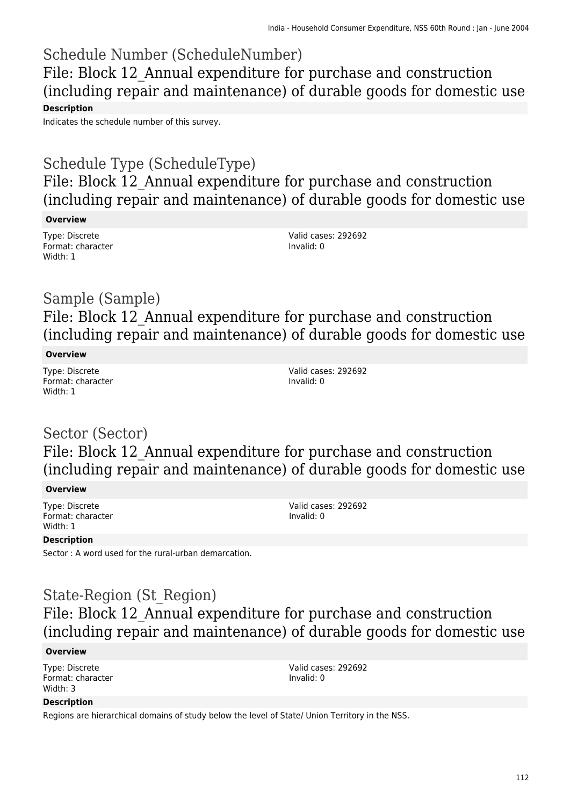### Schedule Number (ScheduleNumber)

File: Block 12 Annual expenditure for purchase and construction (including repair and maintenance) of durable goods for domestic use

**Description**

Indicates the schedule number of this survey.

# Schedule Type (ScheduleType) File: Block 12 Annual expenditure for purchase and construction (including repair and maintenance) of durable goods for domestic use

**Overview**

Type: Discrete Format: character Width: 1

Valid cases: 292692 Invalid: 0

# Sample (Sample)

File: Block 12 Annual expenditure for purchase and construction (including repair and maintenance) of durable goods for domestic use

#### **Overview**

Type: Discrete Format: character Width: 1

Valid cases: 292692 Invalid: 0

# Sector (Sector) File: Block 12 Annual expenditure for purchase and construction (including repair and maintenance) of durable goods for domestic use

#### **Overview**

Type: Discrete Format: character Width: 1

Valid cases: 292692 Invalid: 0

#### **Description**

Sector : A word used for the rural-urban demarcation.

### State-Region (St\_Region) File: Block 12 Annual expenditure for purchase and construction (including repair and maintenance) of durable goods for domestic use

#### **Overview**

Type: Discrete Format: character Width: 3

Valid cases: 292692 Invalid: 0

#### **Description**

Regions are hierarchical domains of study below the level of State/ Union Territory in the NSS.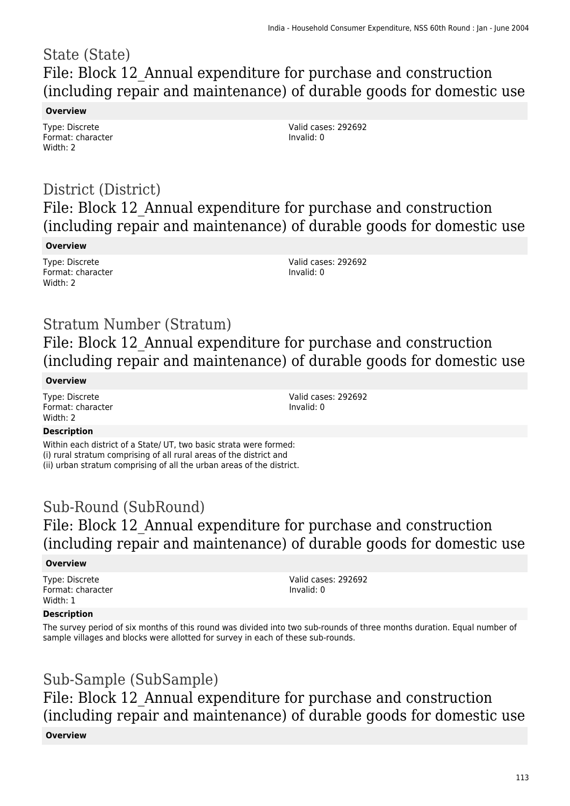# State (State) File: Block 12 Annual expenditure for purchase and construction (including repair and maintenance) of durable goods for domestic use

#### **Overview**

Type: Discrete Format: character Width: 2

Valid cases: 292692 Invalid: 0

### District (District) File: Block 12 Annual expenditure for purchase and construction (including repair and maintenance) of durable goods for domestic use

#### **Overview**

Type: Discrete Format: character Width: 2

Valid cases: 292692 Invalid: 0

# Stratum Number (Stratum)

File: Block 12 Annual expenditure for purchase and construction (including repair and maintenance) of durable goods for domestic use

#### **Overview**

Type: Discrete Format: character Width: 2

Valid cases: 292692 Invalid: 0

#### **Description**

Within each district of a State/ UT, two basic strata were formed: (i) rural stratum comprising of all rural areas of the district and (ii) urban stratum comprising of all the urban areas of the district.

### Sub-Round (SubRound) File: Block 12 Annual expenditure for purchase and construction (including repair and maintenance) of durable goods for domestic use

#### **Overview**

Type: Discrete Format: character Width: 1

Valid cases: 292692 Invalid: 0

#### **Description**

The survey period of six months of this round was divided into two sub-rounds of three months duration. Equal number of sample villages and blocks were allotted for survey in each of these sub-rounds.

Sub-Sample (SubSample) File: Block 12 Annual expenditure for purchase and construction (including repair and maintenance) of durable goods for domestic use **Overview**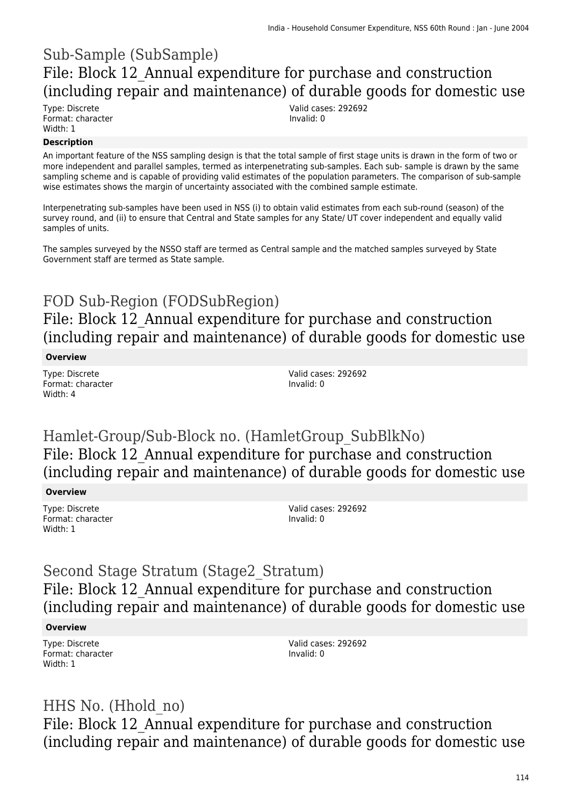### Sub-Sample (SubSample) File: Block 12 Annual expenditure for purchase and construction (including repair and maintenance) of durable goods for domestic use

Type: Discrete Format: character Width: 1

Valid cases: 292692 Invalid: 0

#### **Description**

An important feature of the NSS sampling design is that the total sample of first stage units is drawn in the form of two or more independent and parallel samples, termed as interpenetrating sub-samples. Each sub- sample is drawn by the same sampling scheme and is capable of providing valid estimates of the population parameters. The comparison of sub-sample wise estimates shows the margin of uncertainty associated with the combined sample estimate.

Interpenetrating sub-samples have been used in NSS (i) to obtain valid estimates from each sub-round (season) of the survey round, and (ii) to ensure that Central and State samples for any State/ UT cover independent and equally valid samples of units.

The samples surveyed by the NSSO staff are termed as Central sample and the matched samples surveyed by State Government staff are termed as State sample.

# FOD Sub-Region (FODSubRegion) File: Block 12 Annual expenditure for purchase and construction (including repair and maintenance) of durable goods for domestic use

#### **Overview**

Type: Discrete Format: character Width: 4

Valid cases: 292692 Invalid: 0

### Hamlet-Group/Sub-Block no. (HamletGroup\_SubBlkNo) File: Block 12 Annual expenditure for purchase and construction (including repair and maintenance) of durable goods for domestic use

**Overview**

Type: Discrete Format: character Width: 1

Valid cases: 292692 Invalid: 0

Second Stage Stratum (Stage2\_Stratum) File: Block 12 Annual expenditure for purchase and construction (including repair and maintenance) of durable goods for domestic use

#### **Overview**

Type: Discrete Format: character Width: 1

Valid cases: 292692 Invalid: 0

# HHS No. (Hhold\_no) File: Block 12 Annual expenditure for purchase and construction (including repair and maintenance) of durable goods for domestic use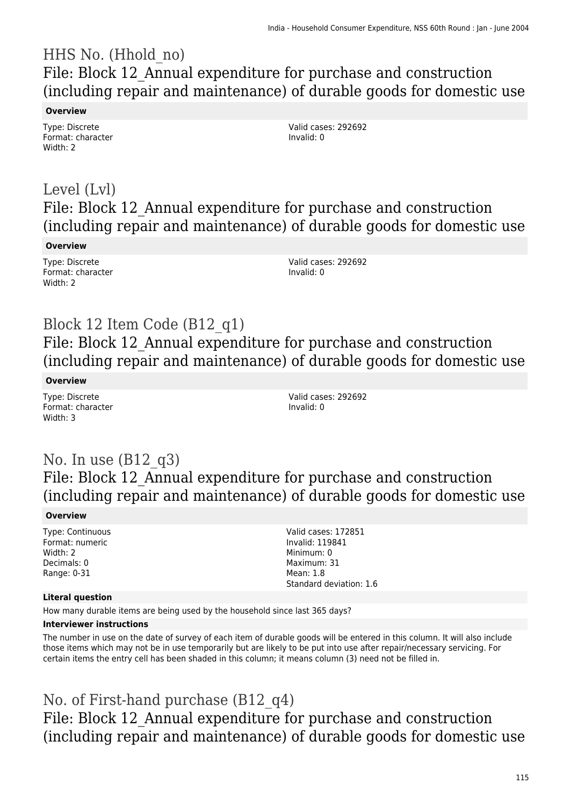## HHS No. (Hhold\_no) File: Block 12 Annual expenditure for purchase and construction (including repair and maintenance) of durable goods for domestic use

#### **Overview**

Type: Discrete Format: character Width: 2

Valid cases: 292692 Invalid: 0

### Level (Lvl) File: Block 12 Annual expenditure for purchase and construction (including repair and maintenance) of durable goods for domestic use

#### **Overview**

Type: Discrete Format: character Width: 2

Valid cases: 292692 Invalid: 0

### Block 12 Item Code (B12\_q1) File: Block 12 Annual expenditure for purchase and construction (including repair and maintenance) of durable goods for domestic use

#### **Overview**

Type: Discrete Format: character Width: 3

Valid cases: 292692 Invalid: 0

Valid cases: 172851 Invalid: 119841 Minimum: 0 Maximum: 31 Mean: 1.8

Standard deviation: 1.6

### No. In use (B12\_q3) File: Block 12 Annual expenditure for purchase and construction (including repair and maintenance) of durable goods for domestic use

#### **Overview**

Type: Continuous Format: numeric Width: 2 Decimals: 0 Range: 0-31

#### **Literal question**

How many durable items are being used by the household since last 365 days?

#### **Interviewer instructions**

The number in use on the date of survey of each item of durable goods will be entered in this column. It will also include those items which may not be in use temporarily but are likely to be put into use after repair/necessary servicing. For certain items the entry cell has been shaded in this column; it means column (3) need not be filled in.

No. of First-hand purchase (B12\_q4) File: Block 12 Annual expenditure for purchase and construction (including repair and maintenance) of durable goods for domestic use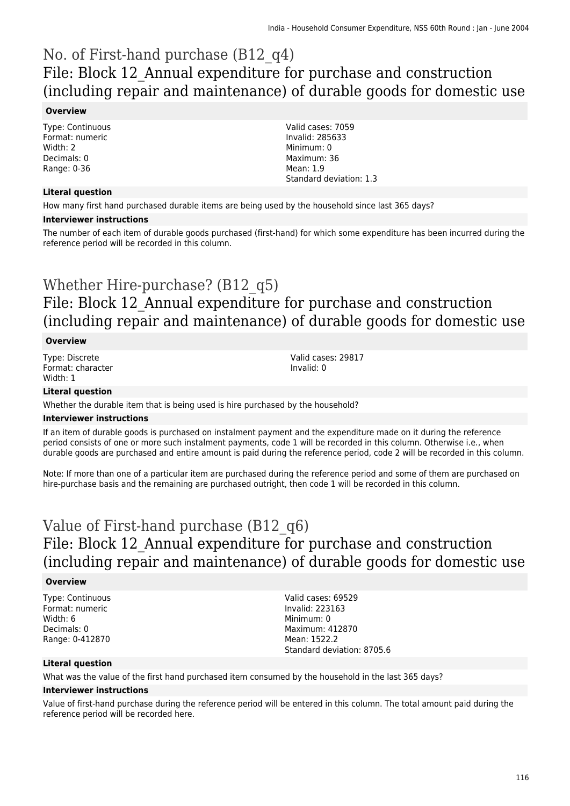### No. of First-hand purchase (B12\_q4) File: Block 12 Annual expenditure for purchase and construction (including repair and maintenance) of durable goods for domestic use

Valid cases: 7059 Invalid: 285633 Minimum: 0 Maximum: 36 Mean: 1.9

Standard deviation: 1.3

#### **Overview**

Type: Continuous Format: numeric Width: 2 Decimals: 0 Range: 0-36

#### **Literal question**

How many first hand purchased durable items are being used by the household since last 365 days?

#### **Interviewer instructions**

The number of each item of durable goods purchased (first-hand) for which some expenditure has been incurred during the reference period will be recorded in this column.

### Whether Hire-purchase? (B12\_q5) File: Block 12 Annual expenditure for purchase and construction (including repair and maintenance) of durable goods for domestic use

#### **Overview**

Type: Discrete Format: character Width: 1

Valid cases: 29817 Invalid: 0

#### **Literal question**

Whether the durable item that is being used is hire purchased by the household?

#### **Interviewer instructions**

If an item of durable goods is purchased on instalment payment and the expenditure made on it during the reference period consists of one or more such instalment payments, code 1 will be recorded in this column. Otherwise i.e., when durable goods are purchased and entire amount is paid during the reference period, code 2 will be recorded in this column.

Note: If more than one of a particular item are purchased during the reference period and some of them are purchased on hire-purchase basis and the remaining are purchased outright, then code 1 will be recorded in this column.

# Value of First-hand purchase (B12\_q6) File: Block 12 Annual expenditure for purchase and construction (including repair and maintenance) of durable goods for domestic use

#### **Overview**

Type: Continuous Format: numeric Width: 6 Decimals: 0 Range: 0-412870

Valid cases: 69529 Invalid: 223163 Minimum: 0 Maximum: 412870 Mean: 1522.2 Standard deviation: 8705.6

#### **Literal question**

What was the value of the first hand purchased item consumed by the household in the last 365 days?

#### **Interviewer instructions**

Value of first-hand purchase during the reference period will be entered in this column. The total amount paid during the reference period will be recorded here.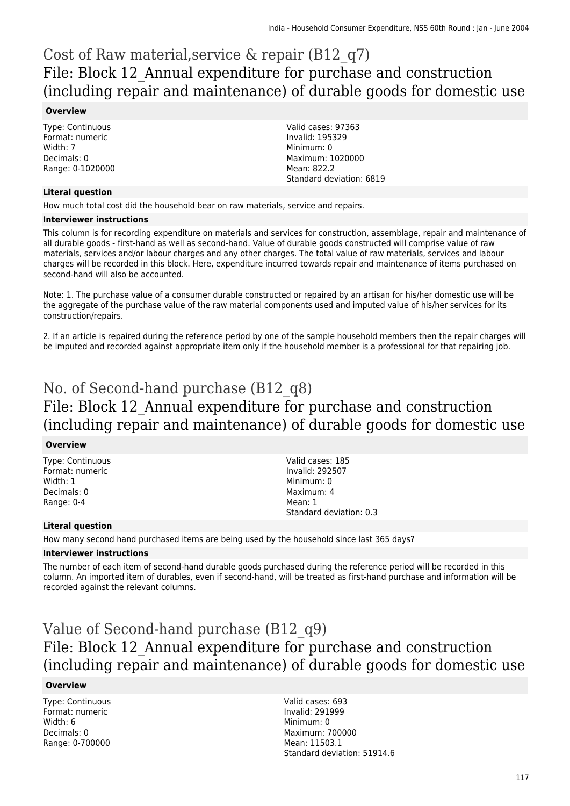### Cost of Raw material, service & repair (B12 q7) File: Block 12 Annual expenditure for purchase and construction (including repair and maintenance) of durable goods for domestic use

Valid cases: 97363 Invalid: 195329 Minimum: 0 Maximum: 1020000 Mean: 822.2

Standard deviation: 6819

#### **Overview**

Type: Continuous Format: numeric Width: 7 Decimals: 0 Range: 0-1020000

#### **Literal question**

How much total cost did the household bear on raw materials, service and repairs.

#### **Interviewer instructions**

This column is for recording expenditure on materials and services for construction, assemblage, repair and maintenance of all durable goods - first-hand as well as second-hand. Value of durable goods constructed will comprise value of raw materials, services and/or labour charges and any other charges. The total value of raw materials, services and labour charges will be recorded in this block. Here, expenditure incurred towards repair and maintenance of items purchased on second-hand will also be accounted.

Note: 1. The purchase value of a consumer durable constructed or repaired by an artisan for his/her domestic use will be the aggregate of the purchase value of the raw material components used and imputed value of his/her services for its construction/repairs.

2. If an article is repaired during the reference period by one of the sample household members then the repair charges will be imputed and recorded against appropriate item only if the household member is a professional for that repairing job.

# No. of Second-hand purchase (B12\_q8) File: Block 12 Annual expenditure for purchase and construction (including repair and maintenance) of durable goods for domestic use

#### **Overview**

Type: Continuous Format: numeric Width: 1 Decimals: 0 Range: 0-4

Valid cases: 185 Invalid: 292507 Minimum: 0 Maximum: 4 Mean: 1 Standard deviation: 0.3

#### **Literal question**

How many second hand purchased items are being used by the household since last 365 days?

#### **Interviewer instructions**

The number of each item of second-hand durable goods purchased during the reference period will be recorded in this column. An imported item of durables, even if second-hand, will be treated as first-hand purchase and information will be recorded against the relevant columns.

### Value of Second-hand purchase (B12\_q9) File: Block 12 Annual expenditure for purchase and construction (including repair and maintenance) of durable goods for domestic use

#### **Overview**

Type: Continuous Format: numeric Width: 6 Decimals: 0 Range: 0-700000

Valid cases: 693 Invalid: 291999 Minimum: 0 Maximum: 700000 Mean: 11503.1 Standard deviation: 51914.6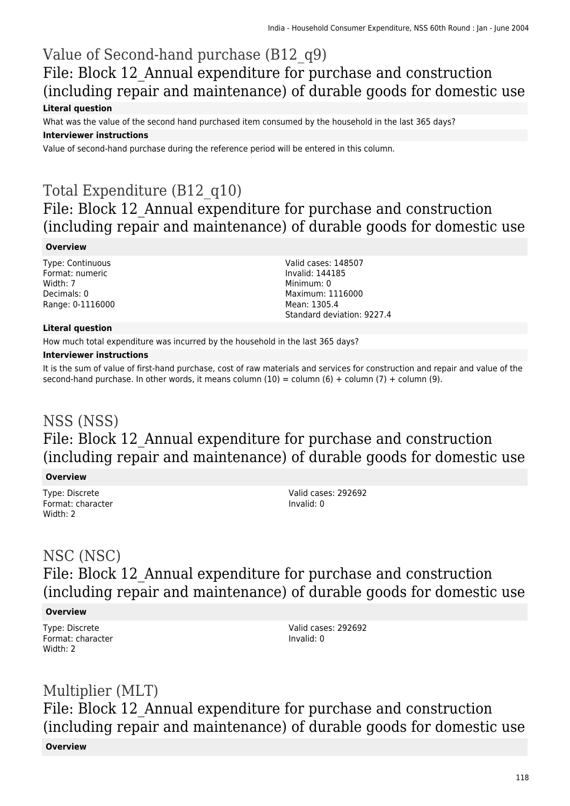# Value of Second-hand purchase (B12\_q9) File: Block 12 Annual expenditure for purchase and construction (including repair and maintenance) of durable goods for domestic use

#### **Literal question**

What was the value of the second hand purchased item consumed by the household in the last 365 days?

#### **Interviewer instructions**

Value of second-hand purchase during the reference period will be entered in this column.

### Total Expenditure (B12\_q10) File: Block 12 Annual expenditure for purchase and construction (including repair and maintenance) of durable goods for domestic use

#### **Overview**

Type: Continuous Format: numeric Width: 7 Decimals: 0 Range: 0-1116000 Valid cases: 148507 Invalid: 144185 Minimum: 0 Maximum: 1116000 Mean: 1305.4 Standard deviation: 9227.4

#### **Literal question**

How much total expenditure was incurred by the household in the last 365 days?

#### **Interviewer instructions**

It is the sum of value of first-hand purchase, cost of raw materials and services for construction and repair and value of the second-hand purchase. In other words, it means column (10) = column (6) + column (7) + column (9).

### NSS (NSS) File: Block 12 Annual expenditure for purchase and construction (including repair and maintenance) of durable goods for domestic use

#### **Overview**

Type: Discrete Format: character Width: 2

Valid cases: 292692 Invalid: 0

### NSC (NSC)

File: Block 12 Annual expenditure for purchase and construction (including repair and maintenance) of durable goods for domestic use

#### **Overview**

Type: Discrete Format: character Width: 2

Valid cases: 292692 Invalid: 0

# Multiplier (MLT)

File: Block 12 Annual expenditure for purchase and construction (including repair and maintenance) of durable goods for domestic use **Overview**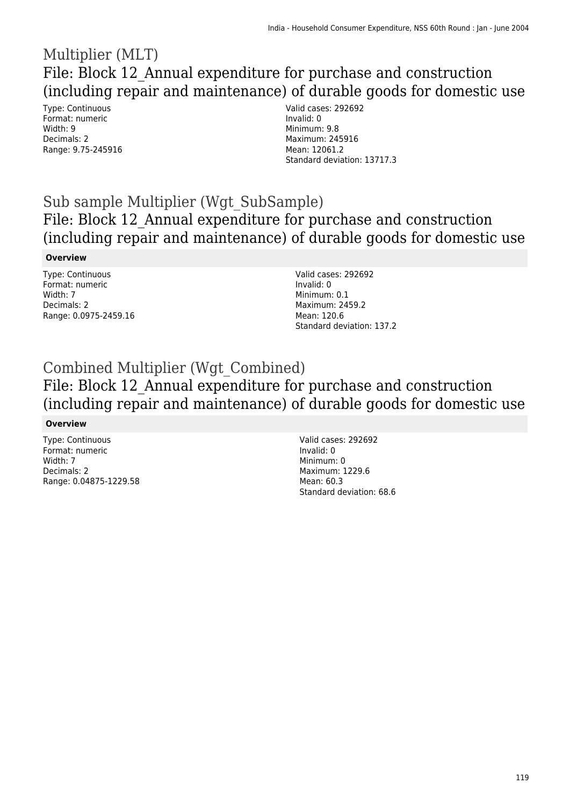### Multiplier (MLT) File: Block 12 Annual expenditure for purchase and construction (including repair and maintenance) of durable goods for domestic use

Type: Continuous Format: numeric Width: 9 Decimals: 2 Range: 9.75-245916 Valid cases: 292692 Invalid: 0 Minimum: 9.8 Maximum: 245916 Mean: 12061.2 Standard deviation: 13717.3

# Sub sample Multiplier (Wgt\_SubSample) File: Block 12 Annual expenditure for purchase and construction (including repair and maintenance) of durable goods for domestic use

#### **Overview**

Type: Continuous Format: numeric Width: 7 Decimals: 2 Range: 0.0975-2459.16 Valid cases: 292692 Invalid: 0 Minimum: 0.1 Maximum: 2459.2 Mean: 120.6 Standard deviation: 137.2

# Combined Multiplier (Wgt\_Combined)

### File: Block 12 Annual expenditure for purchase and construction (including repair and maintenance) of durable goods for domestic use

#### **Overview**

Type: Continuous Format: numeric Width: 7 Decimals: 2 Range: 0.04875-1229.58 Valid cases: 292692 Invalid: 0 Minimum: 0 Maximum: 1229.6 Mean: 60.3 Standard deviation: 68.6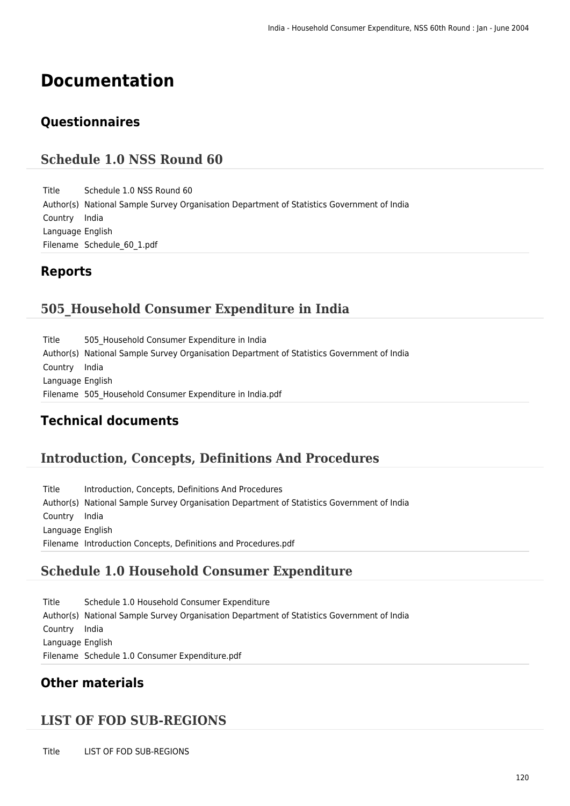# **Documentation**

### **Questionnaires**

### **Schedule 1.0 NSS Round 60**

Title Schedule 1.0 NSS Round 60 Author(s) National Sample Survey Organisation Department of Statistics Government of India Country India Language English Filename Schedule 60 1.pdf

### **Reports**

### **505\_Household Consumer Expenditure in India**

Title 505 Household Consumer Expenditure in India Author(s) National Sample Survey Organisation Department of Statistics Government of India Country India Language English Filename 505\_Household Consumer Expenditure in India.pdf

### **Technical documents**

### **Introduction, Concepts, Definitions And Procedures**

Title Introduction, Concepts, Definitions And Procedures Author(s) National Sample Survey Organisation Department of Statistics Government of India Country India Language English Filename Introduction Concepts, Definitions and Procedures.pdf

### **Schedule 1.0 Household Consumer Expenditure**

Title Schedule 1.0 Household Consumer Expenditure Author(s) National Sample Survey Organisation Department of Statistics Government of India Country India Language English Filename Schedule 1.0 Consumer Expenditure.pdf

### **Other materials**

### **LIST OF FOD SUB-REGIONS**

Title LIST OF FOD SUB-REGIONS